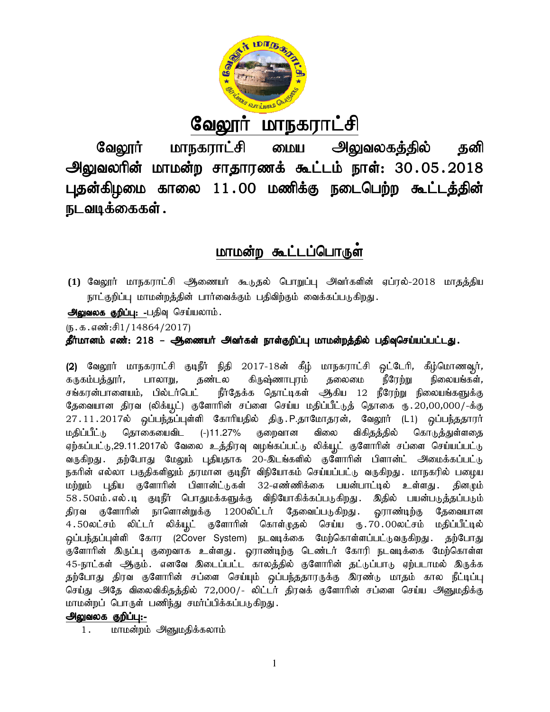

# <u>வேலூர் மாநகராட்சி</u>

வேலூர் மாநகராட்சி மைய அலுவலகத்தில் தனி வேலூர் மாநகராட்சி மைய அலுவலகத்தில் தனி<br>அலுவலரின் மாமன்ற சாதாரணக் கூட்டம் நாள்: 30.05.2018 புதன்கிழமை காலை 11.00 மணிக்கு நடைபெற்ற கூட்டத்தின் நடவடிக்கைகள் .

# <u>மாமன்ற கூட்டப்பொருள்</u>

**(1) வேலூர்** மாநகராட்சி ஆணையர் கூடுதல் பொறுப்பு அவர்களின் ஏப்ரல்-2018 மாதத்திய நாட்குறிப்பு மாமன்றத்தின் பார்வைக்கும் பதிவிற்கும் வைக்கப்படுகிறது.

அலுவலக குறிப்பு: -பதிவு செய்யலாம்.

 $(5.5.5.5\text{...})$ 

தீர்மானம் எண்: 218 – ஆணையர் அவர்கள் நாள்குறிப்பு மாமன்றத்தில் பதிவுசெய்யப்பட்டது.

**தீர்மானம் எண்: 218 – ஆணையர் அவர்கள் நாள்குறிப்பு மாமன்றத்தில் பதிவுசெய்யப்பட்டது.**<br>(2) வேலூர் மாநகராட்சி குடிநீர் நிதி 2017-18ன் கீழ் மாநகராட்சி ஒட்டேரி, கீழ்மொணவூர், கருகம்பத்தூர், பாலாறு, தண்டல கிருஷ்ணாபுரம் தலைமை நீரேற்று சங்கரன்பாளையம், பில்டாபெட் நாதேக்க தொட்டிகள் ஆகிய 12 ந்ரேற்று நிலையங்களுக்கு (2) வேலூர் மாநகராட்சி குடிநீர் நிதி 2017-18ன் கீழ் மாநகராட்சி ஒட்டேரி, கீழ்மொணவூர்,<br>கருகம்பத்தூர், பாலாறு, தண்டல கிருஷ்ணாபுரம் தலைமை நீரேற்று நிலையங்கள்,<br>சங்கரன்பாளையம், பில்டர்பெட் நீர்தேக்க தொட்டிகள் ஆகிய 12 நீர தேவையான திரவ (லிக்யூட்) குளோரின் சப்ளை செய்ய மதிப்பீட்டுத் தொகை ரு.20,00,000/-க்கு<br>27.11.2017ல் ஒப்பந்தப்புள்ளி கோரியதில் திரு. P.தாமோதரன், வேலூர் (L1) ஒப்பந்ததாரர் மதிப்பீட்<sub>(</sub>ந தொகையைவிட (-)11.27% ஏற்கப்பட்டு,29.11.2017ல் வேலை உத்திரவு வழங்கப்பட்டு லிக்யூட் குளோரின் சப்ளை செய்யப்பட்டு ஏற்கப்பட்டு,29.11.2017ல் வேலை உத்திரவு வழங்கப்பட்டு லிக்யூட் குளோரின் சப்ளை செய்யப்பட்டு<br>வருகிறது . தற்போது மேலும் புதியதாக 20-இடங்களில் குளோரின் பிளான்ட் அமைக்கப்பட்டு நகரின் எல்லா பகுதிகளிலும் தரமான குடிநா விநியோகம் செய்யப்பட்டு வருகிறது . மாநகரில் பழைய மற்றும் புதிய குளோரின் பிளான்ட்டுகள் 32-எண்ணிக்கை பயன்பாட்டில் உள்ளது .தினமும் 58 50எம் எல் .டி குடிநீர் பொதுமக்களுக்கு விநியோகிக்கப்படுகிறது . இதில் பயன்படுத்தப்படும் திரவ குளோரின் நாளொன்றுக்கு 1200லிட்டர் தேவைப்படுகிறது ஒராண்டிற்கு தேவையான 4.50லட்சம் லிட்டர் லிக்யூட் குளோரின் கொள்முதல் செய்ய ரு.70.00லட்சம் மதிப்பீட்டில் ஒப்பந்தப்புள்ளி கோர (2Cover System) நடவடிக்கை மேற்கொள்ளப்பட்டுவருகிறது. தற்போது குளோரின் இருப்பு குறைவாக உள்ளது . ஓராண்டிற்கு டெண்டர் கோரி நடவடிக்கை மேற்கொள்ள 45-நாட்கள் ஆகும். எனவே இடைப்பட்ட காலத்தில் குளோரின் தட்டுப்பாடு ஏற்படாமல் இருக்க தற்போது திரவ குளோரின் சப்ளை செய்யும் ஒப்பந்ததாரருக்கு இரண்டு மாதம் கால நீட்டிப்பு செய்து அதே விலைவிகிதத்தில் 72,000/- லிட்டர் திரவக் குளோரின் சப்ளை செய்ய மாமன்றப் பொருள் பணிந்து சமர்ப்பிக்கப்படுகிறது. நிலையங்கள், குறைவான விலை விகிதத்தில் கொடுத்துள்ளதை மதிப்பிட்டு தொகையைவிட (-)11.27% குறைவான விலை விகிதத்தில் கொடுத்துள்ளதை<br>ஏற்கப்பட்டு,29.11.2017ல் வேலை உத்திரவு வழங்கப்பட்டு லிக்யூட் குளோரின் சப்ளை செய்யப்பட்டு<br>வருகிறது. தற்போது மேலும் புதியதாக 20-இடங்களில் குளோரின் பிளான

# அலுவலக குறிப்பு:-

1. மாமன்றம் அனுமதிக்கலாம்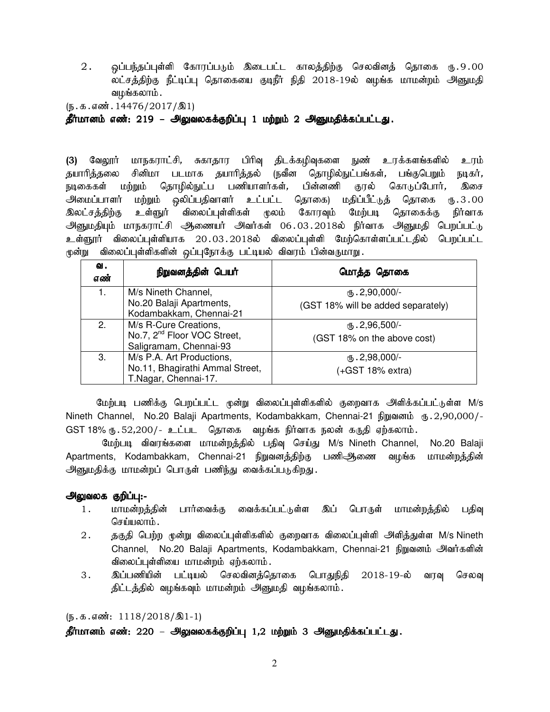2. ஒப்பந்தப்புள்ளி கோரப்படும் இடைபட்ட காலத்திற்கு செலவினத் தொகை ரு.9.00 லட்சத்திற்கு நீட்டிப்பு தொகையை குடிநீர் நிதி 2018-19ல் வழங்க மாமன்றம் அனுமதி வழங்கலாம் .

 $(\mathfrak{h}.\mathfrak{g}.\mathfrak{g}.$  எண். 14476/2017/ $\mathfrak{A}1$ 

தீர்மானம் எண்: 219 – அலுவலகக்குறிப்பு 1 மற்றும் 2 அனுமதிக்கப்பட்டது.

(3) வேலூர் மாநகராட்சி, சுகாதார பிரிவு திடக்கழிவுகளை நுண் உரக்களங்களில் உரம் தயாரித்தலை சினிமா படமாக தயாரித்தல் (நவீன தொழில்நுட்பங்கள், பங்குபெறும் நடிகர், நடிகைகள் மற்றும் தொழில்நுட்ப பணியாளர்கள், பின்னணி குரல் கொடுப்போர், <mark>இசை</mark> அமைப்பாளர் மற்றும் ஒலிப்பதிவாளர் உட்பட்ட தொகை) மதிப்பீட்டுத் தொகை ரூ.3.00 இலட்சத்திற்கு உள்ளுர் விலைப்புள்ளிகள் மூலம் கோரவும் மேற்படி தொகைக்கு நிர்வாக அனுமதியும் மாநகராட்சி ஆணையர் அவர்கள் 06.03.2018ல் நிர்வாக அனுமதி பெறப்பட்டு உள்ளூர் விலைப்புள்ளியாக 20.03.2018ல் விலைப்புள்ளி மேற்கொள்ளப்பட்டதில் பெறப்பட்ட மூன்று விலைப்புள்ளிகளின் ஒப்புநோக்கு பட்டியல் விவரம் பின்வருமாறு .

| வ.<br>எண் | நிறுவனத்தின் பெயர்                                                                         | மொத்த தொகை                                                  |
|-----------|--------------------------------------------------------------------------------------------|-------------------------------------------------------------|
|           | M/s Nineth Channel,<br>No.20 Balaji Apartments,<br>Kodambakkam, Chennai-21                 | $\times$ . 2,90,000/-<br>(GST 18% will be added separately) |
| 2.        | M/s R-Cure Creations,<br>No.7, 2 <sup>nd</sup> Floor VOC Street,<br>Saligramam, Chennai-93 | $(b.2,96,500)$ -<br>(GST 18% on the above cost)             |
| 3.        | M/s P.A. Art Productions,<br>No.11, Bhagirathi Ammal Street,<br>T.Nagar, Chennai-17.       | $(B.2,98,000)$ -<br>$(+GST 18%$ extra)                      |

மேற்படி பணிக்கு பெறப்பட்ட முன்று விலைப்புள்ளிகளில் குறைவாக அளிக்கப்பட்டுள்ள M/s Nineth Channel, No.20 Balaji Apartments, Kodambakkam, Chennai-21 เกิญฌ ตนิ่ (15.2,90,000/-GST 18% ரு. 52,200/- உட்பட தொகை வழங்க நிர்வாக நலன் கருதி ஏற்கலாம்.

மேற்படி விவரங்களை மாமன்றத்தில் பதிவு செய்து M/s Nineth Channel, No.20 Balaji Apartments, Kodambakkam, Chennai-21 நிறுவனத்திற்கு பணி<del>ூ</del>),லை வழங்க மாமன்றத்தின் அனுமதிக்கு மாமன்றப் பொருள் பணிந்து வைக்கப்படுகிறது.

#### அலுவலக குறிப்பு:-

- 1. மாமன்றத்தின் பார்வைக்கு வைக்கப்பட்டுள்ள இப் பொருள் மாமன்றத்தில் பதிவு செய்யலாம்.
- 2. தகுதி பெற்ற முன்று விலைப்புள்ளிகளில் குறைவாக விலைப்புள்ளி அளித்துள்ள M/s Nineth Channel, No.20 Balaji Apartments, Kodambakkam, Chennai-21 நிறுவனம் அவர்களின் விலைப்புள்ளியை மாமன்றம் ஏற்கலாம்.
- 3 . இப்பணியின் பட்டியல் செலவினத்தொகை பொதுநிதி 2018-19-ல் வரவு செலவு திட்டத்தில் வழங்கவும் மாமன்றம் அனுமதி வழங்கலாம்.

 $(\mathbf{b}.\mathbf{a}.\mathbf{a} \cdot \mathbf{w}$ : 1118/2018/ $\mathbf{A}$ 1-1)

தீர்மானம் எண்: 220 – அலுவலகக்குறிப்பு 1,2 மற்றும் 3 அனுமதிக்கப்பட்டது.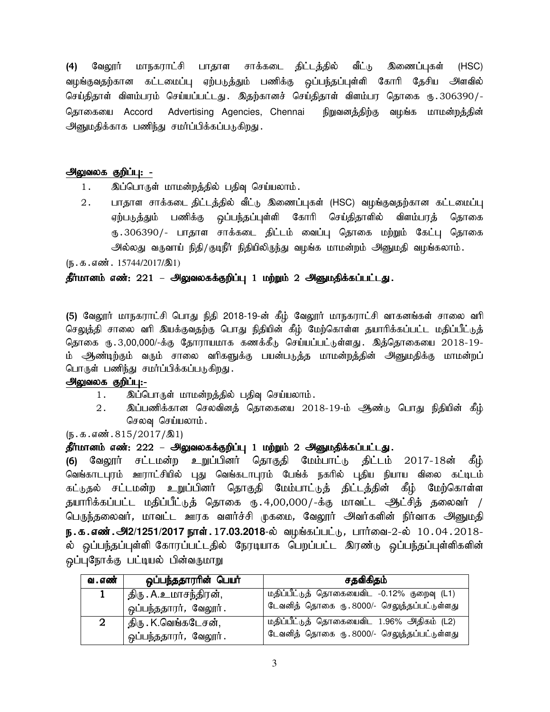(4) வேலூர் மாநகராட்சி பாதாள சாக்கடை திட்டத்தில் வீட்டு இணைப்புகள் (HSC) வழங்குவதற்கான கட்டமைப்பு ஏற்படுத்தும் பணிக்கு ஒப்பந்தப்புள்ளி கோரி தேசிய அளவில் செய்திதாள் விளம்பரம் செய்யப்பட்டது. இதற்கானச் செய்திதாள் விளம்பர தொகை ரு.306390/-தொகையை Accord Advertising Agencies, Chennai நிறுவனத்திற்கு வழங்க மாமன்றத்தின் அனுமதிக்காக பணிந்து சமர்ப்பிக்கப்படுகிறது.

#### அலுவலக குறிப்பு: -

- 1. இப்பொருள் மாமன்றத்தில் பதிவு செய்யலாம்.
- 2. பாதாள சாக்கடை திட்டத்தில் வீட்டு இணைப்புகள் (HSC) வழங்குவதற்கான கட்டமைப்பு ஏற்படுத்தும் பணிக்கு ஒப்பந்தப்புள்ளி கோரி செய்திதாளில் விளம்பரத் தொகை ரு .306390/- பாதாள சாக்கடை திட்டம் வைப்பு தொகை மற்றும் கேட்பு தொகை அல்லது வருவாய் நிதி/குடிநீர் நிதியிலிருந்து வழங்க மாமன்றம் அனுமதி வழங்கலாம்.

 $(\mathfrak{h} \cdot \mathfrak{B} \cdot \mathfrak{a} \cdot \mathfrak{so} \mathfrak{m} \cdot 15744/2017/\mathfrak{B}1)$ 

## தீர்மானம் எண்: 221 – அலுவலகக்குறிப்பு 1 மற்றும் 2 அனுமதிக்கப்பட்டது.

(5) வேலூர் மாநகராட்சி பொது நிதி 2018-19-ன் கீழ் வேலூர் மாநகராட்சி வாகனங்கள் சாலை வரி செலுத்தி சாலை வரி இயக்குவதற்கு பொது நிதியின் கீழ் மேற்கொள்ள தயாரிக்கப்பட்ட மதிப்பீட்டுத் தொகை ரூ.3,00,000/-க்கு தோராயமாக கணக்கீடு செய்யப்பட்டுள்ளது. இத்தொகையை 2018-19-ம் ஆண்டிற்கும் வரும் சாலை வரிகளுக்கு பயன்படுத்த மாமன்றத்தின் அனுமதிக்கு மாமன்றப் பொருள் பணிந்து சமர்ப்பிக்கப்படுகிறது.

#### அலுவலக குறிப்பு:-

- 1. இப்பொருள் மாமன்றத்தில் பதிவு செய்யலாம்.
- 2. இப்பணிக்கான செலவினத் தொகையை 2018-19-ம் ஆண்டு பொது நிதியின் கீழ் செலவு செய்யலாம்.

 $(\mathbf{b}.\mathbf{a}.\mathbf{a} \cdot \mathbf{w}.\mathbf{b}.\mathbf{b}.\mathbf{b}.\mathbf{b}.\mathbf{b}.\mathbf{c}$ 

#### தீர்மானம் எண்: 222 – அலுவலகக்குறிப்பு 1 மற்றும் 2 அனுமதிக்கப்பட்டது.

(6) வேலூர் சட்டமன்ற உறுப்பினர் தொகுதி மேம்பாட்டு திட்டம் 2017-18ன் கீழ் வெங்காடபுரம் ஊராட்சியில் புது வெங்கடாபுரம் பேங்க் நகரில் புதிய நியாய விலை கட்டிடம் கட்டுதல் சட்டமன்ற உறுப்பினர் தொகுதி மேம்பாட்டுத் திட்டத்தின் கீழ் மேற்கொள்ள தயாரிக்கப்பட்ட மதிப்பீட்டுத் தொகை ரு. 4,00,000/-க்கு மாவட்ட ஆட்சித் தலைவர் / பெருந்தலைவர், மாவட்ட ஊரக வளர்ச்சி முகமை, வேலூர் அவர்களின் நிர்வாக அனுமதி **ந.க.எண்.அ2/1251/2017 நாள். 17.03.2018**-ல் வழங்கப்பட்டு, பார்வை-2-ல் 10.04.2018-ல் ஒப்பந்தப்புள்ளி கோரப்பட்டதில் நேரடியாக பெறப்பட்ட இரண்டு ஒப்பந்தப்புள்ளிகளின் ஒப்புநோக்கு பட்டியல் பின்வருமாறு

| வ . எண்     | ஒப்பந்ததாரரின் பெயர்  | சதவிகிதம்                                   |
|-------------|-----------------------|---------------------------------------------|
|             | திரு . A.உமாசந்திரன், | மதிப்பீட்டுத் தொகையைவிட -0.12% குறைவு (L1)  |
|             | ஒப்பந்ததாரர், வேலூர். | டேவனித் தொகை ரு. 8000/- செலுத்தப்பட்டுள்ளது |
| $\mathbf 2$ | திரு . K.வெங்கடேசன்,  | மதிப்பீட்டுத் தொகையைவிட 1.96% அதிகம் (L2)   |
|             | ஒப்பந்ததாரர், வேலூர். | டேவனித் தொகை ரு. 8000/- செலுத்தப்பட்டுள்ளது |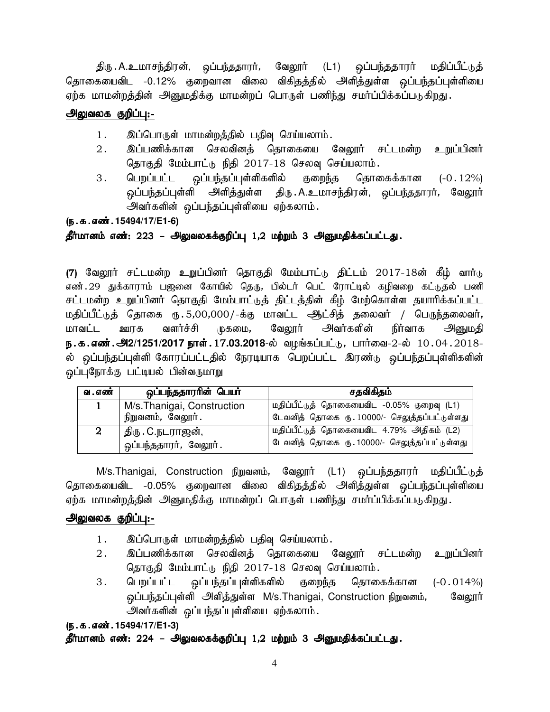திரு . A.உமாசந்திரன், ஒப்பந்ததாரா், வேலூா் (L1) ஒப்பந்ததாரா் மதிப்பீட்டுத் தொகையைவிட -0.12% குறைவான விலை விகிதத்தில் அளித்துள்ள ஒப்பந்தப்புள்ளியை ஏற்க மாமன்றத்தின் அனுமதிக்கு மாமன்றப் பொருள் பணிந்து சமர்ப்பிக்கப்படுகிறது.

# அலுவலக குறிப்பு:-

- 1. இப்பொருள் மாமன்றத்தில் பதிவு செய்யலாம்.
- 2. இப்பணிக்கான செலவினத் தொகையை வேலூர் சட்டமன்ற உறுப்பினர் தொகுதி மேம்பாட்டு நிதி 2017-18 செலவு செய்யலாம்.
- 3. பெறப்பட்ட ஒப்பந்தப்புள்ளிகளில் குறைந்த தொகைக்கான (-0.12%) ஒப்பந்தப்புள்ளி அளித்துள்ள திரு.A.உமாசந்திரன், ஒப்பந்ததாரர், வேலூர் அவர்களின் ஒப்பந்தப்புள்ளியை ஏற்கலாம்.

# (ந.க.எண்.15494/17/E1-6)

# தீர்மானம் எண்: 223 – அலுவலகக்குறிப்பு 1,2 மற்றும் 3 அனுமதிக்கப்பட்டது.

(7) வேலூர் சட்டமன்ற உறுப்பினர் தொகுதி மேம்பாட்டு திட்டம் 2017-18ன் கீழ் வார்டு எண். 29 துக்காராம் பஜனை கோயில் தெரு, பில்டர் பெட் ரோட்டில் கழிவறை கட்டுதல் பணி சட்டமன்ற உறுப்பினர் தொகுதி மேம்பாட்டுத் திட்டத்தின் கீழ் மேற்கொள்ள தயாரிக்கப்பட்ட மதிப்பீட்டுத் தொகை ரு. 5,00,000/-க்கு மாவட்ட ஆட்சித் தலைவர் / பெருந்தலைவர், மாவட்ட ஊரக வளர்ச்சி முகமை, வேலூர் அவர்களின் நிர்வாக அனுமதி **ந.க.எண்.அ2/1251/2017 நாள். 17.03.2018**-ல் வழங்கப்பட்டு, பார்வை-2-ல் 10.04.2018-ல் ஒப்பந்தப்புள்ளி கோரப்பட்டதில் நேரடியாக பெறப்பட்ட இரண்டு ஒப்பந்தப்புள்ளிகளின் வப்புநோக்கு பட்டியல் பின்வருமாறு

| வ . எண்        | ஒப்பந்ததாரரின் பெயர்           | சதவிகிதம்                                    |
|----------------|--------------------------------|----------------------------------------------|
|                | M/s. Thanigai, Construction    | மதிப்பீட்டுத் தொகையைவிட -0.05% குறைவு (L1)   |
|                | நிறுவனம், வேலூர்.              | டேவனித் தொகை ரு. 10000/- செலுத்தப்பட்டுள்ளது |
| $\overline{2}$ | <sub>ட</sub> திரு . C.நடராஜன், | மதிப்பீட்டுத் தொகையைவிட 4.79% அதிகம் (L2)    |
|                | ஒப்பந்ததாரர், வேலூர்.          | டேவனித் தொகை ரு. 10000/- செலுத்தப்பட்டுள்ளது |

M/s.Thanigai, Construction நிறுவனம், வேலூர் (L1) ஒப்பந்ததாரர் மதிப்பீட்டுத் தொகையைவிட -0.05% குறைவான விலை விகிதத்தில் அளித்துள்ள ஒப்பந்தப்புள்ளியை ஏற்க மாமன்றத்தின் அனுமதிக்கு மாமன்றப் பொருள் பணிந்து சமர்ப்பிக்கப்படுகிறது.

# அலுவலக குறிப்பு:-

- 1. இப்பொருள் மாமன்றத்தில் பதிவு செய்யலாம்.
- 2. இப்பணிக்கான செலவினத் தொகையை வேலூர் சட்டமன்ற உறுப்பினர் தொகுதி மேம்பாட்டு நிதி 2017-18 செலவு செய்யலாம்.
- 3. பெறப்பட்ட ஒப்பந்தப்புள்ளிகளில் குறைந்த தொகைக்கான (-0.014%) ஒப்பந்தப்புள்ளி அளித்துள்ள M/s.Thanigai, Construction நிறுவனம், வேலூர் அவர்களின் ஒப்பந்தப்புள்ளியை ஏற்கலாம்.

## (ந.க.எண்.15494/17/E1-3)

# தீர்மானம் எண்: 224 – அலுவலகக்குறிப்பு 1,2 மற்றும் 3 அனுமதிக்கப்பட்டது.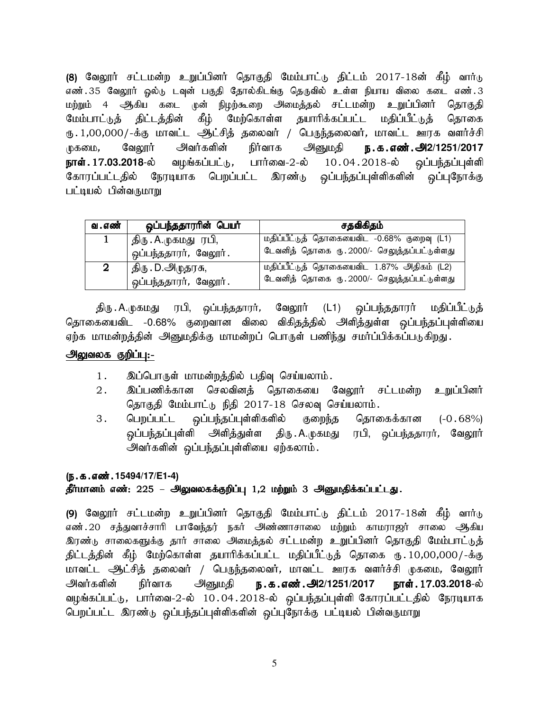(8) வேலூர் சட்டமன்ற உறுப்பினர் தொகுதி மேம்பாட்டு திட்டம் 2017-18ன் கீழ் வார்டு எண்.35 வேலூர் ஓல்டு டவுன் பகுதி தோல்கிடங்கு தெருவில் உள்ள நியாய விலை கடை எண்.3 மற்றும் 4 ஆகிய கடை முன் நிழற்கூறை அமைத்தல் சட்டமன்ற உறுப்பினர் தொகுதி மேம்பாட்டுத் திட்டத்தின் கீழ் மேற்கொள்ள தயாரிக்கப்பட்ட மதிப்பீட்டுத் தொகை ரு. 1,00,000/-க்கு மாவட்ட ஆட்சித் தலைவர் / பெருந்தலைவர், மாவட்ட ஊரக வளர்ச்சி முகமை, வேலூர் அவர்களின் நிர்வாக அனுமதி **ந.க.எண்.அ2/1251/2017 நாள். 17.03.2018**-ல் வழங்கப்பட்டு, பார்வை-2-ல் 10 $.04.2018$ -ல் ஒப்பந்தப்புள்ளி கோரப்பட்டதில் நேரடியாக பெறப்பட்ட இரண்டு ஒப்பந்தப்புள்ளிகளின் ஒப்புநோக்கு பட்டியல் பின்வருமாறு

| வ . எண் | ஒப்பந்ததாராின் பெயா்  | சதவிகிதம்                                   |
|---------|-----------------------|---------------------------------------------|
|         | திரு . A.முகமது ரபி,  | மதிப்பீட்டுத் தொகையைவிட -0.68% குறைவு (L1)  |
|         | ஒப்பந்ததாரர், வேலூர். | டேவனித் தொகை ரு. 2000/- செலுத்தப்பட்டுள்ளது |
| 2       | திரு . D.அழுதரசு,     | மதிப்பீட்டுத் தொகையைவிட 1.87% அதிகம் (L2)   |
|         | ஒப்பந்ததாரர், வேலூர். | டேவனித் தொகை ரு. 2000/- செலுத்தப்பட்டுள்ளது |

திரு.A.முகமது ரபி, ஒப்பந்ததாரர், வேலூர் (L1) ஒப்பந்ததாரர் மதிப்பீட்டுத் தொகையைவிட -0.68% குறைவான விலை விகிதத்தில் அளித்துள்ள ஒப்பந்தப்புள்ளியை ஏற்க மாமன்றத்தின் அனுமதிக்கு மாமன்றப் பொருள் பணிந்து சமர்ப்பிக்கப்படுகிறது.

#### அலுவலக குறிப்பு:-

- 1. இப்பொருள் மாமன்றத்தில் பதிவு செய்யலாம்.
- 2. இப்பணிக்கான செலவினத் தொகையை வேலூர் சட்டமன்ற உறுப்பினர் தொகுதி மேம்பாட்டு நிதி 2017-18 செலவு செய்யலாம்.
- 3. பெறப்பட்ட ஒப்பந்தப்புள்ளிகளில் குறைந்த தொகைக்கான (-0.68%) ஒப்பந்தப்புள்ளி அளித்துள்ள திரு. A.முகமது ரபி, ஒப்பந்ததாரர், வேலூர் அவர்களின் ஒப்பந்தப்புள்ளியை ஏற்கலாம்.

#### (ந.க.எண்.15494/17/E1-4)

## தீர்மானம் எண்: 225 – அலுவலகக்குறிப்பு 1,2 மற்றும் 3 அனுமதிக்கப்பட்டது.

(9) வேலூர் சட்டமன்ற உறுப்பினர் தொகுதி மேம்பாட்டு திட்டம் 2017-18ன் கீழ் வார்டு எண்.20 சத்துவாச்சாரி பாவேந்தர் நகர் அண்ணாசாலை மற்றும் காமராஜர் சாலை ஆகிய <u>இரண்</u>டு சாலைகளுக்கு தார் சாலை அமைத்தல் சட்டமன்ற உறுப்பினர் தொகுதி மேம்பாட்டுத் திட்டத்தின் கீழ் மேற்கொள்ள தயாரிக்கப்பட்ட மதிப்பீட்டுத் தொகை ரூ. 10,00,000/-க்கு மாவட்ட ஆட்சித் தலைவர் / பெருந்தலைவர், மாவட்ட ஊரக வளர்ச்சி முகமை, வேலூர் .<br>அவர்களின் நிர்வாக அனுமதி **ந.க.எண்.அ2/1251/2017 நாள்.**.17**.03.2018**-ல் வழங்கப்பட்டு, பார்வை-2-ல் 10.04.2018-ல் ஒப்பந்தப்புள்ளி கோரப்பட்டதில் நேரடியாக பெறப்பட்ட இரண்டு ஒப்பந்தப்புள்ளிகளின் ஒப்புநோக்கு பட்டியல் பின்வருமாறு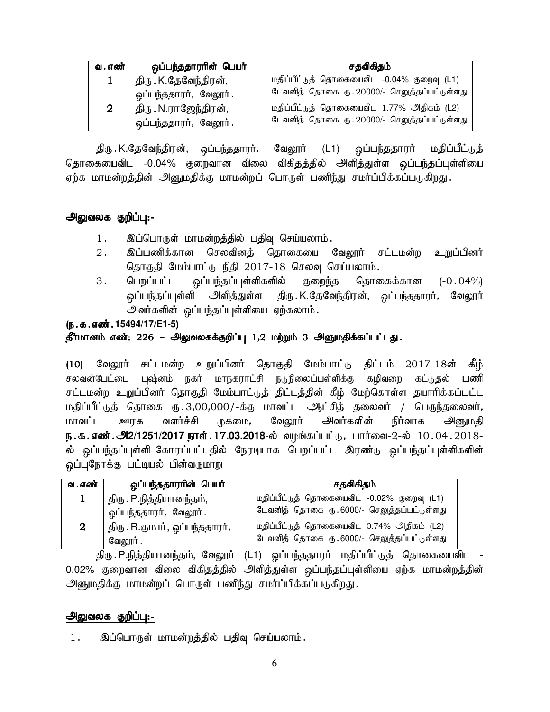| வ . எண் | ஒப்பந்ததாரரின் பெயர்    | சதவிகிதம்                                    |  |  |
|---------|-------------------------|----------------------------------------------|--|--|
|         | திரு . K.தேவேந்திரன்,   | மதிப்பீட்டுத் தொகையைவிட -0.04% குறைவு (L1)   |  |  |
|         | ஒப்பந்ததாரர், வேலூர்.   | டேவனித் தொகை ரு. 20000/- செலுத்தப்பட்டுள்ளது |  |  |
| 2       | ' திரு . N.ராஜேந்திரன், | மதிப்பீட்டுத் தொகையைவிட 1.77% அதிகம் (L2)    |  |  |
|         | ஒப்பந்ததாரர், வேலூர்.   | டேவனித் தொகை ரு. 20000/- செலுத்தப்பட்டுள்ளது |  |  |

திரு K.தேவேந்திரன், ஒப்பந்ததாரர், வேலூர் (L1) ஒப்பந்ததாரர் மதிப்பீட்டுத் தொகையைவிட -0.04% குறைவான விலை விகிதத்தில் அளித்துள்ள ஒப்பந்தப்புள்ளியை ஏற்க மாமன்றத்தின் அனுமதிக்கு மாமன்றப் பொருள் பணிந்து சமர்ப்பிக்கப்படுகிறது.

## அலுவலக குறிப்பு:-

- 1. இப்பொருள் மாமன்றத்தில் பதிவு செய்யலாம்.
- 2. இப்பணிக்கான செலவினத் தொகையை வேலூர் சட்டமன்ற உறுப்பினர் தொகுதி மேம்பாட்டு நிதி 2017-18 செலவு செய்யலாம்.
- 3. பெறப்பட்ட ஒப்பந்தப்புள்ளிகளில் குறைந்த தொகைக்கான (-0.04%) <u>ஒ</u>ப்பந்தப்புள்ளி அளித்துள்ள திரு .K.தேவேந்திரன், ஒப்பந்ததாரர்*,* வேலூர் அவர்களின் ஒப்பந்தப்புள்ளியை ஏற்கலாம்.

## (ந.க.எண்.15494/17/E1-5)

## தீர்மானம் எண்: 226 – அலுவலகக்குறிப்பு 1,2 மற்றும் 3 அனுமதிக்கப்பட்டது.

(10) வேலூர் சட்டமன்ற உறுப்பினர் தொகுதி மேம்பாட்டு திட்டம் 2017-18ன் கீழ் சலவன்பேட்டை புஷ்னம் நகர் மாநகராட்சி நடுநிலைப்பள்ளிக்கு கழிவறை கட்டுதல் பணி சட்டமன்ற உறுப்பினர் தொகுதி மேம்பாட்டுத் திட்டத்தின் கீழ் மேற்கொள்ள தயாரிக்கப்பட்ட மதிப்பீட்டுத் தொகை ரூ.3,00,000/-க்கு மாவட்ட ஆட்சித் தலைவர் / பெருந்தலைவர், மாவட்ட ஊரக வளர்ச்சி முகமை, வேலூர் அவர்களின் நிர்வாக அனுமதி <mark>ந.க.எண்.அ2/1251/2017 நாள்.</mark> 17**.03.2018**-ல் வழங்கப்பட்டு, பார்வை-2-ல் 10.04.2018-ல் ஒப்பந்தப்புள்ளி கோரப்பட்டதில் நேரடியாக பெறப்பட்ட இரண்டு ஒப்பந்தப்புள்ளிகளின் ஒப்புநோக்கு பட்டியல் பின்வருமாறு

| வ . எண் | ஒப்பந்ததாரரின் பெயர்                   | சதவிகிதம்                                   |
|---------|----------------------------------------|---------------------------------------------|
|         | திரு . P.நித்தியானந்தம்,               | மதிப்பீட்டுத் தொகையைவிட -0.02% குறைவு (L1)  |
|         | ஒப்பந்ததாரர், வேலூர்.                  | டேவனித் தொகை ரு. 6000/- செலுத்தப்பட்டுள்ளது |
| 2       | திரு . R.குமார், ஒப்பந்ததாரர் <i>,</i> | மதிப்பீட்டுத் தொகையைவிட 0.74% அதிகம் (L2)   |
|         | வேலூர் .                               | டேவனித் தொகை ரு. 6000/- செலுத்தப்பட்டுள்ளது |

திரு P.நித்தியானந்தம், வேலூர் (L1) ஒப்பந்ததாரர் மதிப்பீட்டுத் தொகையைவிட 0.02% குறைவான விலை விகிதத்தில் அளித்துள்ள ஒப்பந்தப்புள்ளியை ஏற்க மாமன்றத்தின் அனுமதிக்கு மாமன்றப் பொருள் பணிந்து சமர்ப்பிக்கப்படுகிறது.

# <u>அலுவலக குறிப்பு:-</u>

1. இப்பொருள் மாமன்றத்தில் பதிவு செய்யலாம்.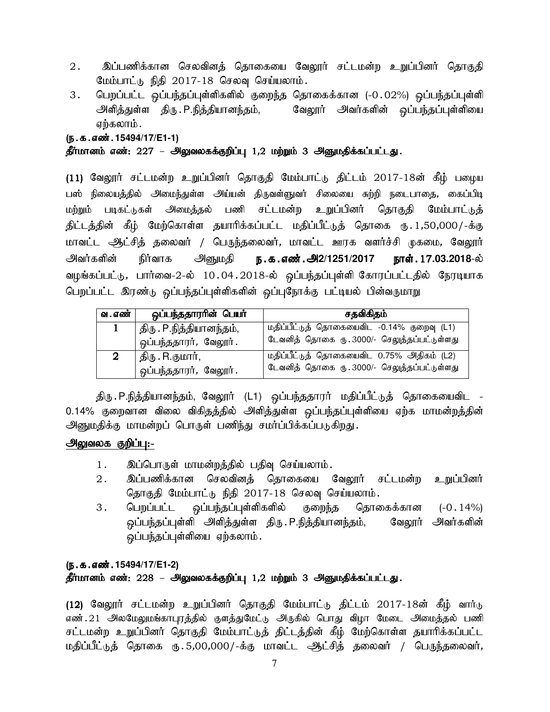- 2. இப்பணிக்கான செலவினத் தொகையை வேலூர் சட்டமன்ற உறுப்பினர் தொகுதி மேம்பாட்டு நிதி  $2017-18$  செலவு செய்யலாம்.
- 3. பெறப்பட்ட ஒப்பந்தப்புள்ளிகளில் குறைந்த தொகைக்கான (-0.02%) ஒப்பந்தப்புள்ளி அளித்துள்ள திரு.P.நித்தியானந்தம், வேலூர் அவர்களின் ஒப்பந்தப்புள்ளியை ஏற்கலாம்.

#### (ந.க.எண்.15494/17/E1-1)

## தீர்மானம் எண்: 227 – அலுவலகக்குறிப்பு 1,2 மற்றும் 3 அனுமதிக்கப்பட்டது.

(11) வேலூர் சட்டமன்ற உறுப்பினர் தொகுதி மேம்பாட்டு திட்டம் 2017-18ன் கீழ் பழைய பஸ் நிலையத்தில் அமைந்துள்ள அய்யன் திருவள்ளுவர் சிலையை சுற்றி நடைபாதை, கைப்பிடி மற்றும் படிகட்டுகள் அமைத்தல் பணி சட்டமன்ற உறுப்பினர் தொகுதி மேம்பாட்டுத் திட்டத்தின் கீழ் மேற்கொள்ள தயாரிக்கப்பட்ட மதிப்பீட்டுத் தொகை ரு. 1,50,000/-க்கு மாவட்ட ஆட்சித் தலைவர் / பெருந்தலைவர், மாவட்ட ஊரக வளர்ச்சி முகமை, வே<u>ல</u>ார் .<br>அவர்களின் நிர்வாக அனுமதி **ந.க.எண்.அ2/1251/2017 நாள்.**.17**.03.2018**-ல் வழங்கப்பட்டு, பார்வை-2-ல் 10.04.2018-ல் ஒப்பந்தப்புள்ளி கோரப்பட்டதில் நேரடியாக பெறப்பட்ட இரண்டு ஒப்பந்தப்புள்ளிகளின் ஒப்புநோக்கு பட்டியல் பின்வருமாறு

| வ . எண்  | ஒப்பந்ததாராின் பெயா்     | சதவிகிதம்                                   |  |  |
|----------|--------------------------|---------------------------------------------|--|--|
| 1        | திரு . P.நித்தியானந்தம், | மதிப்பீட்டுத் தொகையைவிட -0.14% குறைவு (L1)  |  |  |
|          | ஒப்பந்ததாரர், வேலூர்.    | டேவனித் தொகை ரு. 3000/- செலுத்தப்பட்டுள்ளது |  |  |
| $\bf{2}$ | திரு . R.குமார்,         | மதிப்பீட்டுத் தொகையைவிட 0.75% அதிகம் (L2)   |  |  |
|          | ஒப்பந்ததாரர், வேலூர்.    | டேவனித் தொகை ரு. 3000/- செலுத்தப்பட்டுள்ளது |  |  |

திரு. P.நித்தியானந்தம், வேலூர் (L1) ஒப்பந்ததாரர் மதிப்பீட்டுத் தொகையைவிட -0.14% குறைவான விலை விகிதத்தில் அளித்துள்ள ஒப்பந்தப்புள்ளியை ஏற்க மாமன்றத்தின் அனுமதிக்கு மாமன்றப் பொருள் பணிந்து சமர்ப்பிக்கப்படுகிறது.

# <u>அலுவலக குறிப்பு:-</u>

- 1. இப்பொருள் மாமன்றத்தில் பதிவு செய்யலாம்.
- 2. இப்பணிக்கான செலவினத் தொகையை வேலூர் சட்டமன்ற உறுப்பினர் தொகுதி மேம்பாட்டு நிதி 2017-18 செலவு செய்யலாம்.
- 3. பெறப்பட்ட ஒப்பந்தப்புள்ளிகளில் குறைந்த தொகைக்கான (-0.14%) ஒப்பந்தப்புள்ளி அளித்துள்ள திரு.P.நித்தியானந்தம், வேலூர் அவர்களின் ஒப்பந்தப்புள்ளியை ஏற்கலாம்.

#### (e.f.vz;.**15494/17/E1-2**)

## தீர்மானம் எண்: 228 – அலுவலகக்குறிப்பு 1,2 மற்றும் 3 அனுமதிக்கப்பட்டது.

(12) வேலூர் சட்டமன்ற உறுப்பினர் தொகுதி மேம்பாட்டு திட்டம் 2017-18ன் கீழ் வார்டு எண்.21 அலமேலுமங்காபுரத்தில் குளத்துமேட்டு அருகில் பொது விழா மேடை அமைத்தல் பணி சட்டமன்ற உறுப்பினர் தொகுதி மேம்பாட்டுத் திட்டத்தின் கீழ் மேற்கொள்ள தயாரிக்கப்பட்ட மதிப்பீட்டுத் தொகை ரு. 5,00,000/-க்கு மாவட்ட ஆட்சித் தலைவர் / பெருந்தலைவர்,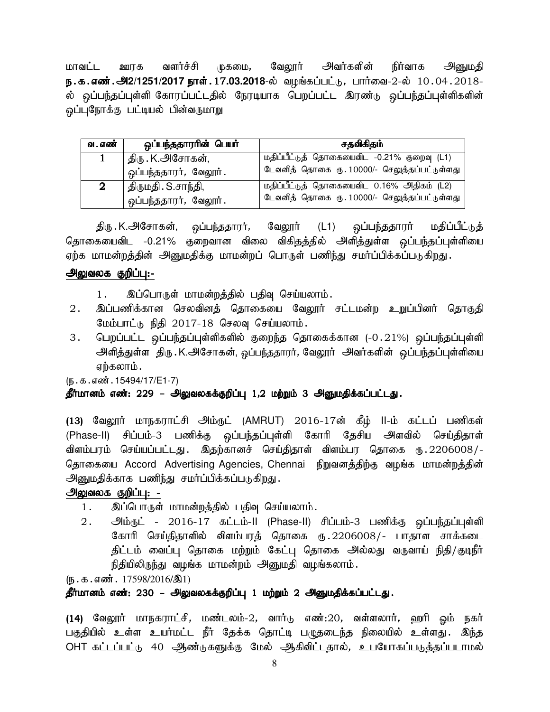மாவட்ட ஊரக வளாச்சி முகமை, வேலூர் அவாகளின் நிர்வாக அனுமதி **ந.க.எண்.அ2/1251/2017 நாள். 17.03.2018**-ல் வழங்கப்பட்டு, பார்வை-2-ல் 10.04.2018-ல் ஒப்பந்தப்புள்ளி கோரப்பட்டதில் நேரடியாக பெறப்பட்ட இரண்டு ஒப்பந்தப்புள்ளிகளின் ஒப்புநோக்கு பட்டியல் பின்வருமாறு

| வ . எண் | ஒப்பந்ததாரரின் பெயர்  | சதவிகிதம்                                    |  |  |
|---------|-----------------------|----------------------------------------------|--|--|
|         | திரு . K.அசோகன்,      | மதிப்பீட்டுத் தொகையைவிட -0.21% குறைவு (L1)   |  |  |
|         | ஒப்பந்ததாரர், வேலூர். | டேவனித் தொகை ரு. 10000/- செலுத்தப்பட்டுள்ளது |  |  |
|         | திருமதி . S.சாந்தி,   | மதிப்பீட்டுத் தொகையைவிட 0.16% அதிகம் (L2)    |  |  |
|         | ஒப்பந்ததாரர், வேலூர். | டேவனித் தொகை ரு. 10000/- செலுத்தப்பட்டுள்ளது |  |  |

திரு K.அசோகன், ஒப்பந்ததாரர், வேலூர் (L1) ஒப்பந்ததாரர் மதிப்பீட்டுத் தொகையைவிட -0.21% குறைவான விலை விகிதத்தில் அளித்துள்ள ஒப்பந்தப்புள்ளியை ஏற்க மாமன்றத்தின் அனுமதிக்கு மாமன்றப் பொருள் பணிந்து சமர்ப்பிக்கப்படுகிறது.

# அலுவலக குறிப்பு:-

- 1. இப்பொருள் மாமன்றத்தில் பதிவு செய்யலாம்.
- 2. இப்பணிக்கான செலவினத் தொகையை வேலூர் சட்டமன்ற உறுப்பினர் தொகுதி மேம்பாட்டு நிதி 2017-18 செலவு செய்யலாம்.
- 3. பெறப்பட்ட ஒப்பந்தப்புள்ளிகளில் குறைந்த தொகைக்கான (-0.21%) ஒப்பந்தப்புள்ளி அளித்துள்ள திரு . K.அசோகன், ஒப்பந்ததாரர், வேலூர் அவர்களின் ஒப்பந்தப்புள்ளியை ஏற்கலாம்.

(ந.க.எண்.15494/17/E1-7)

# தீர்மானம் எண்: 229 – அலுவலகக்குறிப்பு 1,2 மற்றும் 3 அனுமதிக்கப்பட்டது.

(13) வேலூர் மாநகராட்சி அம்ருட் (AMRUT) 2016-17ன் கீழ் II-ம் கட்டப் பணிகள் (Phase-II) சிப்பம்-3 பணிக்கு ஒப்பந்தப்புள்ளி கோரி தேசிய அளவில் செய்திதாள் விளம்பரம் செய்யப்பட்டது. இதற்கானச் செய்திதாள் விளம்பர தொகை ரு.2206008/-தொகையை Accord Advertising Agencies, Chennai நிறுவனத்திற்கு வழங்க மாமன்றத்தின் அனுமதிக்காக பணிந்து சமர்ப்பிக்கப்படுகிறது.

# அலுவலக குறிப்பு: -

- 1. இப்பொருள் மாமன்றத்தில் பதிவு செய்யலாம்.
- 2. அம்ருட் 2016-17 கட்டம்-II (Phase-II) சிப்பம்-3 பணிக்கு ஒப்பந்தப்புள்ளி கோரி செய்திதாளில் விளம்பரத் தொகை ரு.2206008/- பாதாள சாக்கடை திட்டம் வைப்பு தொகை மற்றும் கேட்பு தொகை அல்லது வருவாய் நிதி/குடிநீர் நிதியிலிருந்து வழங்க மாமன்றம் அனுமதி வழங்கலாம்.

 $(\mathbb{F} \cdot \mathbb{F} \cdot \mathbb{F} \cdot \mathbb{F} \cdot \mathbb{F} \cdot \mathbb{F} \cdot \mathbb{F} \cdot \mathbb{F} \cdot \mathbb{F} \cdot \mathbb{F} \cdot \mathbb{F} \cdot \mathbb{F} \cdot \mathbb{F} \cdot \mathbb{F} \cdot \mathbb{F} \cdot \mathbb{F} \cdot \mathbb{F} \cdot \mathbb{F} \cdot \mathbb{F} \cdot \mathbb{F} \cdot \mathbb{F} \cdot \mathbb{F} \cdot \mathbb{F} \cdot \mathbb{F} \cdot \mathbb{F} \cdot \mathbb{F} \cdot \mathbb{F} \cdot \mathbb{$ 

# தீர்மானம் எண்: 230 – அலுவலகக்குறிப்பு 1 மற்றும் 2 அ<u>னு</u>மதிக்கப்பட்டது.

(14) வேலூர் மாநகராட்சி, மண்டலம்-2, வார்டு எண்:20, வள்ளலார், ஹரி ஓம் நகர் பகுதியில் உள்ள உயர்மட்ட நீர் தேக்க தொட்டி பழுதடைந்த நிலையில் உள்ளது. இந்த OHT கட்டப்பட்டு 40 ஆண்டுகளுக்கு மேல் ஆகிவிட்டதால், உபயோகப்படுத்தப்படாமல்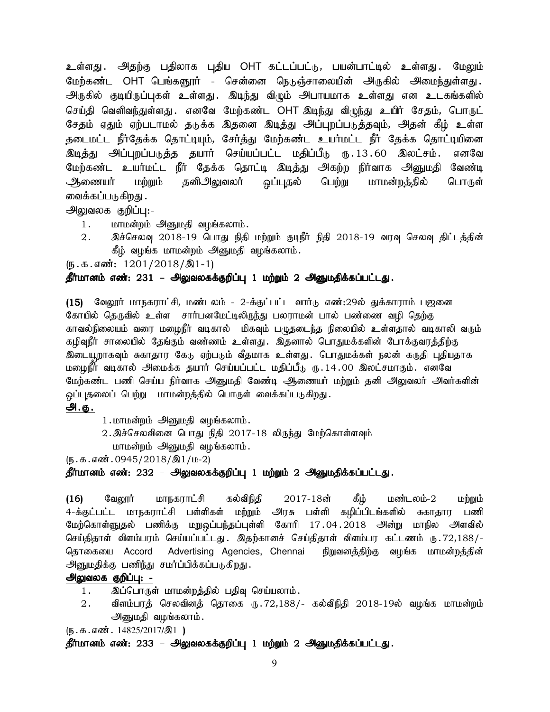உள்ளது . அதற்கு பதிலாக புதிய OHT கட்டப்பட்டு, பயன்பாட்டில் உள்ளது . மேலும் மேற்கண்ட OHT பெங்களூர் - சென்னை நெடுஞ்சாலையின் அருகில் அமைந்துள்ளது. அருகில் குடியிருப்புகள் உள்ளது. இடிந்து விழும் அபாயமாக உள்ளது என உடகங்களில் செய்தி வெளிவந்துள்ளது .எனவே மேற்கண்ட OHT இடிந்து விழந்து உயிர் சேதம், பொருட் சேதம் ஏதும் ஏற்படாமல் தடுக்க இதனை இடித்து அப்புறப்படுத்தவும், அதன் கீழ் உள்ள தடைமட்ட நீர்தேக்க தொட்டியும், சேர்த்து மேற்கண்ட உயர்மட்ட நீர் தேக்க தொட்டியினை இ<u>டித்து</u> அப்புறப்படுத்த தயார் செய்யப்பட்ட மதிப்பீடு ரூ.13.60 இலட்சம். எனவே மேற்கண்ட உயர்மட்ட நீர் தேக்க தொட்டி இடித்து அகற்ற நிர்வாக அனுமதி வேண்டி ஆணையர் மற்றும் தனிஅலுவலர் ஒப்புதல் பெற்று மாமன்றத்தில் பொருள் வைக்கப்படுகிறது .

அலுவலக குறிப்பு:-

- 1. மாமன்றம் அனுமதி வழங்கலாம்.
- 2. இச்செலவு 2018-19 பொது நிதி மற்றும் குடிநீர் நிதி 2018-19 வரவு செலவு திட்டத்தின் கீழ் வழங்க மாமன்றம் அனுமதி வழங்கலாம்.

(ந.க.எண்:  $1201/2018/\text{\AA}1-1$ )

## தீர்மானம் எண்: 231 – அலுவலகக்குறிப்பு 1 மற்றும் 2 அனுமதிக்கப்பட்டது.

(15) வேலூர் மாநகராட்சி, மண்டலம் - 2-க்குட்பட்ட வார்டு எண்:29ல் துக்காராம் பஜனை கோயில் தெருவில் உள்ள சார்பனமேட்டிலிருந்து பலராமன் பால் பண்ணை வழி தெற்கு காவல்நிலையம் வரை மழைநீர் வடிகால் மிகவும் பழுதடைந்த நிலையில் உள்ளதால் வடிகாலி வரும் கழிவுநீர் சாலையில் தேங்கும் வண்ணம் உள்ளது. இதனால் பொதுமக்களின் போக்குவரத்திற்கு இடையூறாகவும் சுகாதார கேடு ஏற்படும் வீதமாக உள்ளது. பொதுமக்கள் நலன் கருதி புதியதாக மழைநீர் வடிகால் அமைக்க தயார் செய்யப்பட்ட மதிப்பீ<sub>டு (ந.</sub> 14 .00 இலட்சமாகும். எனவே மேற்கண்ட பணி செய்ய நிர்வாக அனுமதி வேண்டி ஆணையர் மற்றும் தனி அலுவலர் அவர்களின் <u>ஒ</u>ப்புதலைப் பெற்று மாமன்றத்தில் பொருள் வைக்கப்படுகிறது.

## அ.<u>கு .</u>

- 1. மாமன்றம் அனுமதி வழங்கலாம்.
- $2.\overline{\mathcal{B}}$ ச்செலவினை பொது நிதி  $2017-18$  லிருந்து மேற்கொள்ளவும்
	- மாமன்றம் அனுமதி வழங்கலாம்.

 $(\mathfrak{g.}\mathfrak{g.}\mathfrak{g.}\mathfrak{g.}\mathfrak{g.}\mathfrak{g.}1/\mathfrak{g.}\mathfrak{g.}1/\mathfrak{g.}2)$ 

## தீர்மானம் எண்: 232 – அலுவலகக்குறிப்பு 1 மற்றும் 2 அனுமதிக்கப்பட்டது.

(16) கேலூர் மாநகராட்சி கல்விநிதி 2017-18ன் கீழ் மண்டலம்-2 மற்றும் 4-க்குட்பட்ட மாநகராட்சி பள்ளிகள் மற்றும் அரசு பள்ளி கழிப்பிடங்களில் சுகாதார பணி மேற்கொள்ளுதல் பணிக்கு மறுஒப்பந்தப்புள்ளி கோரி 17.04.2018 அன்று மாநில அளவில் செய்திதாள் விளம்பரம் செய்யப்பட்டது . இதற்கானச் செய்திதாள் விளம்பர கட்டணம் ரு .72,188/-தொகையை Accord Advertising Agencies, Chennai நிறுவனத்திற்கு வழங்க மாமன்றத்தின் அனுமதிக்கு பணிந்து சமர்ப்பிக்கப்படுகிறது.

## அலுவலக குறிப்பு: -

- 1. இப்பொருள் மாமன்றத்தில் பதிவு செய்யலாம்.
- $2.$  விளம்பரத் செலவினத் தொகை ரு.72,188/- கல்விநிதி 2018-19ல் வழங்க மாமன்றம் அனுமதி வழங்கலாம்.

 $(\mathbf{5} \cdot \mathbf{5} \cdot \mathbf{s} \cdot \mathbf{6} \cdot \mathbf{6} \cdot \mathbf{7})$ . 14825/2017/ $\mathbf{1})$ 

தீர்மானம் எண்: 233 – அலுவலகக்குறிப்பு 1 மற்றும் 2 அனுமதிக்கப்பட்டது.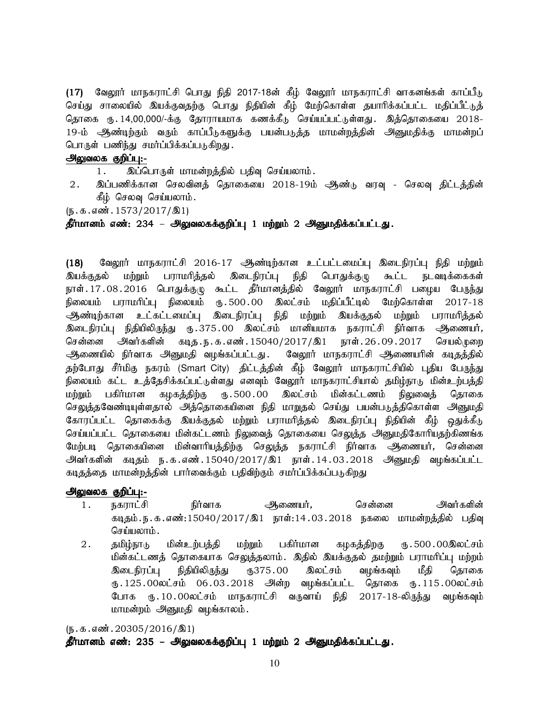(17) வேலூர் மாநகராட்சி பொது நிதி 2017-18ன் கீழ் வேலூர் மாநகராட்சி வாகனங்கள் காப்பீடு செய்து சாலையில் இயக்குவதற்கு பொது நிதியின் கீழ் மேற்கொள்ள தயாரிக்கப்பட்ட மதிப்பீட்டுத் தொகை ரூ. 14,00,000/-க்கு தோராயமாக கணக்கீடு செய்யப்பட்டுள்ளது . இத்தொகையை 2018-19-ம் ஆண்டிற்கும் வரும் காப்பீடுகளுக்கு பயன்படுத்த மாமன்றத்தின் அனுமதிக்கு மாமன்றப் பொருள் பணிந்து சமர்ப்பிக்கப்படுகிறது.

## அலுவலக குறிப்பு:-

- 1. இப்பொருள் மாமன்றத்தில் பதிவு செய்யலாம்.
- 2. இப்பணிக்கான செலவினத் தொகையை 2018-19ம் ஆண்டு வரவு செலவு திட்டத்தின் கீழ் செலவு செய்யலாம்.

 $(\mathfrak{h}.\mathfrak{g}.\mathfrak{g}.$  எண். 1573/2017/ $\mathfrak{A}1$ 

தீர்மானம் எண்: 234 – அலுவலகக்குறிப்பு 1 மற்றும் 2 அனுமதிக்கப்பட்டது.

(18) மேலூர் மாநகராட்சி 2016-17 ஆண்டிற்கான உட்பட்டமைப்பு இடைநிரப்பு நிதி மற்றும் இயக்குதல் மற்றும் பராமரித்தல் இடைநிரப்பு நிதி பொதுக்குழு கூட்ட நடவடிக்கைகள் நாள். 17 . 08 . 2016 பொதுக்குழு கூட்ட தீர்மானத்தில் வேலூர் மாநகராட்சி பழைய பேருந்து நிலையம் பராமரிப்பு நிலையம் ரூ.500.00 இலட்சம் மதிப்பீட்டில் மேற்கொள்ள 2017-18 ஆண்டிற்கான உட்கட்டமைப்பு இடைநிரப்பு நிதி மற்றும் இயக்குதல் மற்றும் பராமரித்தல் .<br>இடைநிரப்பு நிதியிலிருந்து ரு.375.00 இலட்சம் மானியமாக நகராட்சி நிர்வாக <del>அ</del>ணையர், சென்னை அவர்களின் கடித.ந.க.எண்.15040/2017/இ1 நாள்.26.09.2017 செயல்முறை ஆணையில் நிர்வாக அனுமதி வழங்கப்பட்டது. வேலூர் மாநகராட்சி ஆணையரின் கடிதத்தில் தற்போது சீர்மிகு நகரம் (Smart City) திட்டத்தின் கீழ் வேலூர் மாநகராட்சியில் புதிய பேருந்து நிலையம் கட்ட உத்தேசிக்கப்பட்டுள்ளது எனவும் வேலூர் மாநகராட்சியால் தமிழ்நாடு மின்உற்பத்தி<br>மற்றும் பகிர்மான கமகக்கிற்கு ரூ. 500 . 00 இலட்சம் மின்கட்டணம் நிலுவைக் கொகை மற்றும் பகிர்மான கழகத்திற்கு ரு.500.00 இலட்சம் மின்கட்டணம் நிலுவைத் தொகை செலுத்தவேண்டியுள்ளதால் அத்தொகையினை நிதி மாறுதல் செய்து பயன்படுத்திகொள்ள அ<u>னு</u>மதி கோரப்பட்ட தொகைக்கு இயக்குதல் மற்றும் பராமரித்தல் இடைநிரப்பு நிதியின் கீழ் ஒதுக்கீடு செய்யப்பட்ட தொகையை மின்கட்டணம் நிலுவைத் தொகையை செ<u>லுத்</u>த அனுமதிகோரியதற்கிணங்க மேற்படி தொகையினை மின்வாரியத்திற்கு செலுத்த நகராட்சி நிர்வாக அணையர், சென்னை அவர்களின் கடிதம் ந.க.எண்.15040/2017/இ1 நாள்.14.03.2018 அனுமதி வழங்கப்பட்ட கடிதத்தை மாமன்றத்தின் பார்வைக்கும் பதிவிற்கும் சமர்ப்பிக்கப்படுகிறது

#### அலுவலக குறிப்பு:-

- 1. நகராட்சி நிர்வாக ஆணையர், சென்னை அவர்களின் கடிதம்.ந.க.எண்:15040/2017/இ1 நாள்:14.03.2018 நகலை மாமன்றத்தில் பதிவு செய்யலாம் $\,$ .
- 2. தமிழ்நாடு மின்உற்பத்தி மற்றும் பகிர்மான கழகத்திறகு ரு.500.00இலட்சம் மின்கட்டணத் தொகையாக செலுத்தலாம். இதில் இயக்குதல் தமற்றும் பராமரிப்பு மற்றம் <mark>இடைநிரப்பு நிதியிலிருந்து ரு375.00 இலட்சம் வழங்கவும் மீதி தொகை</mark> ரு.125.00லட்சம் 06.03.2018 அின்ற வழங்கப்பட்ட தொகை ரு.115.00லட்சம் போக ரு.10.00லட்சம் மாநகராட்சி வருவாய் நிதி 2017-18-லிருந்து வழங்கவும் மாமன்றம் அனுமதி வழங்காலம்.

 $(\mathfrak{g}.\mathfrak{g}.\mathfrak{g}.$ எண். 20305/2016/ $\mathfrak{A}1$ 

#### தீர்மானம் எண்: 235 – அலுவலகக்குறிப்பு 1 மற்றும் 2 அனுமதிக்கப்பட்டது.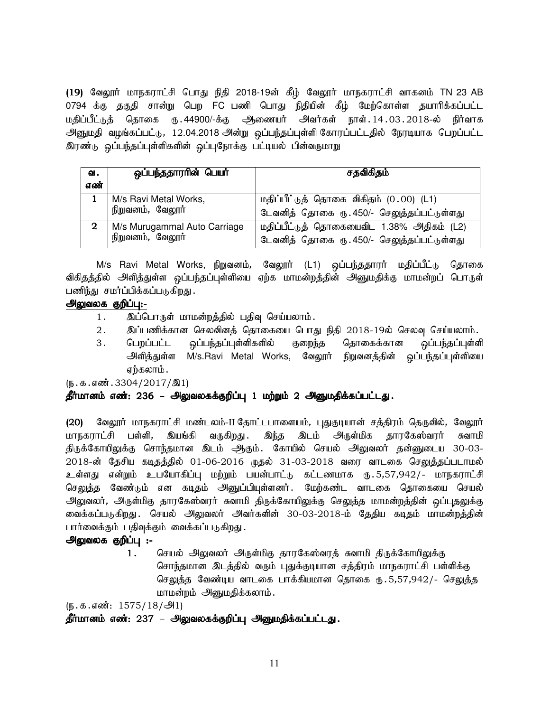(19) வேலூர் மாநகராட்சி பொது நிதி 2018-19ன் கீழ் வேலூர் மாநகராட்சி வாகனம் TN 23 AB 0794 க்கு தகுதி சான்று பெற FC பணி பொது நிதியின் கீழ் மேற்கொள்ள தயாரிக்கப்பட்ட மதிப்பீட்டுத் தொகை ரு.44900/-க்கு ஆணையர் அவர்கள் நாள்.14.03.2018-ல் நிர்வாக அனுமதி வழங்கப்பட்டு, 12.04.2018 அன்று ஒப்பந்தப்புள்ளி கோரப்பட்டதில் நேரடியாக பெறப்பட்ட இரண்டு ஒப்பந்தப்புள்ளிகளின் ஒப்புநோக்கு பட்டியல் பின்வருமாறு

| வ.<br>எண்      | ஒப்பந்ததாரரின் பெயர்                             | சதவிகிதம்                                                                               |
|----------------|--------------------------------------------------|-----------------------------------------------------------------------------------------|
|                | M/s Ravi Metal Works,<br>நிறுவனம், வேலூர்        | மதிப்பீட்டுத் தொகை விகிதம் (0.00) (L1)<br>டேவனித் தொகை ரு. 450/- செலுத்தப்பட்டுள்ளது    |
| $\overline{2}$ | M/s Murugammal Auto Carriage<br>நிறுவனம், வேலூர் | மதிப்பீட்டுத் தொகையைவிட 1.38% அதிகம் (L2)<br>டேவனித் தொகை ரு. 450/- செலுத்தப்பட்டுள்ளது |

M/s Ravi Metal Works, நிறுவனம், வேலூர் (L1) ஒப்பந்ததாரர் மதிப்பீட்டு தொகை விகிதத்தில் அளித்துள்ள ஒப்பந்தப்புள்ளியை ஏற்க மாமன்றத்தின் அனுமதிக்கு மாமன்றப் பொருள் பணிந்து சமர்ப்பிக்கப்படுகிறது.

## அலுவலக குறிப்பு:-

- 1. இப்பொருள் மாமன்றத்தில் பதிவு செய்யலாம்.
- 2. இப்பணிக்கான செலவினத் தொகையை பொது நிதி 2018-19ல் செலவு செய்யலாம்.
- 3. பெறப்பட்ட ஒப்பந்தப்புள்ளிகளில் குறைந்த தொகைக்கான ஒப்பந்தப்புள்ளி அளித்துள்ள M/s.Ravi Metal Works, வேலூர் நிறுவனத்தின் ஒப்பந்தப்புள்ளியை ஏற்கலாம்.

 $(\mathbf{b}.\mathbf{A}.\mathbf{a} \cdot \mathbf{w}$  . 3304/2017/ $\mathbf{A}$ 1)

## தீர்மானம் எண்: 236 – அலுவலகக்குறிப்பு 1 மற்றும் 2 அனுமதிக்கப்பட்டது.

(20) வேலூர் மாநகராட்சி மண்டலம்-II தோட்டபாளையம், புதுகுடியான் சத்திரம் தெருவில், வேலூர் மாநகராட்சி பள்ளி, இயங்கி வருகிறது. இந்த இடம் அருள்மிக தாரகேஸ்வரர் சுவாமி திருக்கோயிலுக்கு சொந்தமான இடம் ஆகும். கோயில் செயல் அலுவலர் தன்னுடைய 30-03-2018-ன் தேசிய கடிதத்தில் 01-06-2016 முதல் 31-03-2018 வரை வாடகை செலுத்தப்படாமல் உள்ளது என்றும் உபயோகிப்பு மற்றும் பயன்பாட்டு கட்டணமாக ரு.5,57,942/- மாநகராட்சி செலுத்த வேண்டும் என கடிதம் அனுப்பியுள்ளனர். மேற்கண்ட வாடகை தொகையை செயல் அலுவலர், அருள்மிகு தாரகேஸ்வரர் சுவாமி திருக்கோயிலுக்கு செலுத்த மாமன்றத்தின் ஒப்புதலுக்கு வைக்கப்படுகிறது . செயல் அலுவலர் அவர்களின் 30-03-2018-ம் தேதிய கடிதம் மாமன்றத்தின் பார்வைக்கும் பதிவுக்கும் வைக்கப்படுகிறது.

# அலுவலக குறிப்பு :-

1. செயல் அலுவலர் அருள்மிகு தாரகேஸ்வரத் சுவாமி திருக்கோயிலுக்கு சொந்தமான இடத்தில் வரும் புதுக்குடியான சத்திரம் மாநகராட்சி பள்ளிக்கு செலுத்த வேண்டிய வாடகை பாக்கியமான தொகை ரூ. 5,57,942/- செலுத்த மாமன்றம் அனுமதிக்கலாம்.

 $(\mathbf{b}.\mathbf{a}.\mathbf{a} \cdot \mathbf{w}$ : 1575/18/அ1)

தீர்மானம் எண்: 237 – அலுவலகக்குறிப்பு அனுமதிக்கப்பட்டது.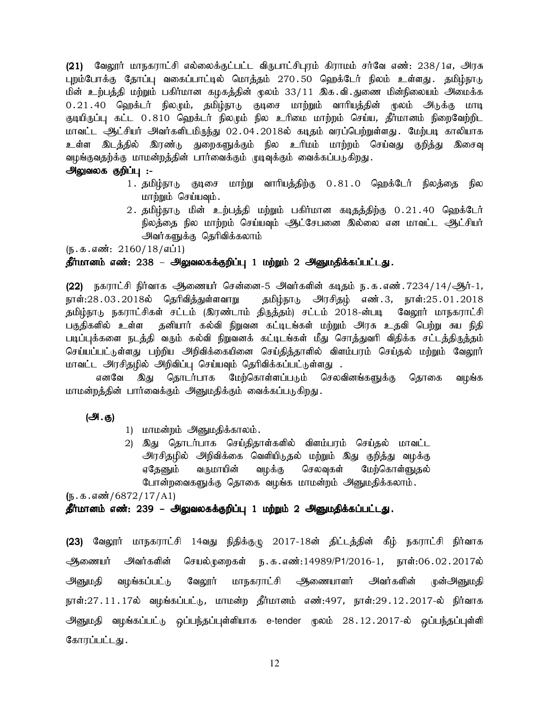(21) மேலூர் மாநகராட்சி எல்லைக்குட்பட்ட விருபாட்சிபுரம் கிராமம் சர்வே எண்: 238/1எ, அரசு புறம்போக்கு தோப்பு வகைப்பாட்டில் மொத்தம் 270.50 ஹெக்டேர் நிலம் உள்ளது. தமிழ்நாடு மின் உற்பத்தி மற்றும் பகிர்மான கழகத்தின் மூலம் 33/11 இக.வி.துணை மின்நிலையம் அமைக்க 0.21.40 ஹெக்டர் நிலமும், தமிம்நாடு குடிசை மாற்றும் வாரியத்தின் மூலம் அடுக்கு மாடி குடியிருப்பு கட்ட 0.810 ஹெக்டர் நிலமும் நில உரிமை மாற்றம் செய்ய, தீர்மானம் நிறைவேற்றிட மாவட்ட ஆட்சியர் அவர்களிடமிருந்து 02.04.2018ல் கடிதம் வரப்பெற்றுள்ளது. மேற்படி காலியாக உள்ள இடத்தில் இரண்டு துறைகளுக்கும் நில உரிமம் மாற்றம் செய்வது குறித்து இசைவு வழங்குவதற்க்கு மாமன்றத்தின் பார்வைக்கும் முடிவுக்கும் வைக்கப்படுகிறது.

## அலுவலக குறிப்பு :-

- 1. தமிழ்நாடு குடிசை மாற்று வாரியத்திற்கு 0.81.0 ஹெக்டேர் நிலத்தை நில மாற்றும் செய்யவும்.
- 2. தமிழ்நாடு மின் உற்பத்தி மற்றும் பகிர்மான கடிதத்திற்கு 0.21.40 ஹெக்டேர் நிலத்தை நில மாற்றம் செய்யவும் ஆட்சேபனை இல்லை என மாவட்ட ஆட்சியர் அவர்களுக்கு தெரிவிக்கலாம்

(ந.க.எண்: 2160/18/எப்1)

## தீர்மானம் எண்: 238 – அலுவலகக்குறிப்பு 1 மற்றும் 2 அனுமதிக்கப்பட்டது.

(22) நகராட்சி நிர்வாக அிணையர் சென்னை-5 அவர்களின் கடிதம் ந.க.எண்.7234/14/ஆர்-1, நாள்:28 . 03 . 2018ல் தெரிவித்துள்ளவாறு தமிழ்நாடு அரசிதழ் எண்.3, நாள்:25.01.2018 தமிழ்நாடு நகராட்சிகள் சட்டம் (இரண்டாம் திருத்தம்) சட்டம் 2018-ன்படி வேலூர் மாநகராட்சி பகுதிகளில் உள்ள தனியார் கல்வி நிறுவன கட்டிடங்கள் மற்றும் அரசு உதவி பெற்று சுய நிதி படிப்புக்களை நடத்தி வரும் கல்வி நிறுவனக் கட்டிடங்கள் மீது சொத்துவரி விதிக்க சட்டத்திருத்தம் செய்யப்பட்டுள்ளது பற்றிய அறிவிக்கையினை செய்தித்தாளில் விளம்பரம் செய்தல் மற்றும் வேலூர் மாவட்ட அரசிதழில் அறிவிப்பு செய்யவும் தெரிவிக்கப்பட்டுள்ளது .

எனவே இது தொடர்பாக மேற்கொள்ளப்படும் செலவினங்களுக்கு தொகை வழங்க மாமன்றத்தின் பார்வைக்கும் அனுமதிக்கும் வைக்கப்படுகிறது.

(அ.கு)

- 1) மாமன்றம் அனுமதிக்காலம்.
- 2) இது தொடர்பாக செய்திதாள்களில் விளம்பரம் செய்தல் மாவட்ட அரசிதழில் அறிவிக்கை வெளியிடுதல் மற்றும் இது குறித்து வழக்கு வருமாயின் வழக்கு செலவுகள் மேற்கொள்ளுதல் ஏதேனும் போன்றவைகளுக்கு தொகை வழங்க மாமன்றம் அனுமதிக்கலாம்.

(ந. க. எண்் / 6872 / 17 / A1)

#### தீர்மானம் எண்: 239 – அலுவலகக்குறிப்பு 1 மற்றும் 2 அனுமதிக்கப்பட்டது.

(23) வேலூர் மாநகராட்சி 14வது நிதிக்குழு 2017-18ன் திட்டத்தின் கீழ் நகராட்சி நிர்வாக அவர்களின் செயல்முறைகள் ந.க.எண்:14989/P1/2016-1, நாள்:06.02.2017ல் ஆணையர் வழங்கப்பட்டு வேலூர் மாநகராட்சி *-*ஆணையாளர் அவர்களின் அனுமதி முன்அனுமதி நாள்:27.11.17ல் வழங்கப்பட்டு, மாமன்ற தீர்மானம் எண்:497, நாள்:29.12.2017-ல் நிர்வாக அனுமதி வழங்கப்பட்டு ஒப்பந்தப்புள்ளியாக e-tender மூலம் 28.12.2017-ல் ஒப்பந்தப்புள்ளி கோரப்பட்டது .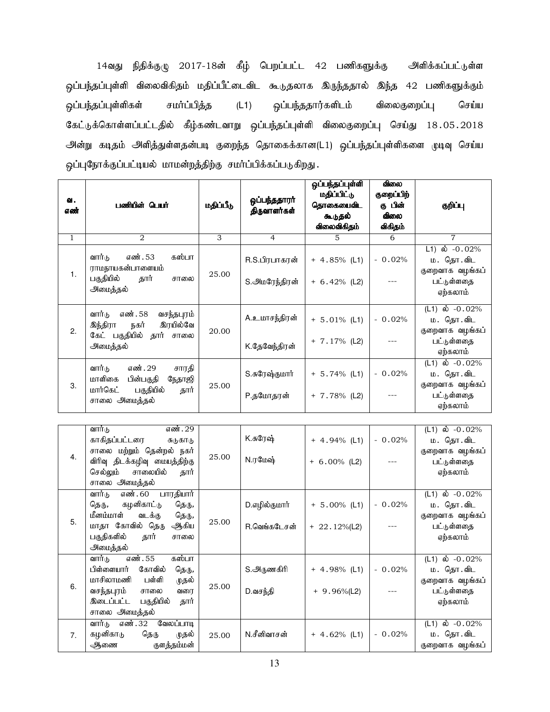14வது நிதிக்குழு 2017-18ன் கீழ் பெறப்பட்ட 42 பணிகளுக்கு அளிக்கப்பட்டுள்ள ஒப்பந்தப்புள்ளி விலைவிகிதம் மதிப்பீட்டைவிட கூடுதலாக இருந்ததால் இந்த 42 பணிகளுக்கும் ஒப்பந்தப்புள்ளிகள் சமா்ப்பித்த (L1) ஒப்பந்ததார்களிடம் விலைகுறைப்பு செய்ய கேட்டுக்கொள்ளப்பட்டதில் கீழ்கண்டவாறு ஒப்பந்தப்புள்ளி விலைகுறைப்பு செய்து 18.05.2018 அன்று கடிதம் அளித்துள்ளதன்படி குறைந்த தொகைக்கான(L1) ஒப்பந்தப்புள்ளிகளை முடிவு செய்ய ஒப்புநோக்குப்பட்டியல் மாமன்றத்திற்கு சமா்ப்பிக்கப்படுகிறது.

| ഖ.<br>எண்    | பணியின் பெயர்                                                                                                 | மதிப்பீடு | ஒப்பந்ததாரர்<br>திருவாளர்கள்   | ஒப்பந்தப்புள்ளி<br>மதிப்பிட்டு<br>தொகையைவிட<br>கூடுதல்<br>விலைவிகிதம் | விலை<br>குறைப்பிற்<br>கு பின்<br>விலை<br>விகிதம் | குறிப்பு                                                                     |
|--------------|---------------------------------------------------------------------------------------------------------------|-----------|--------------------------------|-----------------------------------------------------------------------|--------------------------------------------------|------------------------------------------------------------------------------|
| $\mathbf{1}$ | 2                                                                                                             | 3         | $\overline{4}$                 | 5                                                                     | 6                                                | $\overline{7}$                                                               |
| 1.           | எண். 53<br>கஸ்பா<br>வார்டு<br>ராமநாயகன்பாளையம்<br>பகுதியில்<br>தார்<br>சாலை<br>அமைத்தல்                       | 25.00     | R.S.பிரபாகரன்<br>S.அமரேந்திரன் | $+ 4.85\%$ (L1)<br>$+ 6.42\%$ (L2)                                    | $-0.02%$                                         | $L1)$ ல் $-0.02\%$<br>ம. தொ.விட<br>குறைவாக வழங்கப்<br>பட்டுள்ளதை<br>ஏற்கலாம் |
| 2.           | வார்டு<br>எண். 58<br>வசந்தபுரம்<br>இரயில்வே<br>இந்திரா<br>நகர்<br>கேட் பகுதியில்<br>தார் சாலை<br>அமைத்தல்     | 20.00     | A.உமாசந்திரன்<br>K.தேவேந்திரன் | $+ 5.01\%$ (L1)<br>$+ 7.17%$ (L2)                                     | $-0.02%$                                         | (L1) ல் $-0.02\%$<br>ம. தொ.விட<br>குறைவாக வழங்கப்<br>பட்டுள்ளதை<br>ஏற்கலாம்  |
| 3.           | வார்டு<br>எண். 29<br>சாரதி<br>மாளிகை<br>பின்பகுதி<br>நேதாஜி<br>மார்கெட்<br>பகுதியில்<br>தார்<br>சாலை அமைத்தல் | 25.00     | S.சுரேஷ்குமார்<br>P.தமோதரன்    | $+ 5.74\%$ (L1)<br>$+ 7.78\%$ (L2)                                    | $-0.02%$                                         | (L1) ல் $-0.02\%$<br>ம. தொ.விட<br>குறைவாக வழங்கப்<br>பட்டுள்ளதை<br>ஏற்கலாம்  |

| 4. | வார்டு<br>எண். 29<br>காகிதப்பட்டரை<br>சுடுகாடு<br>சாலை மற்றும் தென்றல் நகர்<br>விரிவு திடக்கழிவு மையத்திற்கு<br>சாலையில்<br>செல்லும்<br>தார்<br>சாலை அமைத்தல்              | 25.00 | K.சுரேஷ்<br>N.ரமேஷ்                 | $+ 4.94\%$ (L1)<br>$+ 6.00\%$ (L2) | $-0.02%$ | (L1) ல் $-0.02%$<br>ம. தொ.விட<br>குறைவாக வழங்கப்<br>பட்டுள்ளதை<br>ஏற்கலாம்  |
|----|----------------------------------------------------------------------------------------------------------------------------------------------------------------------------|-------|-------------------------------------|------------------------------------|----------|-----------------------------------------------------------------------------|
| 5. | பாரதியார்<br>வார்டு<br>எண். $60$<br>கழனிகாட்டு<br>தெரு,<br>தெரு,<br>மீனம்மாள்<br>வடக்கு<br>தெரு,<br>மாதா கோவில் தெரு<br>ஆகிய<br>பகுதிகளில்<br>தார்<br>சாலை<br>அமைத்தல்     | 25.00 | D.எழில்குமார்<br>R.வெங்கடேசன்       | $+ 5.00\%$ (L1)<br>$+22.12\%$ (L2) | $-0.02%$ | (L1) ல் $-0.02\%$<br>ம. தொ.விட<br>குறைவாக வழங்கப்<br>பட்டுள்ளதை<br>ஏற்கலாம் |
| 6. | எண். 55<br>கஸ்பா<br>வார்டு<br>கோவில்<br>பிள்ளையார்<br>தெரு,<br>மாசிலாமணி<br>பள்ளி<br>முதல்<br>வசந்தபுரம்<br>வரை<br>சாலை<br>இடைப்பட்ட<br>பகுதியில்<br>தார்<br>சாலை அமைத்தல் | 25.00 | S.அ <sub>ருணகி</sub> ரி<br>D.வசந்தி | $+ 4.98\%$ (L1)<br>$+9.96\%$ (L2)  | $-0.02%$ | (L1) ல் $-0.02%$<br>ம. தொ.விட<br>குறைவாக வழங்கப்<br>பட்டுள்ளதை<br>ஏற்கலாம்  |
| 7. | எண். 32<br>வேலப்பாடி<br>வார்டு<br>கழனிகாடு<br>தெரு<br>முதல்<br>குளத்தம்மன்<br>ஆணை                                                                                          | 25.00 | N.சீனிவாசன்                         | $+ 4.62\%$ (L1)                    | $-0.02%$ | (L1) ல் $-0.02\%$<br>ம. தொ.விட<br>குறைவாக வழங்கப்                           |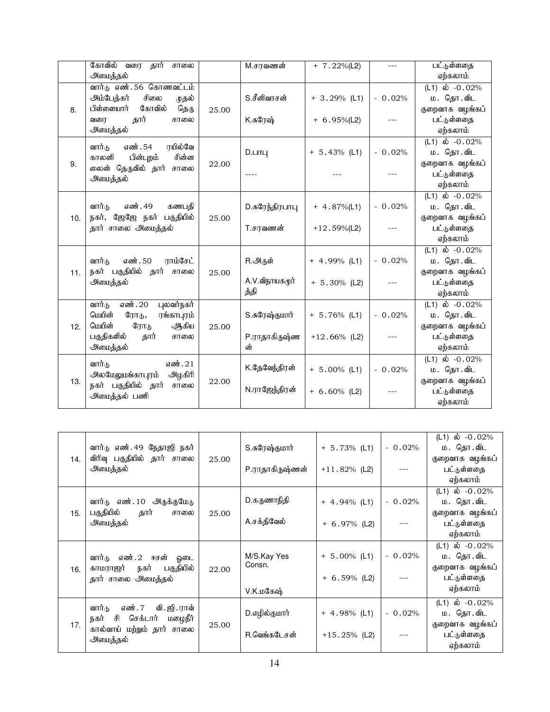|     | கோவில்<br>வரை<br>தார்<br>சாலை   |       | M.சரவணன்        | $+ 7.22\%$ (L2) | $---$    | பட்டுள்ளதை          |
|-----|---------------------------------|-------|-----------------|-----------------|----------|---------------------|
|     | அமைத்தல்                        |       |                 |                 |          | ஏற்கலாம்            |
|     | வார்டு எண். 56 கொணவட்டம்        |       |                 |                 |          | $(L1)$ ல் $-0.02\%$ |
|     | அம்பேத்கர்<br>சிலை<br>முதல்     |       | S.சீனிவாசன்     | $+3.29\%$ (L1)  | $-0.02%$ | ம. தொ.விட           |
| 8.  | கோவில்<br>பிள்ளையார்<br>தெரு    | 25.00 |                 |                 |          | குறைவாக வழங்கப்     |
|     | தார்<br>சாலை<br>வரை             |       | K.சுரேஷ்        | $+ 6.95\%$ (L2) |          | பட்டுள்ளதை          |
|     | அமைத்தல்                        |       |                 |                 |          | ஏற்கலாம்            |
|     | எண். 54<br>ரயில்வே<br>வார்டு    |       |                 |                 |          | $(L1)$ ல் $-0.02\%$ |
|     | சின்ன<br>காலனி<br>பின்புறம்     |       | $D.$ $LITL$     | $+ 5.43%$ (L1)  | $-0.02%$ | ம. தொ.விட           |
| 9.  | லைன் தெருவில் தார் சாலை         | 22.00 |                 |                 |          | குறைவாக வழங்கப்     |
|     | அமைத்தல்                        |       |                 |                 |          | பட்டுள்ளதை          |
|     |                                 |       |                 |                 |          | ஏற்கலாம்            |
|     |                                 |       |                 |                 |          | $(L1)$ ல் $-0.02\%$ |
|     | எண். 49<br>வார்ம<br>கணபகி       |       | D.சுரேந்திரபாபு | $+ 4.87\%$ (L1) | $-0.02%$ | ம. தொ.விட           |
| 10. | நகர், ஜேஜே நகர் பகுதியில்       | 25.00 |                 |                 |          | குறைவாக வழங்கப்     |
|     | தார் சாலை அமைத்தல்              |       | T.சரவணன்        | $+12.59\%$ (L2) |          | பட்டுள்ளதை          |
|     |                                 |       |                 |                 |          | ஏற்கலாம்            |
|     |                                 |       |                 |                 |          | $(L1)$ ல் $-0.02\%$ |
|     | வார்டு<br>எண். 50<br>ராம்சேட்   |       | R.அருள்         | $+ 4.99%$ (L1)  | $-0.02%$ | ம. தொ.விட           |
| 11. | நகர் பகுதியில் தார் சாலை        | 25.00 |                 |                 |          | குறைவாக வழங்கப்     |
|     | அமைத்தல்                        |       | A.V.விநாயகமூர்  | $+ 5.30\%$ (L2) |          | பட்டுள்ளதை          |
|     |                                 |       | த்தி            |                 |          | ஏற்கலாம்            |
|     | எண். 20<br>புலவர்நகர்<br>வார்டு |       |                 |                 |          | $(L1)$ ல் $-0.02\%$ |
|     | மெயின்<br>ரோடு,<br>ரங்காபுரம்   |       | S.சுரேஷ்குமார்  | $+ 5.76%$ (L1)  | $-0.02%$ | ம. தொ.விட           |
| 12. | மெயின்<br>ரோடு<br>ஆகிய          | 25.00 |                 |                 |          | குறைவாக வழங்கப்     |
|     | பகுதிகளில்<br>தார்<br>சாலை      |       | P.ராதாகிருஷ்ண   | $+12.66%$ (L2)  | ---      | பட்டுள்ளதை          |
|     | அமைத்தல்                        |       | ன்              |                 |          | ஏற்கலாம்            |
|     | வார்டு<br>எண். 21               |       | K.தேவேந்திரன்   |                 |          | $(L1)$ ல் $-0.02\%$ |
|     | அலமேலுமங்காபுரம்<br>அழகிரி      |       |                 | $+ 5.00\%$ (L1) | $-0.02%$ | ம. தொ.விட           |
| 13. | நகர் பகுதியில் தார்<br>சாலை     | 22.00 |                 |                 |          | குறைவாக வழங்கப்     |
|     | அமைத்தல் பணி                    |       | N.ராஜேந்திரன்   | $+ 6.60\%$ (L2) |          | பட்டுள்ளதை          |
|     |                                 |       |                 |                 |          | ஏற்கலாம்            |

| 14. | வார்டு எண். 49 நேதாஜி நகர்<br>விரிவு பகுதியில் தார் சாலை<br>அமைத்தல்      | 25.00 | S.சுரேஷ்குமார்<br>P.ராதாகிருஷ்ணன் | $+ 5.73\%$ (L1)<br>$+11.82%$ (L2) | $-0.02%$ | (L1) ல் $-0.02\%$<br>ம. தொ.விட<br>குறைவாக வழங்கப்<br>பட்டுள்ளதை |
|-----|---------------------------------------------------------------------------|-------|-----------------------------------|-----------------------------------|----------|-----------------------------------------------------------------|
|     |                                                                           |       |                                   |                                   |          | ஏற்கலாம்                                                        |
|     | வார்டு எண்.10 அருக்குமேடு                                                 |       | D.கருணாநிதி                       | $+ 4.94\%$ (L1)                   | $-0.02%$ | (L1) ல் $-0.02\%$<br>ம. தொ.விட                                  |
| 15. | பகுதியில்<br>தார்<br>சாலை<br>அமைத்தல்                                     | 25.00 | A.சக்திவேல்                       | $+ 6.97\%$ (L2)                   |          | குறைவாக வழங்கப்<br>பட்டுள்ளதை<br>ஏற்கலாம்                       |
| 16. | வார்டு எண்.2 ஈசன் ஓடை<br>பகுதியில்<br>காமராஜர் நகர்<br>தார் சாலை அமைத்தல் | 22.00 | M/S.Kay Yes<br>Consn.             | $+ 5.00\%$ (L1)<br>$+ 6.59%$ (L2) | $-0.02%$ | (L1) ல் $-0.02%$<br>ம. தொ.விட<br>குறைவாக வழங்கப்<br>பட்டுள்ளதை  |
|     |                                                                           |       | V.K.மகேஷ்                         |                                   |          | ஏற்கலாம்                                                        |
| 17. | வி. ஜி. ராவ்<br>எண் . 7<br>வார்டு<br>செக்டார்<br>சி<br>மழைநீர்<br>நகர்    | 25.00 | D.எழில்குமார்                     | $+ 4.98\%$ (L1)                   | $-0.02%$ | (L1) ல் $-0.02%$<br>ம. தொ.விட<br>குறைவாக வழங்கப்                |
|     | கால்வாய் மற்றும் தார் சாலை<br>அமைத்தல்                                    |       | R.வெங்கடேசன்                      | $+15.25\%$ (L2)                   |          | பட்டுள்ளதை<br>ஏற்கலாம்                                          |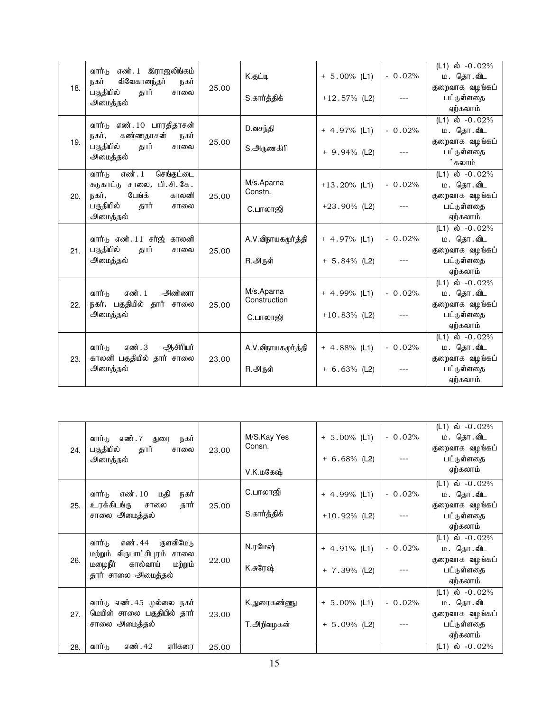| 18. | எண். 1 இராஜலிங்கம்<br>வார்டு<br>விவேகானந்தர்<br>நகர்<br>நகர்<br>பகுதியில்<br>தார்<br>சாலை<br>அமைத்தல்                                | 25.00 | K.குட்டி<br>S.கார்த்திக்               | $+ 5.00\%$ (L1)<br>$+12.57\%$ (L2) | $-0.02%$ | (L1) ல் $-0.02%$<br>ம. தொ.விட<br>குறைவாக வழங்கப்<br>பட்டுள்ளதை<br>ஏற்கலாம்    |
|-----|--------------------------------------------------------------------------------------------------------------------------------------|-------|----------------------------------------|------------------------------------|----------|-------------------------------------------------------------------------------|
| 19. | வார்டு எண்.10 பாரதிதாசன்<br>நகர்,<br>கண்ணதாசன்<br>நகர்<br>பகுதியில்<br>தார்<br>சாலை<br>அமைத்தல்                                      | 25.00 | D.வசந்தி<br>S.அருணகிரி                 | $+ 4.97\%$ (L1)<br>$+9.94\%$ (L2)  | $-0.02%$ | $(L1)$ ல் $-0.02\%$<br>ம. தொ.விட<br>குறைவாக வழங்கப்<br>பட்டுள்ளதை<br>கலாம்    |
| 20. | எண். 1<br>வார்டு<br>செங்குட்டை<br>பி.சி.கே.<br>சுடுகாட்டு சாலை,<br>பேங்க்<br>நகர்,<br>காலனி<br>பகுதியில்<br>தார்<br>சாலை<br>அமைத்தல் | 25.00 | M/s.Aparna<br>Constn.<br>C.பாலாஜி      | $+13.20\%$ (L1)<br>$+23.90\%$ (L2) | $-0.02%$ | $(L1)$ ல் $-0.02\%$<br>ம. தொ.விட<br>குறைவாக வழங்கப்<br>பட்டுள்ளதை<br>ஏற்கலாம் |
| 21. | வாா்ட எண்.11 சா்ஜ்<br>காலனி<br>பகுதியில்<br>தார்<br>சாலை<br>அமைத்தல்                                                                 | 25.00 | A.V.விநாயகமூர்த்தி<br>R.அருள்          | $+ 4.97%$ (L1)<br>$+ 5.84\%$ (L2)  | $-0.02%$ | $(L1)$ ல் $-0.02\%$<br>ம. தொ.விட<br>குறைவாக வழங்கப்<br>பட்டுள்ளதை<br>ஏற்கலாம் |
| 22. | எண். 1<br>அண்ணா<br>வார்ம<br>நகர், பகுதியில்<br>தார் சாலை<br>அமைத்தல்                                                                 | 25.00 | M/s.Aparna<br>Construction<br>C.பாலாஜி | $+ 4.99%$ (L1)<br>$+10.83\%$ (L2)  | $-0.02%$ | $(L1)$ ல் $-0.02\%$<br>ம. தொ.விட<br>குறைவாக வழங்கப்<br>பட்டுள்ளதை<br>ஏற்கலாம் |
| 23. | எண். 3<br>ஆசிரியர்<br>வார்டு<br>காலனி பகுதியில் தார் சாலை<br>அமைத்தல்                                                                | 23.00 | A.V.விநாயகமூர்த்தி<br>R.அருள்          | $+ 4.88\%$ (L1)<br>$+ 6.63%$ (L2)  | $-0.02%$ | $(L1)$ ல் $-0.02\%$<br>ம. தொ.விட<br>குறைவாக வழங்கப்<br>பட்டுள்ளதை<br>ஏற்கலாம் |

| 24. | எண். 7 துரை<br>வார்டு<br>நகர்<br>பகுதியில்<br>தார்<br>சாலை<br>அமைத்தல்                                              | 23.00 | M/S.Kay Yes<br>Consn.<br>V.K.மகேஷ் | $+ 5.00\%$ (L1)<br>$+ 6.68\%$ (L2) | $-0.02%$ | (L1) ல் -0.02%<br>ம. தொ.விட<br>குறைவாக வழங்கப்<br>பட்டுள்ளதை<br>ஏற்கலாம்    |
|-----|---------------------------------------------------------------------------------------------------------------------|-------|------------------------------------|------------------------------------|----------|-----------------------------------------------------------------------------|
| 25. | எண். 10<br>மதி<br>வார்டு<br>நகர்<br>உரக்கிடங்கு<br>தார்<br>சாலை<br>சாலை அமைத்தல்                                    | 25.00 | C.பாலாஜி<br>S.கார்த்திக்           | $+ 4.99\%$ (L1)<br>$+10.92\%$ (L2) | $-0.02%$ | (L1) ல் $-0.02%$<br>ம. தொ.விட<br>குறைவாக வழங்கப்<br>பட்டுள்ளதை<br>ஏற்கலாம்  |
| 26. | எண். 44 குளவிமேடு<br>வார்டு<br>மற்றும் விருபாட்சிபுரம் சாலை<br>மழைநீா்<br>கால்வாய்<br>மற்றும்<br>தார் சாலை அமைத்தல் | 22.00 | N.ரமேஷ்<br>K.சுரேஷ்                | $+ 4.91\%$ (L1)<br>$+ 7.39\%$ (L2) | $-0.02%$ | (L1) ல் $-0.02\%$<br>ம. தொ.விட<br>குறைவாக வழங்கப்<br>பட்டுள்ளதை<br>ஏற்கலாம் |
| 27. | வார்டு எண். 45 முல்லை நகர்<br>மெயின் சாலை பகுதியில் தார்<br>சாலை அமைத்தல்                                           | 23.00 | K.துரைகண்ணு<br>T.அறிவழகன்          | $+ 5.00\%$ (L1)<br>$+ 5.09%$ (L2)  | $-0.02%$ | (L1) ல் $-0.02\%$<br>ம. தொ.விட<br>குறைவாக வழங்கப்<br>பட்டுள்ளதை<br>ஏற்கலாம் |
| 28. | வார்டு<br>எண். 42<br>ஏரிகரை                                                                                         | 25.00 |                                    |                                    |          | (L1) ல் -0.02%                                                              |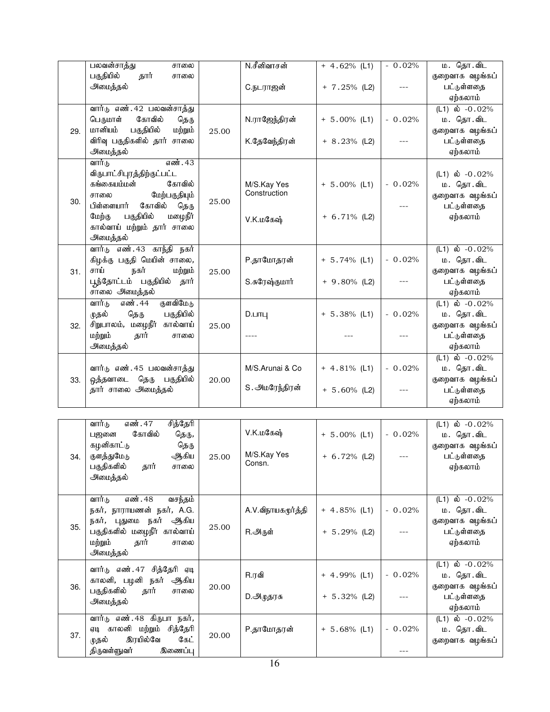|     | பலவன்சாத்து<br>சாலை                                                                                                                                                                                            |       | N.சீனிவாசன்                              | $+ 4.62%$ (L1)                     | $-0.02%$        | ம. தொ.விட                                                                     |
|-----|----------------------------------------------------------------------------------------------------------------------------------------------------------------------------------------------------------------|-------|------------------------------------------|------------------------------------|-----------------|-------------------------------------------------------------------------------|
|     | பகுதியில்<br>தார்<br>சாலை<br>அமைத்தல்                                                                                                                                                                          |       | C.நடராஜன்                                | $+ 7.25\%$ (L2)                    |                 | குறைவாக வழங்கப்<br>பட்டுள்ளதை<br>ஏற்கலாம்                                     |
| 29. | வார்டு எண். 42 பலவன்சாத்து<br>கோவில்<br>டெருமாள்<br>தெரு<br>மானியம்<br>பகுதியில்<br>மற்றும்<br>விரிவு பகுதிகளில் தார் சாலை<br>அமைத்தல்                                                                         | 25.00 | N.ராஜேந்திரன்<br>K.தேவேந்திரன்           | $+ 5.00\%$ (L1)<br>$+ 8.23\%$ (L2) | $-0.02%$        | (L1) ல் $-0.02%$<br>ம. தொ.விட<br>குறைவாக வழங்கப்<br>பட்டுள்ளதை<br>ஏற்கலாம்    |
| 30. | எண். 43<br>வார்டு<br>விருபாட்சிபுரத்திற்குட்பட்ட<br>கோவில்<br>கங்கையம்மன்<br>மேற்பகுதியும்<br>சாலை<br>பிள்ளையார்<br>கோவில்<br>தெரு<br>பகுதியில்<br>மழைநீர்<br>மேற்கு<br>கால்வாய் மற்றும் தார் சாலை<br>அமைத்தல் | 25.00 | M/S.Kay Yes<br>Construction<br>V.K.மகேஷ் | $+ 5.00\%$ (L1)<br>$+ 6.71\%$ (L2) | $-0.02%$        | (L1) ல் $-0.02\%$<br>ம. தொ.விட<br>குறைவாக வழங்கப்<br>பட்டுள்ளதை<br>ஏற்கலாம்   |
| 31. | எண். 43 காந்தி<br>வார்டு<br>நகர்<br>கிழக்கு பகுதி மெயின் சாலை,<br>சாய்<br>நகர்<br>மற்றும்<br>பூந்தோட்டம் பகுதியில்<br>தார்<br>சாலை அமைத்தல்                                                                    | 25.00 | P.தாமோதரன்<br>S.சுரேஷ்குமார்             | $+ 5.74%$ (L1)<br>$+9.80\%$ (L2)   | $-0.02%$        | (L1) ல் $-0.02%$<br>ம. தொ.விட<br>குறைவாக வழங்கப்<br>பட்டுள்ளதை<br>ஏற்கலாம்    |
| 32. | எண். 44<br>குளவிமேடு<br>வார்டு<br>பகுதியில்<br>முதல்<br>தெரு<br>சிறுபாலம், மழைநீர்<br>கால்வாய்<br>மற்றும்<br>தார்<br>சாலை<br>அமைத்தல்                                                                          | 25.00 | $D.$ $LITL$                              | $+ 5.38\%$ (L1)                    | $-0.02%$        | $(L1)$ ல் $-0.02\%$<br>ம. தொ.விட<br>குறைவாக வழங்கப்<br>பட்டுள்ளதை<br>ஏற்கலாம் |
| 33. | வார்டு எண். 45 பலவன்சாத்து<br>ஒத்தவாடை<br>தெரு<br>பகுதியில்<br>தார் சாலை அமைத்தல்                                                                                                                              | 20.00 | M/S.Arunai & Co<br>S. அமரேந்திரன்        | $+ 4.81\%$ (L1)<br>$+ 5.60\%$ (L2) | $-0.02%$        | $(L1)$ ல் $-0.02\%$<br>ம. தொ.விட<br>குறைவாக வழங்கப்<br>பட்டுள்ளதை<br>ஏற்கலாம் |
| 34. | எண். 47<br>சித்தேரி<br>வார்டு<br>கோவில்<br>பஜனை<br>தெரு,<br>கழனிகாட்டு<br>தெரு<br>ஆகிய<br>குளத்துமேடு<br>பகுதிகளில்<br>தார்<br>சாலை<br>அமைத்தல்                                                                | 25.00 | V.K.மகேஷ்<br>M/S.Kay Yes<br>Consn.       | $+ 5.00\%$ (L1)<br>$+ 6.72%$ (L2)  | $-0.02%$<br>--- | $(L1)$ ல் $-0.02\%$<br>ம. தொ.விட<br>குறைவாக வழங்கப்<br>பட்டுள்ளதை<br>ஏற்கலாம் |
| 35. | வார்டு<br>எண். 48<br>வசந்தம்<br>நகர், நாராயணன் நகர், A.G.<br>நகர், புதுமை நகர் ஆகிய<br>பகுதிகளில் மழைநீர் கால்வாய்<br>மற்றும்<br>தார்<br>சாலை<br>அமைத்தல்                                                      | 25.00 | A.V.விநாயகமூர்த்தி<br>R.அருள்            | $+ 4.85\%$ (L1)<br>$+ 5.29%$ (L2)  | $-0.02%$        | $(L1)$ ல் $-0.02\%$<br>ம. தொ.விட<br>குறைவாக வழங்கப்<br>பட்டுள்ளதை<br>ஏற்கலாம் |
| 36. | வார்டு எண்.47 சித்தேரி ஏடி<br>காலனி, பழனி<br>நகர் ஆகிய<br>பகுதிகளில்<br>தார்<br>சாலை<br>அமைத்தல்                                                                                                               | 20.00 | R.ரவி<br>D.அழுதரசு                       | $+ 4.99%$ (L1)<br>$+ 5.32%$ (L2)   | $-0.02%$<br>--- | $(L1)$ ல் $-0.02\%$<br>ம. தொ.விட<br>குறைவாக வழங்கப்<br>பட்டுள்ளதை<br>ஏற்கலாம் |
| 37. | வார்டு எண். 48 கிருபா நகர்,<br>ஏடி காலனி மற்றும் சித்தேரி<br>இரயில்வே<br>கேட்<br>முதல்<br>திருவள்ளுவர்<br>இணைப்பு                                                                                              | 20.00 | P.தாமோதரன்                               | $+ 5.68%$ (L1)                     | $-0.02%$<br>--- | $(L1)$ ல் $-0.02\%$<br>ம. தொ.விட<br>குறைவாக வழங்கப்                           |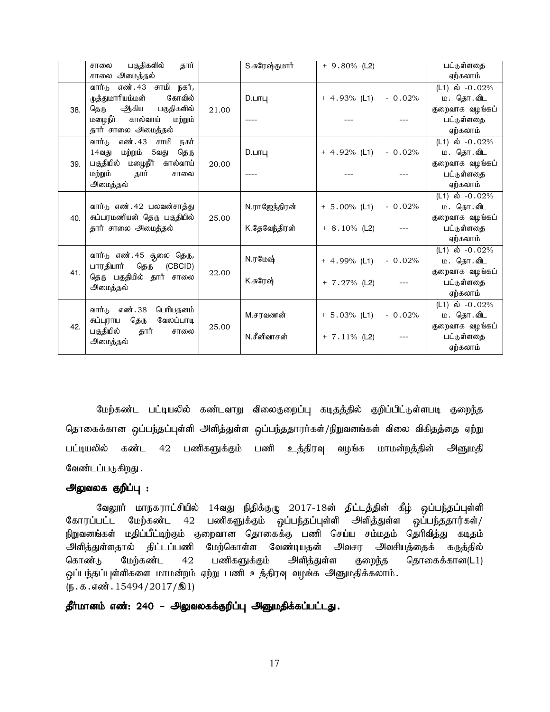|     | பகுதிகளில்<br>கார்<br>சாலை        |       | S.சுரேஷ்குமார் | $+9.80\%$ (L2)  |          | பட்டுள்ளதை          |
|-----|-----------------------------------|-------|----------------|-----------------|----------|---------------------|
|     | அமைத்தல்<br>சாலை                  |       |                |                 |          | ஏற்கலாம்            |
|     | யாழ<br>எண். 43<br>நகர்,<br>வார்டு |       |                |                 |          | $(L1)$ ல் $-0.02%$  |
|     | கோவில்<br>முத்துமாரியம்மன்        |       | D.LITL         | $+ 4.93\%$ (L1) | $-0.02%$ | ம. தொ.விட           |
| 38. | ஆகிய<br>பகுதிகளில்<br>தெரு        | 21.00 |                |                 |          | குறைவாக வழங்கப்     |
|     | மழைநீா்<br>கால்வாய்<br>மற்றும்    |       |                |                 |          | பட்டுள்ளதை          |
|     | தார் சாலை அமைத்தல்                |       |                |                 |          | ஏற்கலாம்            |
|     | நகர்<br>எண். 43<br>வார்டு<br>சாமி |       |                |                 |          | $(L1)$ ல் $-0.02\%$ |
|     | மற்றும்<br>தெரு<br>14வது<br>5வது  |       | $D.$ $LIII$    | $+ 4.92\%$ (L1) | $-0.02%$ | ம. தொ.விட           |
| 39. | மழைநீா்<br>பகுதியில்<br>கால்வாய்  | 20.00 |                |                 |          | குறைவாக வழங்கப்     |
|     | மற்றும்<br>தார்<br>சாலை           |       |                |                 |          | பட்டுள்ளதை          |
|     | அமைத்தல்                          |       |                |                 |          | ஏற்கலாம்            |
|     |                                   |       |                |                 |          | $(L1)$ ல் $-0.02\%$ |
|     | வார்டு எண். 42 பலவன்சாத்து        |       | N.ராஜேந்திரன்  | $+ 5.00\%$ (L1) | $-0.02%$ | ம. தொ.விட           |
| 40. | சுப்பரமணியன் தெரு பகுதியில்       | 25.00 |                |                 |          | குறைவாக வழங்கப்     |
|     | தார் சாலை அமைத்தல்                |       | K.தேவேந்திரன்  | $+ 8.10\%$ (L2) |          | பட்டுள்ளதை          |
|     |                                   |       |                |                 |          | ஏற்கலாம்            |
|     | வார்டு எண்.45 சூலை தெரு,          |       |                |                 |          | (L1) ல் $-0.02\%$   |
|     | பாரதியார்<br>தெரு<br>(CBCID)      |       | N.ரமேஷ்        | $+ 4.99%$ (L1)  | $-0.02%$ | ம. தொ.விட           |
| 41. | தெரு பகுதியில் தார் சாலை          | 22.00 |                |                 |          | குறைவாக வழங்கப்     |
|     | அமைத்தல்                          |       | K.சுரேஷ்       | $+ 7.27%$ (L2)  |          | பட்டுள்ளதை          |
|     |                                   |       |                |                 |          | ஏற்கலாம்            |
|     | வார்டு எண்.38<br>பெரியதனம்        |       |                |                 |          | (L1) ல் $-0.02\%$   |
|     | தெரு<br>வேலப்பாடி<br>சுப்புராய    |       | M.சரவணன்       | $+ 5.03%$ (L1)  | $-0.02%$ | ம. தொ.விட           |
| 42. | பகுதியில்<br>தார்<br>சாலை         | 25.00 |                |                 |          | குறைவாக வழங்கப்     |
|     | அமைத்தல்                          |       | N.சீனிவாசன்    | $+ 7.11\%$ (L2) |          | பட்டுள்ளதை          |
|     |                                   |       |                |                 |          | ஏற்கலாம்            |

மேற்கண்ட பட்டியலில் கண்டவாறு விலைகுறைப்பு கடிதத்தில் குறிப்பிட்டுள்ளபடி குறைந்த தொகைக்கான ஒப்பந்தப்புள்ளி அளித்துள்ள ஒப்பந்ததாரர்கள்/நிறுவனங்கள் விலை விகிதத்தை ஏற்று பட்டியலில் கண்ட 42 பணிகளுக்கும் பணி உத்திரவு வழங்க மாமன்றத்தின் அனுமதி வேண்டப்படுகிறது .

#### அலுவலக குறிப்பு :

வேலூர் மாநகராட்சியில் 14வது நிதிக்குழு 2017-18ன் திட்டத்தின் கீழ் ஒப்பந்தப்புள்ளி கோரப்பட்ட மேற்கண்ட 42 பணிகளுக்கும் ஒப்பந்தப்புள்ளி அளித்துள்ள ஒப்பந்ததார்கள்/ நிறுவனங்கள் மதிப்பீட்டிற்கும் குறைவான தொகைக்கு பணி செய்ய சம்மதம் தெரிவித்து கடிதம் அளித்துள்ளதால் திட்டப்பணி மேற்கொள்ள வேண்டியதன் அவசர அவசியத்தைக் கருத்தில் கொண்டு மேற்கண்ட 42 பணிகளுக்கும் அளித்துள்ள குறைந்த தொகைக்கான(L1) ஒப்பந்தப்புள்ளிகளை மாமன்றம் ஏற்று பணி உத்திரவு வழங்க அனுமதிக்கலாம்.  $(\mathbf{b}.\mathbf{b}.\mathbf{d}.\mathbf{d}$ . 15494/2017/ $\mathbf{1})$ 

தீர்மானம் எண்: 240 – அலுவலகக்குறிப்பு அனுமதிக்கப்பட்டது.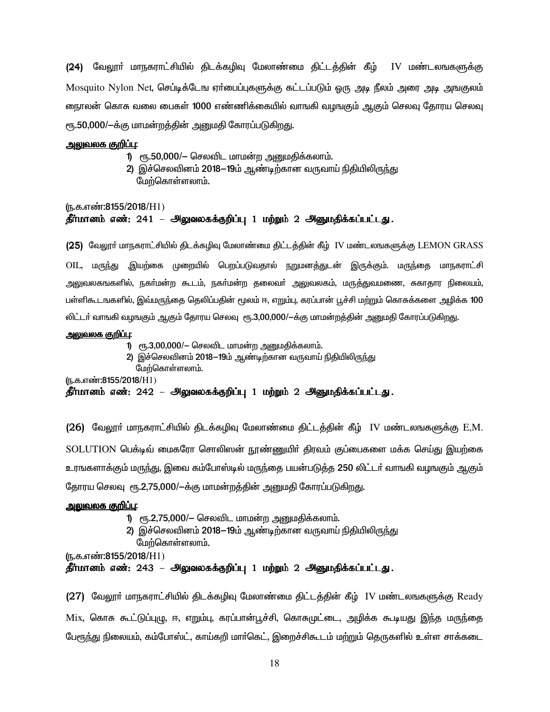(24) வேலூா் மாநகராட்சியில் திடக்கழிவு மேலாண்மை திட்டத்தின் கீழ் IV மண்டலஙகளுக்கு Mosquito Nylon Net, செப்டிக்டேங ஏா்பைப்புகளுக்கு கட்டப்படும் ஒரு அடி நீலம் அரை அடி அஙகுலம் நைாலன் கொசு வலை பைகள் 1000 எண்ணிக்கையில் வாஙகி வழஙகும் ஆகும் செலவு தோரய செலவு ரூ.50,000/—க்கு மாமன்றத்தின் அறுமதி கோரப்படுகிறது.

#### <u>அலுவலக குறிப்பு:</u>

- 1) ரூ.50,000/- செலவிட மாமன்ற அனுமதிக்கலாம்.
- 2) இச்செலவினம் 2018—19ம் ஆண்டிற்கான வருவாய் நிதியிலிருந்து மேற்கொள்ளலாம்.

## (ந.க.எண்:8155/2018/H1) தீர்மானம் எண்: 241 – அலுவலகக்குறிப்பு 1 மற்றும் 2 அனுமதிக்கப்பட்டது.

(25) வேலூா் மாநகராட்சியில் திடக்கழிவு மேலாண்மை திட்டத்தின் கீழ் IV மண்டலஙகளுக்கு LEMON GRASS OIL, மருந்து ,இயற்கை முறையில் பெறப்படுவதால் நறுமனத்துடன் இருக்கும். மருந்தை மாநகராட்சி அலுவலகஙகளில், நகர்மன்ற கூடம், நகர்மன்ற தலைவர் அலுவலகம், மருத்துவமணை, சுகாதார நிலையம், பள்ளிகூடஙகளில், இவ்மருந்தை தெலிப்பதின் மூலம் ஈ, எறும்பு, கரப்பான் பூச்சி மற்றும் கொசுக்களை அழிக்க 100 லிட்டா் வாஙகி வழஙகும் ஆகும் தோரய செலவு ரூ.3,00,000/—க்கு மாமன்றத்தின் அனுமதி கோரப்படுகிறது.

#### அலுவலக குறிப்பு:

- 1) ரூ.3,00,000/– செலவிட மாமன்ற அனுமதிக்கலாம்.
- 2) இச்செலவினம் 2018—19ம் ஆண்டிற்கான வருவாய் நிதியிலிருந்து

மேற்கொள்ளலாம்.

(ந.க.எண்:8155/2018/H1)

#### தீர்மானம் எண்: 242 – அலுவலகக்குறிப்பு 1 மற்றும் 2 அனுமதிக்கப்பட்டது.

**(26)** வேலூா் மாநகராட்சியில் திடக்கழிவு மேலாண்மை திட்டத்தின் கீழ் IV மண்டலஙகளுக்கு E,M. SOLUTION பெக்டிவ் மைகரோ சொலிஸன் நூண்ணுயிர் திரவம் குப்பைகளை மக்க செய்து இயற்கை உரஙகளாக்கும் மருந்து, இவை கம்போஸ்டில் மருந்தை பயன்படுத்த 250 லிட்டா் வாஙகி வழஙகும் ஆகும் தோரய செலவு ரூ.2,75,000/-க்கு மாமன்றத்தின் அனுமதி கோரப்படுகிறது.

#### <u> அலுவலக குறிப்பு:</u>

- 1) ரூ.2,75,000/– செலவிட மாமன்ற அனுமதிக்கலாம்.
- 2) இச்செலவினம் 2018—19ம் ஆண்டிற்கான வருவாய் நிதியிலிருந்து
- மேற்கொள்ளலாம்.

(ந.க.எண்:8155/2018/H1)

#### தீர்மானம் எண்: 243 – அலுவலகக்குறிப்பு 1 மற்றும் 2 அனுமதிக்கப்பட்டது.

 $(27)$  வேலூா் மாநகராட்சியில் திடக்கழிவு மேலாண்மை திட்டத்தின் கீழ் IV மண்டலஙகளுக்கு Ready Mix, கொசு கூட்டுப்புழு, ஈ, எறும்பு, கரப்பான்பூச்சி, கொசுமுட்டை, அழிக்க கூடியது இந்த மருந்தை பேரூந்து நிலையம், கம்போஸ்ட், காய்கறி மார்கெட், இறைச்சிகூடம் மற்றும் தெருகளில் உள்ள சாக்கடை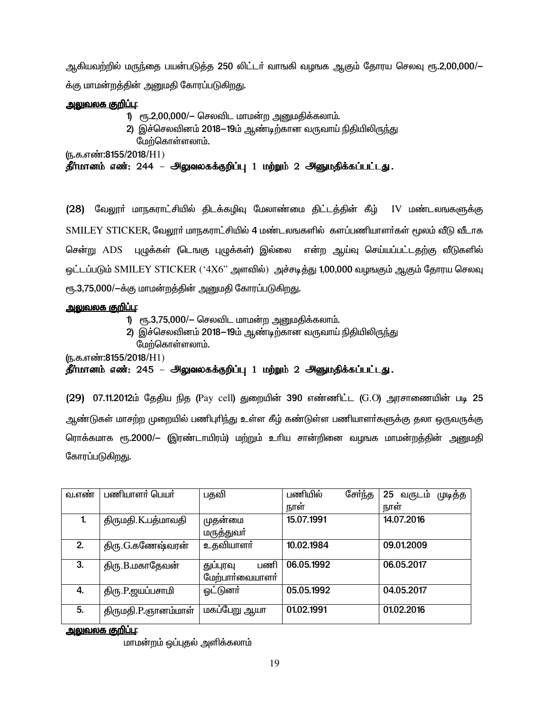ஆகியவற்றில் மருந்தை பயன்படுத்த 250 லிட்டா் வாஙகி வழஙக ஆகும் தோரய செலவு ரூ.2,00,000/— க்கு மாமன்றத்தின் அனுமதி கோரப்படுகிறது.

## <u> அலுவலக குறிப்பு:</u>

- 1) ரூ.2,00,000/– செலவிட மாமன்ற அனுமதிக்கலாம்.
	- 2) இச்செலவினம் 2018—19ம் ஆண்டிற்கான வருவாய் நிதியிலிருந்து மேற்கொள்ளலாம்.

(ந.க.எண்:8155/2018/H1)

தீர்மானம் எண்: 244 – அலுவலகக்குறிப்பு 1 மற்றும் 2 அனுமதிக்கப்பட்டது.

(28) வேலூா் மாநகராட்சியில் திடக்கழிவு மேலாண்மை திட்டத்தின் கீழ் IV மண்டலஙகளுக்கு SMILEY STICKER, வேலூா் மாநகராட்சியில் 4 மண்டலஙகளில் களப்பணியாளா்கள் மூலம் வீடு வீடாக சென்று ADS புழுக்கள் (டெஙகு புழுக்கள்) இல்லை என்ற ஆய்வு செய்யப்பட்டதற்கு வீடுகளில் ஒட்டப்படும் SMILEY STICKER ('4X6'' அளவில்) அச்சடித்து 1,00,000 வழஙகும் ஆகும் தோரய செலவு ரூ.3,75,000/—க்கு மாமன்றத்தின் அனுமதி கோரப்படுகிறது.

## <u>அலுவலக குறிப்பு:</u>

- 1) ரூ.3,75,000/– செலவிட மாமன்ற அனுமதிக்கலாம்.
- 2) இச்செலவினம் 2018—19ம் ஆண்டிற்கான வருவாய் நிதியிலிருந்து மேற்கொள்ளலாம்.

(ந.க.எண்:8155/2018/H1)

தீர்மானம் எண்: 245 – அலுவலகக்குறிப்பு 1 மற்றும் 2 அனுமதிக்கப்பட்டது.

(29) 07.11.2012ம் தேதிய நித (Pay cell) துறையின் 390 எண்ணிட்ட (G.O) அரசாணையின் படி 25 ஆண்டுகள் மாசற்ற முறையில் பணிபுரிந்து உள்ள கீழ் கண்டுள்ள பணியாளர்களுக்கு தலா ஒருவருக்கு ரொக்கமாக ரூ.2000/— (இரண்டாயிரம்) மற்றும் உரிய சான்றினை வழஙக மாமன்றத்தின் அனுமதி கோரப்படுகிறது.

| வ.எண் | பணியாளர் பெயர்      | பதவி                                | சேர்ந்த<br>பணியில் | 25 வருடம்<br>முடித்த |
|-------|---------------------|-------------------------------------|--------------------|----------------------|
|       |                     |                                     | நாள்               | நாள்                 |
| 1.    | திருமதி.K.பத்மாவதி  | முதன்மை                             | 15.07.1991         | 14.07.2016           |
|       |                     | மருத்துவா்                          |                    |                      |
| 2.    | திரு.G.கணேஷ்வரன்    | உதவியாளர்                           | 10.02.1984         | 09.01.2009           |
| 3.    | திரு.B.மகாதேவன்     | பணி<br>துப்புரவு<br>மேற்பார்வையாளர் | 06.05.1992         | 06.05.2017           |
| 4.    | திரு.P.ஜயப்பசாமி    | <u>ஓட்டுனர்</u>                     | 05.05.1992         | 04.05.2017           |
| 5.    | திருமதி.P.ஞானம்மாள் | மகப்பேறு ஆயா                        | 01.02.1991         | 01.02.2016           |

<u>அலுவலக குறிப்பு:</u>

மாமன்றம் ஒப்புதல் அளிக்கலாம்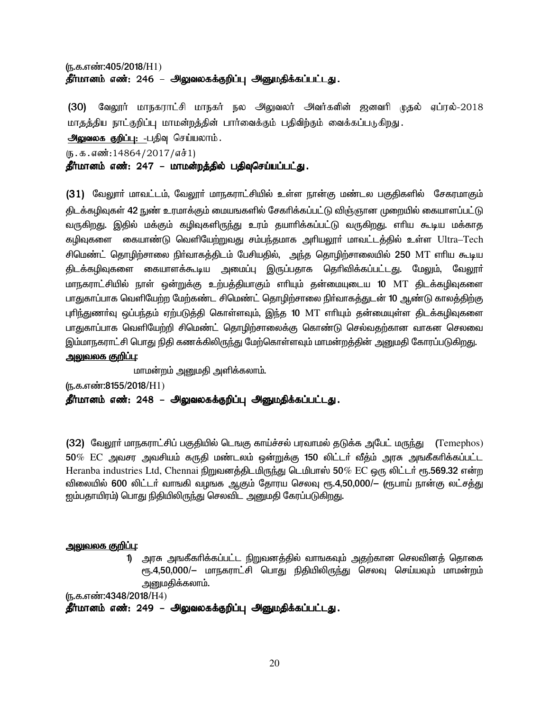## (ந.க.எண்:405/2018/H1) தீர்மானம் எண்: 246 – அலுவலகக்குறிப்பு அனுமதிக்கப்பட்டது.

(30) வேலூர் மாநகராட்சி மாநகர் நல அலுவலர் அவர்களின் ஜனவரி முதல் ஏப்ரல்-2018 மாதத்திய நாட்குறிப்பு மாமன்றத்தின் பார்வைக்கும் பதிவிற்கும் வைக்கப்படுகிறது.

அலுவலக குறிப்பு: -பதிவு செய்யலாம்.

 $(5.5.5.5\cdot\frac{14864}{2017}\cdot\frac{1}{1})$ 

தீர்மானம் எண்: 247 – மாமன்றத்தில் பதிவுசெய்யப்பட்<u>கு</u>.

(31) வேலூாா் மாவட்டம், வேலூா் மாநகராட்சியில் உள்ள நான்கு மண்டல பகுதிகளில் சேகரமாகும் கிடக்கழிவுகள் 42 நுண் உரமாக்கும் மையஙகளில் சேகரிக்கப்பட்டு விஞ்ஞான முறையில் கையாளப்பட்டு வருகிறது. இதில் மக்கும் கழிவுகளிருந்து உரம் தயாரிக்கப்பட்டு வருகிறது. எரிய கூடிய மக்காத கழிவுகளை கையாண்டு வெளியேற்றுவது சம்பந்தமாக அரியலூா் மாவட்டத்தில் உள்ள Ultra–Tech சிமெண்ட் தொழிற்சாலை நிர்வாகத்திடம் பேசியதில், அந்த தொழிற்சாலையில் 250 MT எரிய கூடிய கிடக்கழிவுகளை கையாளக்கூடிய அமைப்பு இருப்பதாக தெரிவிக்கப்பட்டது. மேலும், வேலூர் மாநகராட்சியில் நாள் ஒன்றுக்கு உற்பக்கியாகும் எரியும் தன்மையுடைய 10 MT கிடக்கழிவுகளை பாதுகாப்பாக வெளியேற்ற மேற்கண்ட சிமெண்ட் தொமிற்சாலை நிர்வாகக்குடன் 10 ஆண்டு காலக்கிற்கு புரிந்துணர்வ ஒப்பந்தம் ஏற்படுத்தி கொள்ளவும், இந்த 10 MT எரியும் தன்மையுள்ள திடக்கமிவுகளை பாதுகாப்பாக வெளியேற்றி சிமெண்ட் தொழிற்சாலைக்கு கொண்டு செல்வதற்கான வாகன செலவை இம்மாநகராட்சி பொது நிதி கணக்கிலிருந்து மேற்கொள்ளவும் மாமன்றக்கின் அனுமதி கோரப்படுகிறது.

## <u>அலுவலக குறிப்பு:</u>

மாமன்றம் அனுமதி அளிக்கலாம்.

(ந.க.எண்:8155/2018/H1)

தீர்மானம் எண்: 248 – அலுவலகக்குறிப்பு அனுமதிக்கப்பட்டது.

(32) மேலூா் மாநகராட்சிப் பகுதியில் டெஙகு காய்ச்சல் பரவாமல் தடுக்க அபேட் மருந்து  $\,$  (Temephos)  $50\%$   $\rm EC$  அவசர அவசியம் கருதி மண்டலம் ஒன்றுக்கு 150 லிட்டா் வீத்ம் அரசு அஙகீகாிக்கப்பட்ட Heranba industries Ltd, Chennai நிறுவனத்திடமிருந்து டெமிபாஸ் 50% EC ஒரு லிட்டர் ரூ.569.32 என்ற <u>விலையில் 600 லிட்ட</u>ா் வாஙகி வழஙக ஆகும் தோரய செலவு ரூ.4,50,000/— (ரூபாய் நான்கு லட்சத்து <u>ஜ</u>ம்பதாயிரம்) பொது நிதியிலிருந்து செலவிட அனுமதி கேரப்படுகிறது.

#### <u>அலுவலக குறிப்பு:</u>

1) அரசு அஙகீகரிக்கப்பட்ட நிறுவனத்தில் வாஙகவும் அதற்கான செலவினத் தொகை ரூ.4,50,000/— மாநகராட்சி பொது நிதியிலிருந்து செலவு செய்யவும் மாமன்றம் அனுமதிக்கலாம்.

(ந.க.எண்:4348/2018/H4)

தீர்மானம் எண்: 249 – அலுவலகக்குறிப்பு அனுமதிக்கப்பட்டது.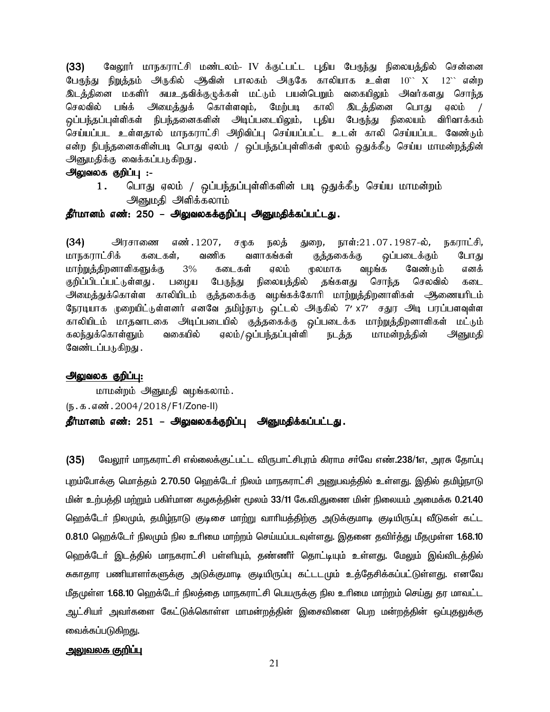(33) மேலூர் மாநகராட்சி மண்டலம்- IV க்குட்பட்ட புதிய பேருந்து நிலையத்தில் சென்னை பேருந்து நிறுத்தம் அருகில் ஆவின் பாலகம் அருகே காலியாக உள்ள  $10^{\circ\circ}\,$  X  $\,$   $12^{\circ\circ}$  என்ற இடத்தினை மகளிர் சுயஉதவிக்குழுக்கள் மட்டும் பயன்பெறும் வகையிலும் அவர்களது சொந்த செலவில் பங்க் அமைத்துக் கொள்ளவும், மேற்படி காலி இடத்தினை பொது ஏலம் .<br>ஒப்பந்தப்புள்ளிகள் நிபந்தனைகளின் அடிப்படையிலும், புதிய பேருந்து நிலையம் விரிவாக்கம் செய்யப்பட உள்ளதால் மாநகராட்சி அறிவிப்பு செய்யப்பட்ட உடன் காலி செய்யப்பட வேண்டும். என்ற நிபந்தனைகளின்படி பொது ஏலம் / ஒப்பந்தப்புள்ளிகள் மூலம் ஒதுக்கீடு செய்ய மாமன்றத்தின் அனுமதிக்கு வைக்கப்படுகிறது.

## அலுவலக குறிப்பு :-

1. பொது ஏலம் / ஒப்பந்தப்புள்ளிகளின் படி ஒதுக்கீடு செய்ய மாமன்றம் அனுமதி அளிக்கலாம்

#### தீர்மானம் எண்: 250 – அலுவலகக்குறிப்பு அனுமதிக்கப்பட்டது.

 $(34)$  அரசாணை எண் $.1207$ , சமுக நலத் துறை, நாள் $:21.07.1987$ -ல், நகராட்சி, மாநகராட்சிக் கடைகள், வணிக வளாகங்கள் குத்தகைக்கு ஒப்படைக்கும் போது மாற்<u>றுத்திற</u>னாளிகளுக்கு 3% கடைகள் ஏலம் முலமாக வழங்க வேண்டும் எனக் குறிப்பிடப்பட்டுள்ளது . பழைய பேருந்து நிலையத்தில் தங்களது சொந்த செலவில் கடை அமைத்துக்கொள்ள காலியிடம் குத்தகைக்கு வழங்கக்கோரி மாற்றுத்திறனாளிகள் அூணையரிடம் நேரடியாக முறையிட்டுள்ளனர் எனவே தமிழ்நாடு ஒட்டல் அருகில் 7′ x7′ சதுர அடி பரப்பளவுள்ள காலியிடம் மாதவாடகை அடிப்படையில் குத்தகைக்கு ஒப்படைக்க மாற்றுத்திறனாளிகள் மட்டும் கலந்துக்கொள்ளும் வகையில் ஏலம்/ஒப்பந்தப்புள்ளி நடத்த மாமன்றத்தின் அனுமதி வேண்டப்படுகிறது .

#### அலுவலக குறிப்பு:

மாமன்றம் அனுமதி வழங்கலாம். (e.f.vz;.2004/2018/F1/Zone-II) தீர்மானம் எண்: 251 – அலுவலகக்குறிப்பு அனுமதிக்கப்பட்டது.

(35) மேலூர் மாநகராட்சி எல்லைக்குட்பட்ட விருபாட்சிபுரம் கிராம சர்வே எண்.238/1எ, அரசு தோப்பு புறம்போக்கு மொத்தம் 2.70.50 ஹெக்டேர் நிலம் மாநகராட்சி அனுபவத்தில் உள்ளது. இதில் தமிழ்நாடு <u>மின் உற்பத்தி மற்றும் பகிர்மான கழகத்தின் மூலம் 33/11 கே.வி.துணை மின் நிலையம் அமைக்க 0.21.40</u> ஹெக்டோ் நிலமும், தமிழ்நாடு குடிசை மாற்று வாாியத்திற்கு அடுக்குமாடி குடியிருப்பு வீடுகள் கட்ட 0.81.0 ஹெக்டேர் நிலமும் நில உரிமை மாற்றம் செய்யப்படவுள்ளது. இதனை தவிர்த்து மீதமுள்ள 1.68.10 ஹெக்டேர் இடத்தில் மாநகராட்சி பள்ளியும், தண்ணீர் தொட்டியும் உள்ளது. மேலும் இவ்விடத்தில் சுகாதார பணியாளா்களுக்கு அடுக்குமாடி குடியிருப்பு கட்டடமும் உத்தேசிக்கப்பட்டுள்ளது. எனவே மீதமுள்ள 1.68.10 ஹெக்டேர் நிலத்தை மாநகராட்சி பெயருக்கு நில உரிமை மாற்றம் செய்து தர மாவட்ட ஆட்சியா் அவா்களை கேட்டுக்கொள்ள மாமன்றத்தின் இசைவினை பெற மன்றத்தின் ஒப்புதலுக்கு வைக்கப்படுகிற<u>த</u>ு.

#### <u>அலுவலக குறிப்பு</u>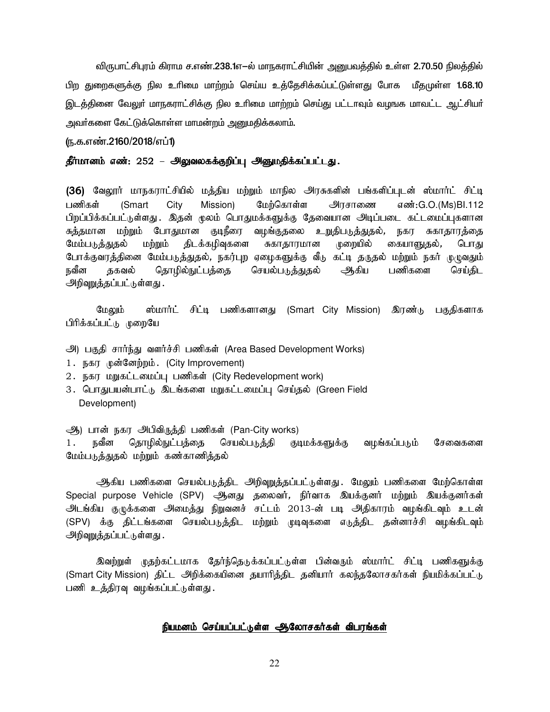விருபாட்சிபுரம் கிராம ச.எண்.238.1எ—ல் மாநகராட்சியின் அனுபவத்தில் உள்ள 2.70.50 நிலத்தில் பிற துறைகளுக்கு நில உரிமை மாற்றம் செய்ய உக்கேசிக்கப்பட்டுள்ளது போக மீதமுள்ள 1.68.10 இடத்தினை வேலுா் மாநகராட்சிக்கு நில உாிமை மாற்றம் செய்து பட்டாவும் வழஙக மாவட்ட ஆட்சியா் அவா்களை கேட்டுக்கொள்ள மாமன்றம் அனுமதிக்கலாம்.

#### (ந.க.எண்.2160/2018/எப்1)

#### தீர்மானம் எண்: 252 – அலுவலகக்குறிப்பு அனுமதிக்கப்பட்டது.

(36) வேலூர் மாநகராட்சியில் மத்திய மற்றும் மாநில அரசுகளின் பங்களிப்புடன் ஸ்மார்ட் சிட்டி மேற்கொள்ள பணிகள் (Smart City Mission) அாசாணை எண்:G.O.(Ms)Bl.112 பிறப்பிக்கப்பட்டுள்ளது . இதன் மூலம் பொதுமக்களுக்கு தேவையான அடிப்படை கட்டமைப்புகளான சுத்தமான மற்றும் போதுமான குடிநீரை வழங்குதலை உறுதிபடுத்துதல், நகர சுகாதாரத்தை திடக்கழிவுகளை மேம்படுத்துதல் மற்றும் சுகாதாரமான முறையில் கையாளுதல், பொது போக்குவரத்தினை மேம்படுத்துதல், நகர்புற ஏழைகளுக்கு வீடு கட்டி தருதல் மற்றும் நகர் முழுவதும் செயல்படுத்துதல் ஆகிய நவீன தகவல் தொழில்நுட்பத்தை பணிகளை செய்திட அறிவுறுத்தப்பட்டுள்ளது .

மேலும் ஸ்மார்ட் சிட்டி பணிகளானது (Smart City Mission) இரண்டு பகுதிகளாக பிரிக்கப்பட்டு முறையே

- அ) பகுதி சார்ந்து வளர்ச்சி பணிகள் (Area Based Development Works)
- 1. நகர முன்னேற்றம். (City Improvement)
- 2. நகர மறுகட்டமைப்பு பணிகள் (City Redevelopment work)
- 3. பொதுபயன்பாட்டு இடங்களை மறுகட்டமைப்பு செய்தல் (Green Field Development)

ஆ) பான் நகர அபிவிருத்தி பணிகள் (Pan-City works)

நவீன தொழில்நுட்பத்தை செயல்படுக்கி குடிமக்களுக்கு வமங்கப்படும் சேவைகளை  $1.$ மேம்படுத்துதல் மற்றும் கண்காணித்தல்

ஆகிய பணிகளை செயல்படுத்திட அறிவுறுத்தப்பட்டுள்ளது. மேலும் பணிகளை மேற்கொள்ள Special purpose Vehicle (SPV) ஆனது தலைவர், நிர்வாக இயக்குனர் மற்றும் இயக்குனர்கள் அடங்கிய குழுக்களை அமைத்து நிறுவனச் சட்டம் 2013-ன் படி அதிகாரம் வழங்கிடவும் உடன் (SPV) க்கு திட்டங்களை செயல்படுத்திட மற்றும் முடிவுகளை எடுத்திட தன்னாச்சி வழங்கிடவும் <u> அறிவுறுத்தப்பட்டு</u>ள்ளது .

இவற்றுள் முதற்கட்டமாக தேர்ந்தெடுக்கப்பட்டுள்ள பின்வரும் ஸ்மார்ட் சிட்டி பணிகளுக்கு (Smart City Mission) திட்ட அிடுக்கையினை தயாரித்திட தனியார் கலந்தலோசகர்கள் நியமிக்கப்பட்டு பணி உத்திரவு வழங்கப்பட்டுள்ளது.

#### நியமனம் செய்யப்பட்டுள்ள ஆலோசகர்கள் விபரங்கள்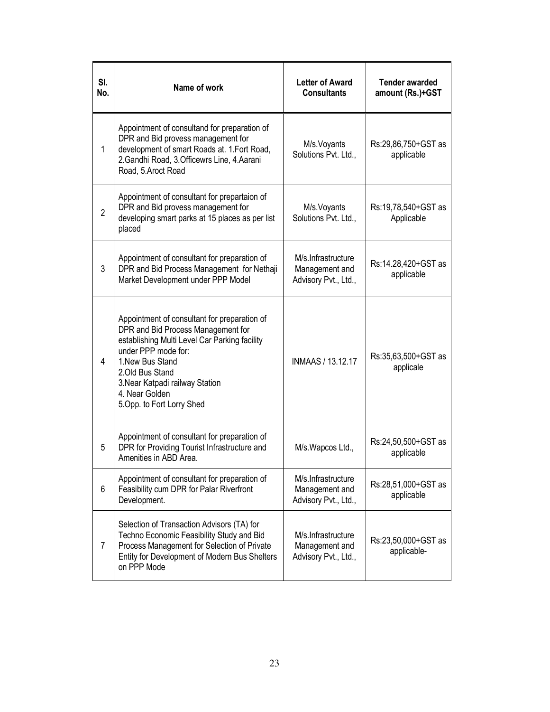| SI.<br>No.     | Name of work                                                                                                                                                                                                                                                                          | <b>Letter of Award</b><br><b>Consultants</b>                 | <b>Tender awarded</b><br>amount (Rs.)+GST |
|----------------|---------------------------------------------------------------------------------------------------------------------------------------------------------------------------------------------------------------------------------------------------------------------------------------|--------------------------------------------------------------|-------------------------------------------|
| 1              | Appointment of consultand for preparation of<br>DPR and Bid provess management for<br>development of smart Roads at. 1.Fort Road,<br>2. Gandhi Road, 3. Officewrs Line, 4. Aarani<br>Road, 5.Aroct Road                                                                               | M/s. Voyants<br>Solutions Pvt. Ltd.,                         | Rs:29,86,750+GST as<br>applicable         |
| $\overline{2}$ | Appointment of consultant for prepartaion of<br>DPR and Bid provess management for<br>developing smart parks at 15 places as per list<br>placed                                                                                                                                       | M/s. Voyants<br>Solutions Pvt. Ltd.,                         | Rs:19,78,540+GST as<br>Applicable         |
| 3              | Appointment of consultant for preparation of<br>DPR and Bid Process Management for Nethaji<br>Market Development under PPP Model                                                                                                                                                      | M/s.Infrastructure<br>Management and<br>Advisory Pvt., Ltd., | Rs:14.28,420+GST as<br>applicable         |
| 4              | Appointment of consultant for preparation of<br>DPR and Bid Process Management for<br>establishing Multi Level Car Parking facility<br>under PPP mode for:<br>1. New Bus Stand<br>2. Old Bus Stand<br>3. Near Katpadi railway Station<br>4. Near Golden<br>5. Opp. to Fort Lorry Shed | INMAAS / 13.12.17                                            | Rs:35,63,500+GST as<br>applicale          |
| 5              | Appointment of consultant for preparation of<br>DPR for Providing Tourist Infrastructure and<br>Amenities in ABD Area.                                                                                                                                                                | M/s. Wapcos Ltd.,                                            | Rs:24,50,500+GST as<br>applicable         |
| 6              | Appointment of consultant for preparation of<br>Feasibility cum DPR for Palar Riverfront<br>Development.                                                                                                                                                                              | M/s.Infrastructure<br>Management and<br>Advisory Pvt., Ltd., | Rs:28,51,000+GST as<br>applicable         |
| $\overline{7}$ | Selection of Transaction Advisors (TA) for<br>Techno Economic Feasibility Study and Bid<br>Process Management for Selection of Private<br>Entity for Development of Modern Bus Shelters<br>on PPP Mode                                                                                | M/s.Infrastructure<br>Management and<br>Advisory Pvt., Ltd., | Rs:23,50,000+GST as<br>applicable-        |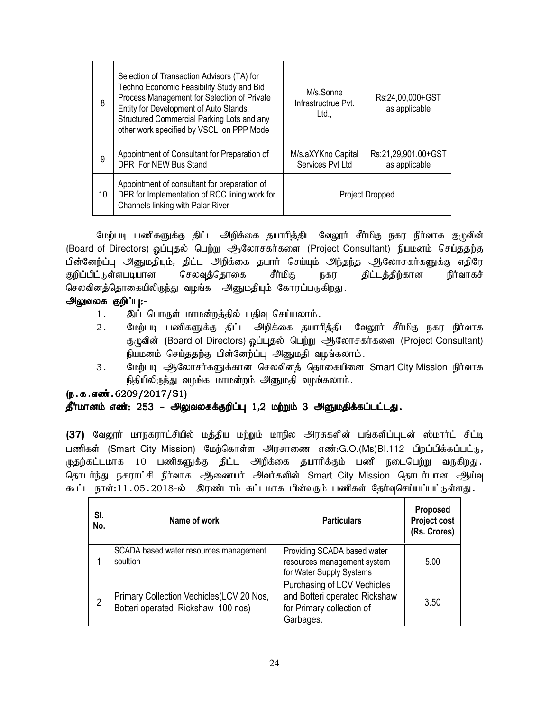| 8  | Selection of Transaction Advisors (TA) for<br>Techno Economic Feasibility Study and Bid<br>Process Management for Selection of Private<br>Entity for Development of Auto Stands,<br>Structured Commercial Parking Lots and any<br>other work specified by VSCL on PPP Mode | M/s.Sonne<br>Infrastructrue Pvt.<br>Ltd., | Rs:24,00,000+GST<br>as applicable    |
|----|----------------------------------------------------------------------------------------------------------------------------------------------------------------------------------------------------------------------------------------------------------------------------|-------------------------------------------|--------------------------------------|
| 9  | Appointment of Consultant for Preparation of<br>DPR For NEW Bus Stand                                                                                                                                                                                                      | M/s.aXYKno Capital<br>Services Pvt Ltd    | Rs:21,29,901.00+GST<br>as applicable |
| 10 | Appointment of consultant for preparation of<br>DPR for Implementation of RCC lining work for<br>Channels linking with Palar River                                                                                                                                         | <b>Project Dropped</b>                    |                                      |

மேற்படி பணிகளுக்கு திட்ட அறிக்கை தயாரித்திட வேலூர் சீர்மிகு நகர நிர்வாக குழுவின் (Board of Directors) ஒப்புதல் பெற்று ஆலோசகர்களை (Project Consultant) நியமனம் செய்ததற்கு பின்னேற்ப்பு அனுமதியும், திட்ட அறிக்கை தயார் செய்யும் அந்தந்த ஆலோசகர்களுக்கு எதிரே குறிப்பிட்டுள்ளபடியான செலவுத்தொகை சீர்மிகு நகர திட்டத்திற்கான நிர்வாகச் செலவினத்தொகையிலிருந்து வழங்க அனுமதியும் கோரப்படுகிறது.

# அலுவலக குறிப்பு:-

- 1. இப் பொருள் மாமன்றத்தில் பதிவு செய்யலாம்.
- 2. மேற்படி பணிகளுக்கு திட்ட அறிக்கை தயாரித்திட வேலூர் சீர்மிகு நகர நிர்வாக குழுவின் (Board of Directors) ஒப்புதல் பெற்று ஆலோசகர்களை (Project Consultant) நியமனம் செய்ததற்கு பின்னேற்ப்பு அனுமதி வழங்கலாம்.
- 3. பேற்படி ஆலோசர்களுக்கான செலவினக் கொகையினை Smart City Mission நிர்வாக நிதியிலிருந்து வழங்க மாமன்றம் அனுமதி வழங்கலாம்.

## (ந.க.எண். 6209/2017/S1)

## தீர்மானம் எண்: 253 – அலுவலகக்குறிப்பு 1,2 மற்றும் 3 அனுமதிக்கப்பட்டது.

(37) வேலூர் மாநகராட்சியில் மத்திய மற்றும் மாநில அரசுகளின் பங்களிப்புடன் ஸ்மார்ட் சிட்டி பணிகள் (Smart City Mission) மேற்கொள்ள அரசாணை எண்:G.O.(Ms)Bl.112 பிறப்பிக்கப்பட்டு, ழுதற்கட்டமாக 10 பணிகளுக்கு திட்ட அிிக்கை தயாரிக்கும் பணி நடைபெற்று வருகிறது. தொடர்ந்து நகராட்சி நிர்வாக ஆணையர் அவர்களின் Smart City Mission தொடர்பான ஆய்வு கூட்ட நாள்:11.05.2018-ல் இரண்டாம் கட்டமாக பின்வரும் பணிகள் தேர்வுசெய்யப்பட்டுள்ளது.

| SI.<br>No. | Name of work                                                                   | <b>Particulars</b>                                                                                     | <b>Proposed</b><br>Project cost<br>(Rs. Crores) |
|------------|--------------------------------------------------------------------------------|--------------------------------------------------------------------------------------------------------|-------------------------------------------------|
|            | SCADA based water resources management<br>soultion                             | Providing SCADA based water<br>resources management system<br>for Water Supply Systems                 | 5.00                                            |
| 2          | Primary Collection Vechicles(LCV 20 Nos,<br>Botteri operated Rickshaw 100 nos) | Purchasing of LCV Vechicles<br>and Botteri operated Rickshaw<br>for Primary collection of<br>Garbages. | 3.50                                            |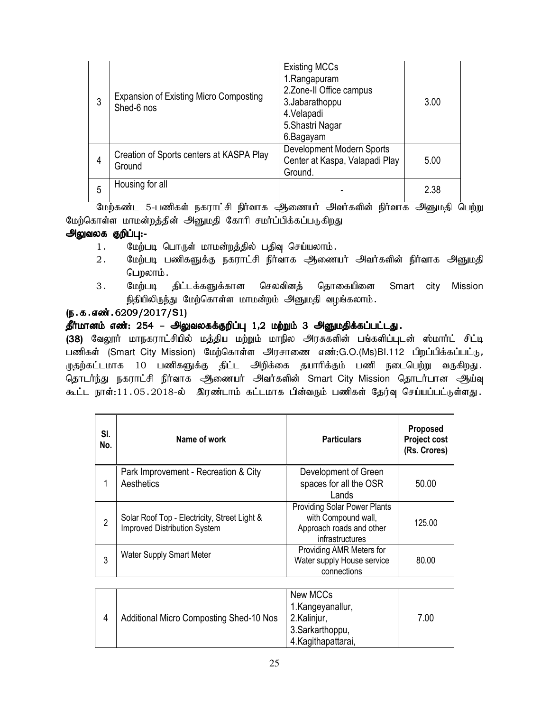| 3 | <b>Expansion of Existing Micro Composting</b><br>Shed-6 nos | <b>Existing MCCs</b><br>1.Rangapuram<br>2. Zone-II Office campus<br>3. Jabarathoppu<br>4. Velapadi<br>5. Shastri Nagar<br>6.Bagayam | 3.00 |
|---|-------------------------------------------------------------|-------------------------------------------------------------------------------------------------------------------------------------|------|
| 4 | Creation of Sports centers at KASPA Play<br>Ground          | Development Modern Sports<br>Center at Kaspa, Valapadi Play<br>Ground.                                                              | 5.00 |
| 5 | Housing for all                                             |                                                                                                                                     | 2.38 |

மேற்கண்ட 5-பணிகள் நகராட்சி நிர்வாக ஆணையர் அவர்களின் நிர்வாக அனுமதி பெற்று மேற்கொள்ள மாமன்றத்தின் அனுமதி கோரி சமர்ப்பிக்கப்படுகிறது

## அலுவலக குறிப்பு:-

- 1. மேற்படி பொருள் மாமன்றத்தில் பதிவு செய்யலாம்.
- 2. மேற்படி பணிகளுக்கு நகராட்சி நிர்வாக அணையர் அவர்களின் நிர்வாக அனுமதி பெறலாம்.
- 3. மேற்படி திட்டக்களுக்கான செலவினத் தொகையினை Smart city Mission நிதியிலிருந்து மேற்கொள்ள மாமன்றம் அனுமதி வழங்கலாம்.

## (ந.க.எண்.6209/2017/S1)

# $\stackrel{\bullet}{\sim}$ ரீர்மானம் எண்: 254 – அலுவலகக்குறிப்பு 1,2 மற்றும் 3 அனுமதிக்கப்பட்டது.

(38) வேலூர் மாநகராட்சியில் மத்திய மற்றும் மாநில அரசுகளின் பங்களிப்புடன் ஸ்மார்ட் சிட்டி பணிகள் (Smart City Mission) மேற்கொள்ள அரசாணை எண்:G.O.(Ms)Bl.112 பிறப்பிக்கப்பட்டு, முதற்கட்டமாக 10 பணிகளுக்கு திட்ட அறிக்கை தயாரிக்கும் பணி நடைபெற்று வருகிறது. தொடர்ந்து நகராட்சி நிர்வாக ஆணையர் அவர்களின் Smart City Mission தொடர்பான ஆய்வு கூட்ட நாள்:11.05.2018-ல் இரண்டாம் கட்டமாக பின்வரும் பணிகள் தேர்வு செய்யப்பட்டுள்ளது.

| SI.<br>No.     | Name of work                                                                        | <b>Particulars</b>                                                                                        | Proposed<br><b>Project cost</b><br>(Rs. Crores) |
|----------------|-------------------------------------------------------------------------------------|-----------------------------------------------------------------------------------------------------------|-------------------------------------------------|
|                | Park Improvement - Recreation & City<br>Aesthetics                                  | Development of Green<br>spaces for all the OSR<br>Lands                                                   | 50.00                                           |
| $\overline{2}$ | Solar Roof Top - Electricity, Street Light &<br><b>Improved Distribution System</b> | <b>Providing Solar Power Plants</b><br>with Compound wall,<br>Approach roads and other<br>infrastructures | 125.00                                          |
| 3              | <b>Water Supply Smart Meter</b>                                                     | Providing AMR Meters for<br>Water supply House service<br>connections                                     | 80.00                                           |

|  | <b>Additional Micro Composting Shed-10 Nos</b> | New MCCs<br>1.Kangeyanallur,<br>2.Kalinjur,<br>3.Sarkarthoppu,<br>4. Kagitha pattarai, | 7.00 |
|--|------------------------------------------------|----------------------------------------------------------------------------------------|------|
|--|------------------------------------------------|----------------------------------------------------------------------------------------|------|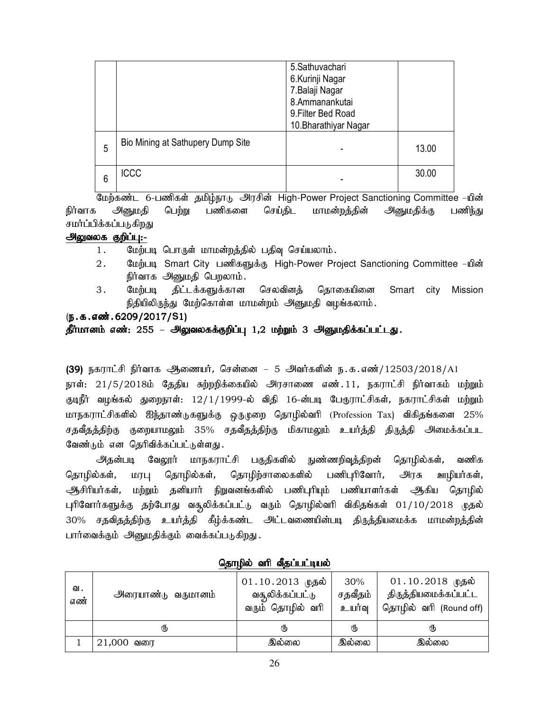|   |                                   | 5.Sathuvachari<br>6.Kurinji Nagar<br>7.Balaji Nagar<br>8.Ammanankutai<br>9. Filter Bed Road<br>10. Bharathiyar Nagar |       |
|---|-----------------------------------|----------------------------------------------------------------------------------------------------------------------|-------|
| 5 | Bio Mining at Sathupery Dump Site |                                                                                                                      | 13.00 |
| 6 | <b>ICCC</b>                       |                                                                                                                      | 30.00 |

மேற்கண்ட 6-பணிகள் தமிழ்நாடு அரசின் High-Power Project Sanctioning Committee –யின் நிர்வாக அனுமதி பெற்று பணிகளை செய்திட மாமன்றத்தின் அனுமதிக்கு பணிந்து சமர்ப்பிக்கப்படுகிறது

#### அலுவலக குறிப்பு:-

- 1. மேற்படி பொருள் மாமன்றத்தில் பதிவு செய்யலாம்.
- 2. பேற்படி Smart City பணிகளுக்கு High-Power Project Sanctioning Committee –யின் நிர்வாக அனுமதி பெறலாம்.
- 3. மேற்படி திட்டக்களுக்கான செலவினத் தொகையினை Smart city Mission நிதியிலிருந்து மேற்கொள்ள மாமன்றம் அனுமதி வழங்கலாம்.

# (ந.க.எண்.6209/2017/S1)

## தீர்மானம் எண்: 255 – அலுவலகக்குறிப்பு 1,2 மற்றும் 3 அனுமதிக்கப்பட்டது.

(39) நகராட்சி நிர்வாக அணையர், சென்னை – 5 அவர்களின் ந.க.எண்/12503/2018/A1

நாள்: 21/5/2018ம் தேதிய சுற்றறிக்கையில் அரசாணை எண்.11, நகராட்சி நிர்வாகம் மற்றும் குடிநீர் வழங்கல் துறைநாள்: 12/1/1999-ல் விதி 16-ன்படி பேருராட்சிகள், நகராட்சிகள் மற்றும் மாநகராட்சிகளில் ஐந்தாண்டுகளுக்கு ஒருமுறை தொழில்வரி (Profession Tax) விகிதங்களை 25% சதவீதத்திற்கு குறையாமலும் 35% சதவீதத்திற்கு மிகாமலும் உயர்த்தி திருத்தி அமைக்கப்பட வேண்டும் என தெரிவிக்கப்பட்டுள்ளது.

அதன்படி வேலூர் மாநகராட்சி பகுதிகளில் நுண்ணறிவுத்திறன் தொழில்கள், வணிக தொழில்கள், மரபு தொழில்கள், தொழிற்சாலைகளில் பணிபுரிவோர், அரசு ஊழியர்கள், ஆசிரியர்கள், மற்றும் தனியார் நிறுவனங்களில் பணிபுரியும் பணியாளர்கள் ஆக்கிய தொழில் புரிவோர்களுக்கு தற்போது வசூலிக்கப்பட்டு வரும் தொழில்வரி விகிதங்கள் 01/10/2018 முதல் 30% சதவிதத்திற்கு உயர்த்தி கீழ்க்கண்ட அட்டவணையின்படி திருத்தியமைக்க மாமன்றத்தின் பார்வைக்கும் அனுமதிக்கும் வைக்கப்படுகிறது.

| வ.<br>எண் | <u> அரையாண்டு</u> வருமானம் | $01.10.2013$ முதல்<br>வசூலிக்கப்பட்டு<br>வரும் தொழில் வரி | 30%<br>சதவீதம்<br>உயர்வு | $01.10.2018$ முதல்<br>திருத்தியமைக்கப்பட்ட<br>தொழில் வரி (Round off) |
|-----------|----------------------------|-----------------------------------------------------------|--------------------------|----------------------------------------------------------------------|
|           | ரு                         | ரு                                                        | Պ                        | ₫υ                                                                   |
|           | $21,000$ வரை               | இல்லை                                                     | இல்லை                    | இல்லை                                                                |

## தொழில் வரி வீதப்பட்டியல்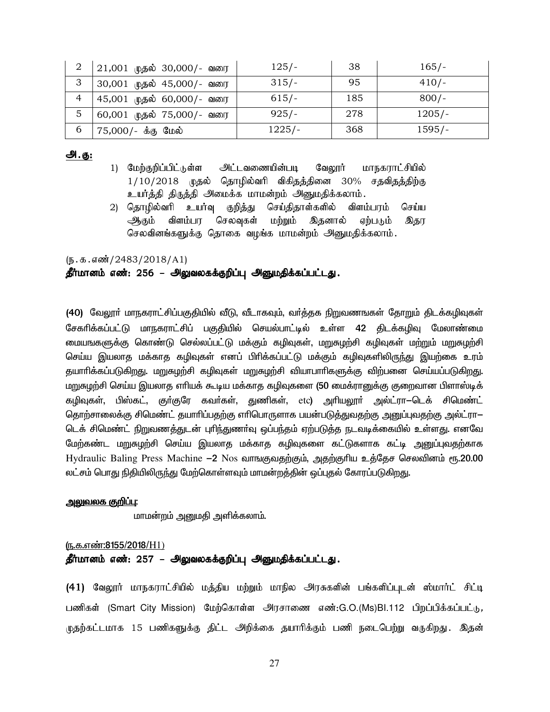| 2 | 21,001 முதல் 30,000/- வரை | $125/-$  | 38  | $165/-$  |
|---|---------------------------|----------|-----|----------|
| 3 | 30,001 முதல் 45,000/- வரை | $315/-$  | 95  | $410/-$  |
| 4 | 45,001 முதல் 60,000/- வரை | $615/-$  | 185 | $800/-$  |
| 5 | 60,001 முதல் 75,000/- வரை | $925/-$  | 278 | $1205/-$ |
| 6 | 75,000/- க்கு மேல்        | $1225/-$ | 368 | $1595/-$ |

## அ.கு:

- 1) மேற்குறிப்பிட்டுள்ள அட்டவணையின்படி மாநகராட்சியில் வேலூர்  $1/10/2018$  முதல் தொழில்வரி விகிதத்தினை 30% சதவிதத்திற்கு உயர்த்தி திருத்தி அமைக்க மாமன்றம் அனுமதிக்கலாம்.
- 2) தொழில்வரி உயர்வு செய்திதாள்களில் விளம்பரம் குறித்து செய்ய ம்ற்றும் விளம்பர செலவுகள் இதனால் ஏற்படும் ஆகும் இதர செலவினங்களுக்கு தொகை வழங்க மாமன்றம் அனுமதிக்கலாம்.

#### $(\mathbf{5.5.5\cdot s})^{2483/2018/A1}$

#### தீர்மானம் எண்: 256 – அலுவலகக்குறிப்பு அனுமதிக்கப்பட்டது.

(40) வேலாா் மாநகராட்சிப்பகுதியில் வீடு. வீடாகவம். வா்க்கக நிறுவணஙகள் கோறும் திடக்கமிவுகள் சேகரிக்கப்பட்டு மாநகராட்சிப் பகுதியில் செயல்பாட்டில் உள்ள 42 திடக்கழிவு மேலாண்மை மையஙகளுக்கு கொண்டு செல்லப்பட்டு மக்கும் கழிவுகள், மறுசுழற்சி கழிவுகள் மற்றும் மறுசுழற்சி செய்ய இயலாத மக்காத கமிவுகள் எனப் பிாிக்கப்பட்டு மக்கும் கமிவுகளிலிருந்து இயற்கை உரம் தயாரிக்கப்படுகிறது. மறுசுழற்சி கழிவுகள் மறுசுழற்சி வியாபாரிகளுக்கு விற்பனை செய்யப்படுகிறது. மறுசுழற்சி செய்ய இயலாத எரியக் கூடிய மக்காத கழிவுகளை (50 மைக்ரானுக்கு குறைவான பிளாஸ்டிக் கழிவுகள், பிஸ்கட், குா்குரே கவா்கள், துணிகள், etc) அாியலூா் அல்ட்ரா—டெக் சிமெண்ட் தொற்சாலைக்கு சிமெண்ட் தயாரிப்பதற்கு எரிபொருளாக பயன்படுத்துவதற்கு அனுப்புவதற்கு அல்ட்ரா— டெக் சிமெண்ட் நிறுவணத்துடன் புரிந்துணா்வு ஒப்பந்தம் ஏற்படுத்த நடவடிக்கையில் உள்ளது. எனவே மேற்கண்ட மறுசுழற்சி செய்ய இயலாத மக்காத கழிவுகளை கட்டுகளாக கட்டி அனுப்புவதற்காக Hydraulic Baling Press Machine —2 Nos வாங்குவதற்கும், அதற்குரிய உத்தேச செலவினம் ரூ.20.00 லட்சம் பொது நிதியிலிருந்து மேற்கொள்ளவும் மாமன்றத்தின் ஒப்புதல் கோரப்படுகிறது.

#### <u>அலுவலக குறிப்பு:</u>

மாமன்றம் அனுமதி அளிக்கலாம்.

#### (ந.க.எண்:8155/2018/H1)

## தீர்மானம் எண்: 257 – அலுவலகக்குறிப்பு அனுமதிக்கப்பட்டது.

(41) வேலூர் மாநகராட்சியில் மத்திய மற்றும் மாநில அரசுகளின் பங்களிப்புடன் ஸ்மார்ட் சிட்டி பணிகள் (Smart City Mission) மேற்கொள்ள அரசாணை எண்:G.O.(Ms)Bl.112 பிறப்பிக்கப்பட்டு, ழுதற்கட்டமாக 15 பணிகளுக்கு திட்ட அறிக்கை தயாரிக்கும் பணி நடைபெற்று வருகிறது. இதன்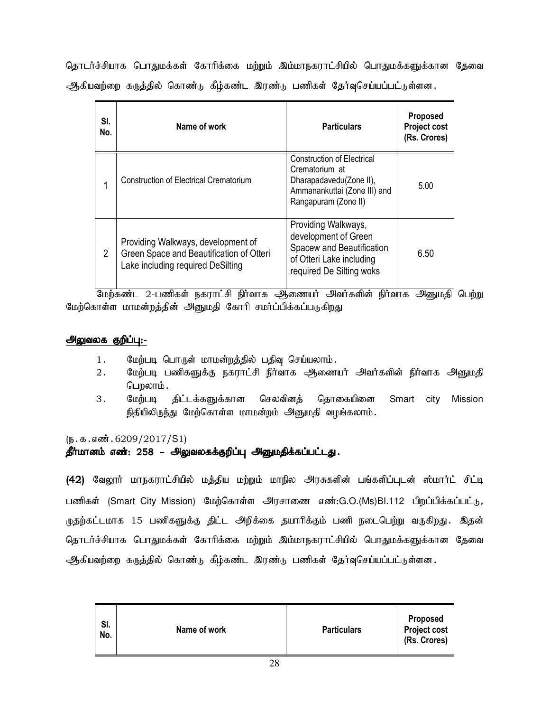தொடர்ச்சியாக பொதுமக்கள் கோரிக்கை மற்றும் இம்மாநகராட்சியில் பொதுமக்களுக்கான தேவை ஆகியவற்றை கருத்தில் கொண்டு கீழ்கண்ட இரண்டு பணிகள் தேர்வுசெய்யப்பட்டுள்ளன.

| SI.<br>No. | Name of work                                                                                                        | <b>Particulars</b>                                                                                                                     | Proposed<br>Project cost<br>(Rs. Crores) |
|------------|---------------------------------------------------------------------------------------------------------------------|----------------------------------------------------------------------------------------------------------------------------------------|------------------------------------------|
|            | Construction of Electrical Crematorium                                                                              | <b>Construction of Electrical</b><br>Crematorium at<br>Dharapadavedu(Zone II),<br>Ammanankuttai (Zone III) and<br>Rangapuram (Zone II) | 5.00                                     |
| 2          | Providing Walkways, development of<br>Green Space and Beautification of Otteri<br>Lake including required DeSilting | Providing Walkways,<br>development of Green<br>Spacew and Beautification<br>of Otteri Lake including<br>required De Silting woks       | 6.50                                     |

பேற்கண்ட 2-பணிகள் நகராட்சி நிர்வாக ஆணையர் அவர்களின் நிர்வாக அனுமதி பெற்று மேற்கொள்ள மாமன்றத்தின் அனுமதி கோரி சமர்ப்பிக்கப்படுகிறது

## அலுவலக குறிப்பு:-

- 1. மேற்படி பொருள் மாமன்றத்தில் பதிவு செய்யலாம்.
- 2. மேற்படி பணிகளுக்கு நகராட்சி நிர்வாக அணையர் அவர்களின் நிர்வாக அனுமதி பெறலாம்.
- 3. மேற்படி திட்டக்களுக்கான செலவினத் தொகையினை Smart city Mission நிதியிலிருந்து மேற்கொள்ள மாமன்றம் அனுமதி வழங்கலாம்.

## $(\mathbf{b}.\mathbf{a}.\mathbf{a} \cdot \mathbf{w}.\mathbf{b}.\mathbf{c}209/2017/\mathbf{S}1)$

## தீர்மானம் எண்: 258 – அலுவலகக்குறிப்பு அனுமதிக்கப்பட்டது.

(42) வேலூர் மாநகராட்சியில் மத்திய மற்றும் மாநில அரசுகளின் பங்களிப்புடன் ஸ்மார்ட் சிட்டி பணிகள் (Smart City Mission) மேற்கொள்ள அரசாணை எண்:G.O.(Ms)Bl.112 பிறப்பிக்கப்பட்டு, முதற்கட்டமாக 15 பணிகளுக்கு திட்ட அறிக்கை தயாரிக்கும் பணி நடைபெற்று வருகிறது. இதன் தொடர்ச்சியாக பொதுமக்கள் கோரிக்கை மற்றும் இம்மாநகராட்சியில் பொதுமக்களுக்கான தேவை ஆகியவற்றை கருத்தில் கொண்டு கீழ்கண்ட இரண்டு பணிகள் தேர்வுசெய்யப்பட்டுள்ளன.

| SI.<br>Name of work<br><b>Particulars</b><br>No. | Proposed<br><b>Project cost</b><br>(Rs. Crores) |
|--------------------------------------------------|-------------------------------------------------|
|--------------------------------------------------|-------------------------------------------------|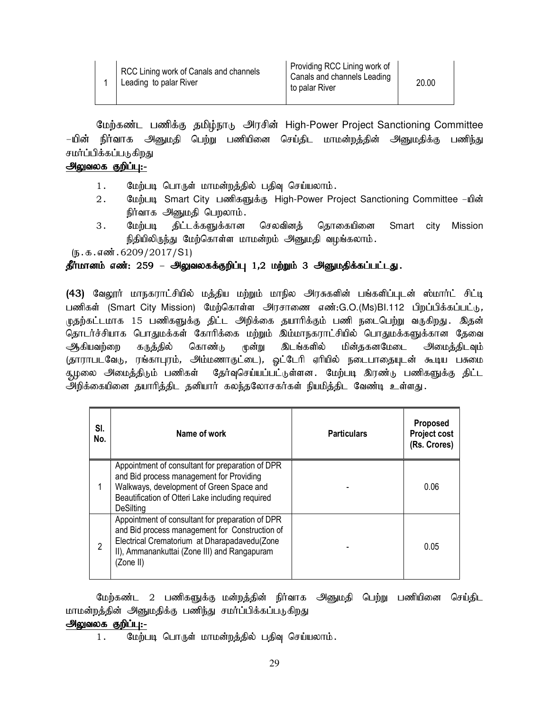| RCC Lining work of Canals and channels |
|----------------------------------------|
| Leading to palar River                 |

மேற்கண்ட பணிக்கு தமிழ்நாடு அரசின் High-Power Project Sanctioning Committee –யின் நிர்வாக அனுமதி பெற்று பணியினை செய்திட மாமன்றத்தின் அனுமதிக்கு பணிந்து சமர்ப்பிக்கப்படுகிறது

## அலுவலக குறிப்பு:-

- 1. மேற்படி பொருள் மாமன்றத்தில் பதிவு செய்யலாம்.
- 2. மேற்படி Smart City பணிகளுக்கு High-Power Project Sanctioning Committee –யின் நிர்வாக அனுமதி பெறலாம்.
- 3. மேற்படி திட்டக்களுக்கான செலவினத் தொகையினை Smart city Mission நிதியிலிருந்து மேற்கொள்ள மாமன்றம் அனுமதி வழங்கலாம்.

 $(\mathbf{b}.\mathbf{t}.\mathbf{s}.\mathbf{w}$  $\mathbf{w}.\mathbf{6209}/2017/\mathbf{S1})$ 

## தீர்மானம் எண்: 259 – அலுவலகக்குறிப்பு 1,2 மற்றும் 3 அனுமதிக்கப்பட்டது.

(43) வேலூர் மாநகராட்சியில் மத்திய மற்றும் மாநில அரசுகளின் பங்களிப்புடன் ஸ்மார்ட் சிட்டி பணிகள் (Smart City Mission) மேற்கொள்ள அரசாணை எண்:G.O.(Ms)Bl.112 பிறப்பிக்கப்பட்டு, முதற்கட்டமாக 15 பணிகளுக்கு திட்ட அறிக்கை தயாரிக்கும் பணி நடைபெற்று வருகிறது. இதன் தொடர்ச்சியாக பொதுமக்கள் கோரிக்கை மற்றும் இம்மாநகராட்சியில் பொதுமக்களுக்கான தேவை ஆகியவற்றை கருத்தில் கொண்டு முன்று இடங்களில் மின்தகனமேடை அமைத்திடவும் (தாராபடவேடு, ரங்காபுரம், அம்மணாகுட்டை), ஒட்டேரி ஏரியில் நடைபாதையுடன் கூடிய பசுமை சூழலை அமைத்திடும் பணிகள் தேர்வுசெய்யப்பட்டுள்ளன. மேற்படி இரண்டு பணிகளுக்கு திட்ட .<br>அறிக்கையினை தயாரித்திட தனியார் கலந்தலோசகர்கள் நியமித்திட வேண்டி உள்ளது.

| SI.<br>No. | Name of work                                                                                                                                                                                                     | <b>Particulars</b> | <b>Proposed</b><br><b>Project cost</b><br>(Rs. Crores) |
|------------|------------------------------------------------------------------------------------------------------------------------------------------------------------------------------------------------------------------|--------------------|--------------------------------------------------------|
|            | Appointment of consultant for preparation of DPR<br>and Bid process management for Providing<br>Walkways, development of Green Space and<br>Beautification of Otteri Lake including required<br><b>DeSilting</b> |                    | 0.06                                                   |
| 2          | Appointment of consultant for preparation of DPR<br>and Bid process management for Construction of<br>Electrical Crematorium at Dharapadavedu(Zone<br>II), Ammanankuttai (Zone III) and Rangapuram<br>(Zone II)  |                    | 0.05                                                   |

மேற்கண்ட 2 பணிகளுக்கு மன்றத்தின் நிர்வாக அனுமதி பெற்று பணியினை செய்திட மாமன்றத்தின் அனுமதிக்கு பணிந்து சமர்ப்பிக்கப்படுகிறது

## அலுவலக குறிப்பு:-

1. மேற்படி பொருள் மாமன்றத்தில் பதிவு செய்யலாம்.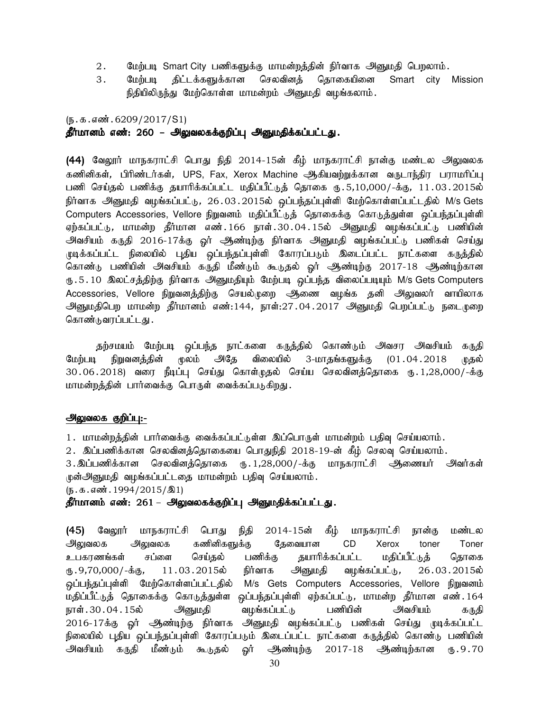- 2. மேற்படி Smart City பணிகளுக்கு மாமன்றத்தின் நிர்வாக அனுமதி பெறலாம்.
- 3. மேற்படி திட்டக்களுக்கான செலவினத் தொகையினை Smart city Mission நிதியிலிருந்து மேற்கொள்ள மாமன்றம் அனுமதி வழங்கலாம்.

# $(\mathfrak{h}.\mathfrak{g}.\mathfrak{g}.$  எண். 6209/2017/S1) தீர்மானம் எண்: 260 – அலுவலகக்குறிப்பு அனுமதிக்கப்பட்டது.

(44) வேலூர் மாநகராட்சி பொது நிதி 2014-15ன் கீழ் மாநகராட்சி நான்கு மண்டல அலுவலக கணினிகள், பிரிண்டர்கள், UPS, Fax, Xerox Machine ஆகியவற்றுக்கான வருடாந்திர பராமரிப்பு பணி செய்தல் பணிக்கு தயாரிக்கப்பட்ட மதிப்பீட்டுத் தொகை ரு.5,10,000/-க்கு, 11.03.2015ல் நிர்வாக அனுமதி வழங்கப்பட்டு, 26.03.2015ல் ஒப்பந்தப்புள்ளி மேற்கொள்ளப்பட்டதில் M/s Gets Computers Accessories, Vellore நிறுவனம் மதிப்பீட்டுத் தொகைக்கு கொடுத்துள்ள ஒப்பந்தப்புள்ளி ஏற்கப்பட்டு, மாமன்ற தீர்மான எண்.166 நாள்.30.04.15ல் அனுமதி வழங்கப்பட்டு பணியின் அவசியம் கருதி 2016-17க்கு ஓர் அண்டிற்கு நிர்வாக அனுமதி வழங்கப்பட்டு பணிகள் செய்து முடிக்கப்பட்ட நிலையில் புதிய ஒப்பந்தப்புள்ளி கோரப்படும் இடைப்பட்ட நாட்களை கருத்தில் கொண்டு பணியின் அவசியம் கருதி மீண்டும் கூடுதல் ஓர் ஆண்டிற்கு 2017-18 ஆண்டிற்கான ரு .5 . 10 இலட்சத்திற்கு நிர்வாக அனுமதியும் மேற்படி ஒப்பந்த விலைப்படியும் M/s Gets Computers Accessories, Vellore நிறுவனத்திற்கு செயல்முறை ஆணை வழங்க தனி அலுவலர் வாயிலாக அனுமதிபெற மாமன்ற தீர்மானம் எண்:144, நாள்:27.04.2017 அனுமதி பெறப்பட்டு நடைமுறை கொண்டுவரப்பட்டது.

தற்சமயம் மேற்படி ஒப்பந்த நாட்களை கருத்தில் கொண்டும் அவசர அவசியம் கருதி மேற்படி நிறுவனத்தின் மூலம் அதே விலையில் 3-மாதங்களுக்கு (01.04.2018 முதல் 30.06.2018) வரை நீடிப்பு செய்து கொள்முதல் செய்ய செலவினத்தொகை ரூ.1,28,000/-க்கு மாமன்றத்தின் பார்வைக்கு பொருள் வைக்கப்படுகிறது.

#### அலுவலக குறிப்பு:-

1. மாமன்றத்தின் பார்வைக்கு வைக்கப்பட்டுள்ள இப்பொருள் மாமன்றம் பதிவு செய்யலாம்.

 $2$ . இப்பணிக்கான செலவினத்தொகையை பொதுநிதி  $2018$ -19-ன் கீழ் செலவு செய்யலாம்.

3.இப்பணிக்கான செலவினத்தொகை ரு.1,28,000/-க்கு மாநகராட்சி ஆணையர் அவர்கள் முன்அனுமதி வழங்கப்பட்டதை மாமன்றம் பதிவு செய்யலாம்.

 $(D.5.5.5\text{...})$ 

#### தீர்மானம் எண்: 261 – அலுவலகக்குறிப்பு அனுமதிக்கப்பட்டது.

(45) வேலூர் மாநகராட்சி பொது நிதி 2014-15ன் கீழ் மாநகராட்சி நான்கு மண்டல அலுவலக அலுவலக கணினிகளுக்கு தேவையான CD Xerox toner Toner உபகரணங்கள் சப்ளை செய்தல் பணிக்கு தயாரிக்கப்பட்ட மதிப்பீட்டுத் தொகை ரு.9,70,000/-க்கு, 11.03.2015ல் நிர்வாக அ்னுமதி வழங்கப்பட்டு, 26.03.2015ல் ஒப்பந்தப்புள்ளி மேற்கொள்ளப்பட்டதில் M/s Gets Computers Accessories, Vellore நிறுவனம் மதிப்பீட்டுத் தொகைக்கு கொடுத்துள்ள ஒப்பந்தப்புள்ளி ஏற்கப்பட்டு, மாமன்ற தீர்மான எண்.164 நாள். 30 . 04 . 15ல் அனுமதி வழங்கப்பட்டு பணியின் அவசியம் கருதி 2016-17க்கு ஓர் ஆண்டிற்கு நிர்வாக அனுமதி வழங்கப்பட்டு பணிகள் செய்து முடிக்கப்பட்ட நிலையில் புதிய ஒப்பந்தப்புள்ளி கோரப்படும் இடைப்பட்ட நாட்களை கருத்தில் கொண்டு பணியின் அவசியம் கருதி மீண்டும் கூடுதல் ஒர் அண்டிற்கு 2017-18 ஆண்டிற்கான ரூ.9.70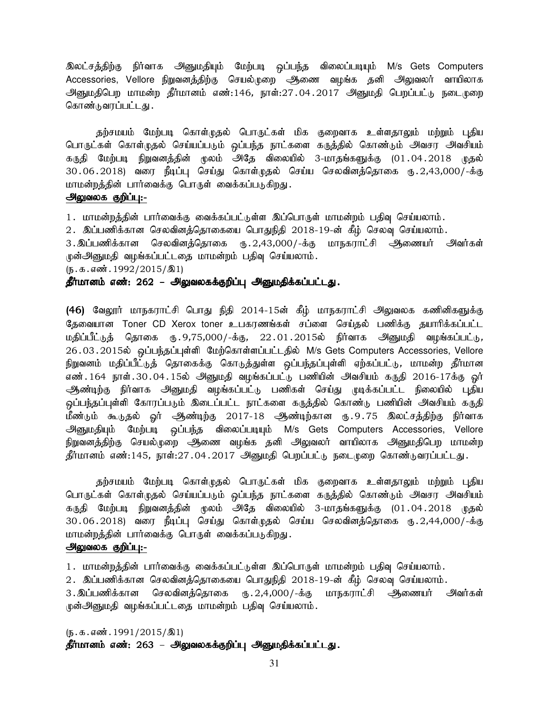இலட்சத்திற்கு நிர்வாக அனுமதியும் மேற்படி ஒப்பந்த விலைப்படியும் M/s Gets Computers Accessories, Vellore நிறுவனத்திற்கு செயல்முறை ஆணை வழங்க தனி அலுவலர் வாயிலாக அனுமதிபெற மாமன்ற தீர்மானம் எண்:146, நாள்:27 $\,$ .04 $\,$ .2017 அனுமதி பெறப்பட்டு நடைமுறை கொண்டுவரப்பட்டது.

தற்சமயம் மேற்படி கொள்முதல் பொருட்கள் மிக குறைவாக உள்ளதாலும் மற்றும் புதிய பொருட்கள் கொள்முதல் செய்யப்படும் ஒப்பந்த நாட்களை கருத்தில் கொண்டும் அவசர அவசியம் கருதி மேற்படி நிறுவனத்தின் மூலம் அதே விலையில் 3-மாதங்களுக்கு (01.04.2018 முதல் 30.06.2018) வரை நீடிப்பு செய்து கொள்முதல் செய்ய செலவினத்தொகை ரு.2,43,000/-க்கு மாமன்றத்தின் பார்வைக்கு பொருள் வைக்கப்படுகிறது.

#### அலுவலக குறிப்பு:-

1. மாமன்றத்தின் பார்வைக்கு வைக்கப்பட்டுள்ள இப்பொருள் மாமன்றம் பதிவு செய்யலாம்.

2. இப்பணிக்கான செலவினத்தொகையை பொதுநிதி 2018-19-ன் கீழ் செலவு செய்யலாம்.

3. இப்பணிக்கான செலவினத்தொகை ரூ. 2,43,000/-க்கு மாநகராட்சி அணையர் அவர்கள் முன்அனுமதி வழங்கப்பட்டதை மாமன்றம் பதிவு செய்யலாம்.

 $(D.5.5.5\text{...})$ 

தீர்மானம் எண்: 262 – அலுவலகக்குறிப்பு அனுமதிக்கப்பட்டது.

(46) வேலூர் மாநகராட்சி பொது நிதி 2014-15ன் கீழ் மாநகராட்சி அலுவலக கணினிகளுக்கு தேவையான Toner CD Xerox toner உபகரணங்கள் சப்ளை செய்தல் பணிக்கு தயாரிக்கப்பட்ட மதிப்பீட்டுத் தொகை ரு.9,75,000/-க்கு, 22.01.2015ல் நிர்வாக அனுமதி வழங்கப்பட்டு, 26.03.2015ல் ஒப்பந்தப்புள்ளி மேற்கொள்ளப்பட்டதில் M/s Gets Computers Accessories, Vellore நிறுவனம் மதிப்பீட்டுத் தொகைக்கு கொடுத்துள்ள ஒப்பந்தப்புள்ளி ஏற்கப்பட்டு, மாமன்ற தீர்மான எண். 164 நாள். 30.04. 15ல் அனுமதி வழங்கப்பட்டு பணியின் அவசியம் கருதி 2016-17க்கு வர் ஆண்டிற்கு நிர்வாக அனுமதி வழங்கப்பட்டு பணிகள் செய்து முடிக்கப்பட்ட நிலையில் புதிய ஒப்பந்தப்புள்ளி கோரப்படும் இடைப்பட்ட நாட்களை கருத்தில் கொண்டு பணியின் அவசியம் கருதி மீண்டும் கூடுதல் <u>ஓ</u>ர் அூண்டிற்கு 2017-18 அண்டிற்கான ரு.9.75 இலட்சத்திற்கு நிர்வாக அனுமதியும் மேற்படி ஒப்பந்த விலைப்படியும் M/s Gets Computers Accessories, Vellore நிறுவனத்திற்கு செயல்முறை ஆணை வழங்க தனி அலுவலர் வாயிலாக அனுமதிபெற மாமன்ற தீர்மானம் எண்:145, நாள்:27.04.2017 அனுமதி பெறப்பட்டு நடைமுறை கொண்டுவரப்பட்டது.

தற்சமயம் மேற்படி கொள்முதல் பொருட்கள் மிக குறைவாக உள்ளதாலும் மற்றும் புதிய பொருட்கள் கொள்முதல் செய்யப்படும் ஒப்பந்த நாட்களை கருத்தில் கொண்டும் அவசர அவசியம் கருதி மேற்படி நிறுவனத்தின் மூலம் அதே விலையில் 3-மாதங்களுக்கு (01.04.2018 முதல் 30.06.2018) வரை நீடிப்பு செய்து கொள்முதல் செய்ய செலவினத்தொகை ரூ.2,44,000/-க்கு மாமன்றத்தின் பார்வைக்கு பொருள் வைக்கப்படுகிறது.

#### அலுவலக குறிப்பு:-

1. மாமன்றத்தின் பார்வைக்கு வைக்கப்பட்டுள்ள இப்பொருள் மாமன்றம் பதிவு செய்யலாம்.

2. இப்பணிக்கான செலவினத்தொகையை பொதுநிதி 2018-19-ன் கீழ் செலவு செய்யலாம்.

3.இப்பணிக்கான செலவினத்தொகை ரூ.2,4,000/-க்கு மாநகராட்சி அணையர் அவர்கள் ருன்அனுமதி வழங்கப்பட்டதை மாமன்றம் பதிவு செய்யலாம்.

 $(\mathfrak{g}.\mathfrak{g}.\mathfrak{g}.\mathfrak{g}.\mathfrak{g}.\mathfrak{g}.\mathfrak{g}.\mathfrak{g}.\mathfrak{g}.\mathfrak{g}.\mathfrak{g}.\mathfrak{g}.\mathfrak{g}.\mathfrak{g}.\mathfrak{g}.\mathfrak{g}.\mathfrak{g}.\mathfrak{g}.\mathfrak{g}.\mathfrak{g}.\mathfrak{g}.\mathfrak{g}.\mathfrak{g}.\mathfrak{g}.\mathfrak{g}.\mathfrak{g}.\mathfrak{g}.\mathfrak{g}.\mathfrak{g}.\mathfrak{g}.\mathfrak{g}.\mathfr$ 

தீர்மானம் எண்: 263 – அலுவலகக்குறிப்பு அனுமதிக்கப்பட்டது.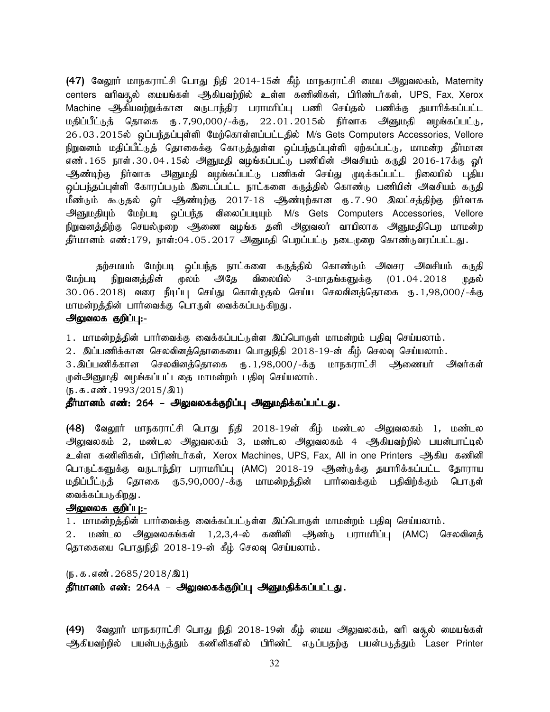(47) வேலூர் மாநகராட்சி பொது நிதி 2014-15ன் கீழ் மாநகராட்சி மைய அலுவலகம், Maternity centers வரிவசூல் மையங்கள் ஆிகியவற்றில் உள்ள கணினிகள், பிரிண்டர்கள், UPS, Fax, Xerox Machine ஆகியவற்றுக்கான வருடாந்திர பராமரிப்பு பணி செய்தல் பணிக்கு தயாரிக்கப்பட்ட மதிப்பீட்டுத் தொகை ரு.7,90,000/-க்கு, 22.01.2015ல் நிர்வாக அனுமதி வழங்கப்பட்டு, 26.03.2015ல் ஒப்பந்தப்புள்ளி மேற்கொள்ளப்பட்டதில் M/s Gets Computers Accessories, Vellore நிறுவனம் மதிப்பீட்டுத் தொகைக்கு கொடுத்துள்ள ஒப்பந்தப்புள்ளி ஏற்கப்பட்டு, மாமன்ற தீர்மான எண்.165 நாள்.30.04.15ல் அனுமதி வழங்கப்பட்டு பணியின் அவசியம் கருதி 2016-17க்கு <u>ஓ</u>ர் ஆண்டிற்கு நிர்வாக அனுமதி வழங்கப்பட்டு பணிகள் செய்து முடிக்கப்பட்ட நிலையில் புதிய ஒப்பந்தப்புள்ளி கோரப்படும் இடைப்பட்ட நாட்களை கருத்தில் கொண்டு பணியின் அவசியம் கருதி மீண்டும் கூடுதல் <u>ஓ</u>ர் அூண்டிற்கு 2017-18 அண்டிற்கான ரு.7.90 இலட்சத்திற்கு நிர்வாக அனுமதியும் மேற்படி ஒப்பந்த விலைப்படியும் M/s Gets Computers Accessories, Vellore நிறுவனத்திற்கு செயல்முறை ஆணை வழங்க தனி அலுவலர் வாயிலாக அனுமதிபெற மாமன்ற தீர்மானம் எண்:179, நாள்:04.05.2017 அனுமதி பெறப்பட்டு நடைமுறை கொண்டுவரப்பட்டது.

தற்சமயம் மேற்படி ஒப்பந்த நாட்களை கருத்தில் கொண்டும் அவசர அவசியம் கருதி மேற்படி நிறுவனத்தின் மூலம் அதே விலையில் 3-மாதங்களுக்கு (01.04.2018 முதல் 30.06.2018) வரை நீடிப்பு செய்து கொள்முதல் செய்ய செலவினத்தொகை ரு.1,98,000/-க்கு மாமன்றத்தின் பார்வைக்கு பொருள் வைக்கப்படுகிறது.

#### அலுவலக குறிப்பு:-

1. மாமன்றத்தின் பார்வைக்கு வைக்கப்பட்டுள்ள இப்பொருள் மாமன்றம் பதிவு செய்யலாம்.

2. இப்பணிக்கான செலவினத்தொகையை பொதுநிதி 2018-19-ன் கீழ் செலவு செய்யலாம்.

3.இப்பணிக்கான செலவினத்தொகை ரு.1,98,000/-க்கு மாநகராட்சி ஆணையர் அவர்கள் முன்அனுமதி வழங்கப்பட்டதை மாமன்றம் பதிவு செய்யலாம்.

 $(\mathfrak{g}.\mathfrak{g}.\mathfrak{g}.\mathfrak{g}.\mathfrak{g}.\mathfrak{g}.\mathfrak{g}.\mathfrak{g}.\mathfrak{g}.\mathfrak{g}.\mathfrak{g}.\mathfrak{g}.\mathfrak{g}.\mathfrak{g}.\mathfrak{g}.\mathfrak{g}.\mathfrak{g}.\mathfrak{g}.\mathfrak{g}.\mathfrak{g}.\mathfrak{g}.\mathfrak{g}.\mathfrak{g}.\mathfrak{g}.\mathfrak{g}.\mathfrak{g}.\mathfrak{g}.\mathfrak{g}.\mathfrak{g}.\mathfrak{g}.\mathfrak{g}.\mathfr$ 

#### தீர்மானம் எண்: 264 – அலுவலகக்குறிப்பு அனுமதிக்கப்பட்டது.

(48) வேலூர் மாநகராட்சி பொது நிதி 2018-19ன் கீழ் மண்டல அலுவலகம் 1, மண்டல அலுவலகம் 2, மண்டல அலுவலகம் 3, மண்டல அலுவலகம் 4 ஆகியவற்றில் பயன்பாட்டில் உள்ள கணினிகள், பிரிண்டர்கள், Xerox Machines, UPS, Fax, All in one Printers அூகிய கணினி பொருட்களுக்கு வருடாந்திர பராமரிப்பு (AMC) 2018-19 ஆண்டுக்கு தயாரிக்கப்பட்ட தோராய மதிப்பீட்டுத் தொகை ரூ5,90,000/-க்கு மாமன்றத்தின் பார்வைக்கும் பதிவிற்க்கும் பொருள் வைக்கப்படுகிறது .

#### அலுவலக குறிப்பு:-

1. மாமன்றத்தின் பார்வைக்கு வைக்கப்பட்டுள்ள இப்பொருள் மாமன்றம் பதிவு செய்யலாம்.

2 மண்டல அலுவலகங்கள் 1,2,3,4-ல் கணினி ஆண்டு பராமரிப்பு (AMC) செலவினத் தொகையை பொதுநிதி 2018-19-ன் கீழ் செலவு செய்யலாம்.

 $(\mathbf{b}.\mathbf{t}.\mathbf{d}.\mathbf{w}$ .  $2685/2018/\mathbf{R}$ தீர்மானம் எண்: 264A – அலுவலகக்குறிப்பு அனுமதிக்கப்பட்டது.

(49) மேலூர் மாநகராட்சி பொது நிதி 2018-19ன் கீழ் மைய அலுவலகம், வரி வசூல் மையங்கள் ஆகியவற்றில் பயன்படுத்தும் கணினிகளில் பிரிண்ட் எடுப்பதற்கு பயன்படுத்தும் Laser Printer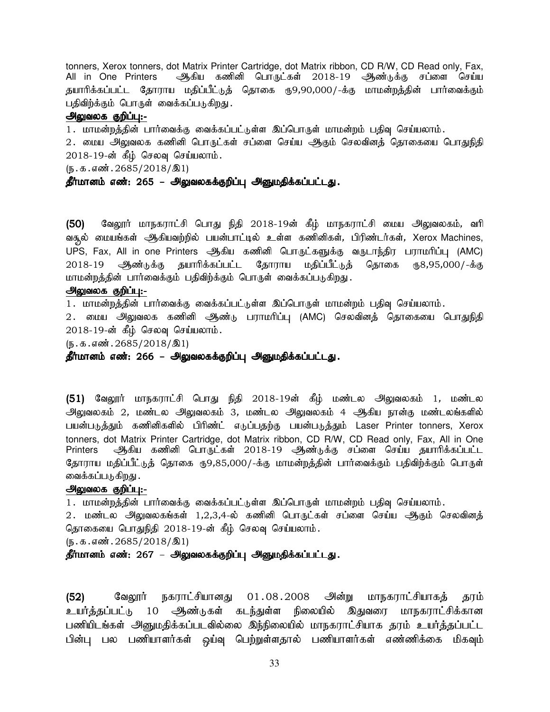tonners, Xerox tonners, dot Matrix Printer Cartridge, dot Matrix ribbon, CD R/W, CD Read only, Fax, All in One Printers அத்கிய கணினி பொருட்கள் 2018-19 அூண்டுக்கு சப்ளை செய்ய தயாரிக்கப்பட்ட தோராய மதிப்பீட்டுத் தொகை ரு9,90,000/-க்கு மாமன்றத்தின் பார்வைக்கும் பதிவிற்க்கும் பொருள் வைக்கப்படுகிறது.

#### அலுவலக குறிப்பு:-

1. மாமன்றத்தின் பார்வைக்கு வைக்கப்பட்டுள்ள இப்பொருள் மாமன்றம் பதிவு செய்யலாம்.

2. மைய அலுவலக கணினி பொருட்கள் சப்ளை செய்ய ஆகும் செலவினத் தொகையை பொதுநிதி  $2018$ - $19$ -ன் கீம் செலவு செய்யலாம்.

 $(\mathbf{b}.\mathbf{t}.\mathbf{b}.\mathbf{a}.\mathbf{w}$   $\mathbf{b}.\mathbf{2685}/2018/\mathbf{21})$ 

## தீர்மானம் எண்: 265 – அலுவலகக்குறிப்பு அனுமதிக்கப்பட்டது.

(50) வேலூர் மாநகராட்சி பொது நிதி 2018-19ன் கீழ் மாநகராட்சி மைய அலுவலகம், வரி வசூல் மையங்கள் அிகியவற்றில் பயன்பாட்டில் உள்ள கணினிகள், பிரிண்டர்கள், Xerox Machines, UPS, Fax, All in one Printers அகிய கணினி பொருட்களுக்கு வருடாந்திர பராமரிப்பு (AMC) 2018-19 ஆண்டுக்கு தயாரிக்கப்பட்ட தோராய மதிப்பீட்டுத் தொகை ரூ8,95,000/-க்கு மாமன்றத்தின் பார்வைக்கும் பதிவிற்க்கும் பொருள் வைக்கப்படுகிறது.

#### அலுவலக குறிப்பு:-

 $1$ . மாமன்றத்தின் பார்வைக்கு வைக்கப்பட்டுள்ள இப்பொருள் மாமன்றம் பதிவு செய்யலாம்.

2. மைய அலுவலக கணினி ஆண்<sub>டு</sub> பராமரிப்பு (AMC) செலவினத் தொகையை பொதுநிதி  $2018$ -19-ன் கீழ் செலவு செய்யலாம்.

 $(\mathfrak{h}.\mathfrak{g}.\mathfrak{g}.$  எண். 2685/2018/ $\mathfrak{A}1$ 

தீர்மானம் எண்: 266 – அலுவலகக்குறிப்பு அனுமதிக்கப்பட்டது.

(51) வேலூர் மாநகராட்சி பொது நிதி 2018-19ன் கீழ் மண்டல அலுவலகம் 1, மண்டல அலுவலகம் 2, மண்டல அலுவலகம் 3, மண்டல அலுவலகம் 4 ஆகிய நான்கு மண்டலங்களில் பயன்படுத்தும் கணினிகளில் பிரிண்ட் எடுப்பதற்கு பயன்படுத்தும் Laser Printer tonners, Xerox tonners, dot Matrix Printer Cartridge, dot Matrix ribbon, CD R/W, CD Read only, Fax, All in One Printers ஆகிய கணினி பொருட்கள் 2018-19 ஆண்டுக்கு சப்ளை செய்ய தயாரிக்கப்பட்ட தோராய மதிப்பீட்டுத் தொகை ரூ9,85,000/-க்கு மாமன்றத்தின் பார்வைக்கும் பதிவிற்க்கும் பொருள் வைக்கப்படுகிறது .

#### அலுவலக குறிப்பு:-

1. மாமன்றத்தின் பார்வைக்கு வைக்கப்பட்டுள்ள இப்பொருள் மாமன்றம் பதிவு செய்யலாம்.

2 . மண்டல அலுவலகங்கள் 1,2,3,4-ல் கணினி பொருட்கள் சப்ளை செய்ய ஆகும் செலவினத் தொகையை பொதுநிதி 2018-19-ன் கீழ் செலவு செய்யலாம்.

 $(\mathfrak{h}.\mathfrak{g}.\mathfrak{g}.$ ளன். 2685/2018/ $\mathfrak{A}1$ 

## தீர்மானம் எண்: 267 – அலுவலகக்குறிப்பு அனுமதிக்கப்பட்டது.

(52) கேலூர் நகராட்சியானது 01.08.2008 அன்று மாநகராட்சியாகத் தரம் உயர்க்கப்பட்டு 10 ஆண்டுகள் கடந்துள்ள நிலையில் இதுவரை மாநகராட்சிக்கான பணியிடங்கள் அனுமதிக்கப்படவில்லை இந்நிலையில் மாநகராட்சியாக தரம் உயர்த்தப்பட்ட பின்பு பல பணியாளர்கள் ஒய்வு பெற்றுள்ளதால் பணியாளர்கள் எண்ணிக்கை மிகவும்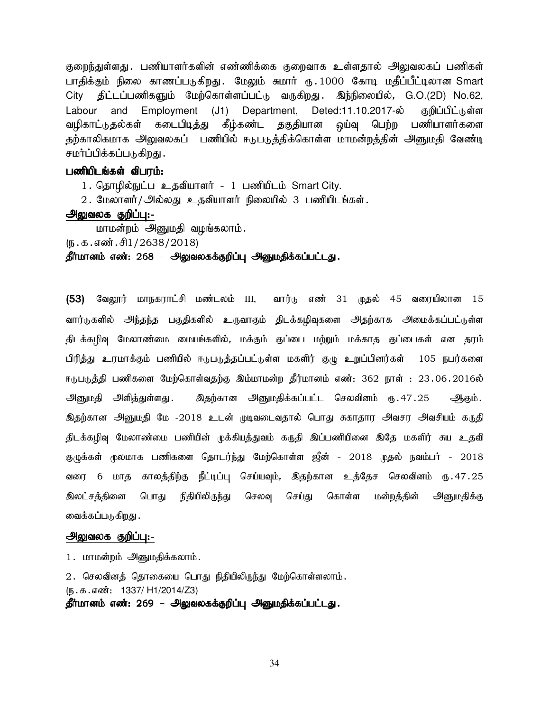குறைந்துள்ளது .பணியாளர்களின் எண்ணிக்கை குறைவாக உள்ளதால் அலுவலகப் பணிகள் பாதிக்கும் நிலை காணப்படுகிறது. மேலும் சுமார் ரு.1000 கோடி மதீப்பீட்டிலான Smart City திட்டப்பணிகளும் மேற்கொள்ளப்பட்டு வருகிறது. இந்நிலையில், G.O.(2D) No.62, Labour and Employment (J1) Department, Deted:11.10.2017-ல் குறிப்பிட்டுள்ள வழிகாட்டுதல்கள் கடைபிடித்து கீழ்கண்ட தகுதியான ஒய்வு பெற்ற பணியாளர்களை தற்காலிகமாக அலுவலகப் பணியில் ஈடுபடுத்திக்கொள்ள மாமன்றத்தின் அனுமதி வேண்டி சமர்ப்பிக்கப்படுகிறது .

#### பணியிடங்கள் விபரம்:

1. தொழில்நுட்ப உதவியாளர் - 1 பணியிடம் Smart City.

2. மேலாளர்/அல்லது உதவியாளர் நிலையில் 3 பணியிடங்கள்.

#### அலுவலக குறிப்பு:-

மாமன்றம் அனுமதி வழங்கலாம்.

 $(\mathbb{F} \cdot \mathbb{F} \cdot \mathbb{F} \cdot \mathbb{F} \cdot \mathbb{F} \cdot \mathbb{F} \cdot \mathbb{F} \cdot \mathbb{F} \cdot \mathbb{F} \cdot \mathbb{F} \cdot \mathbb{F} \cdot \mathbb{F} \cdot \mathbb{F} \cdot \mathbb{F} \cdot \mathbb{F} \cdot \mathbb{F} \cdot \mathbb{F} \cdot \mathbb{F} \cdot \mathbb{F} \cdot \mathbb{F} \cdot \mathbb{F} \cdot \mathbb{F} \cdot \mathbb{F} \cdot \mathbb{F} \cdot \mathbb{F} \cdot \mathbb{F} \cdot \mathbb{F} \cdot \mathbb$ 

#### தீர்மானம் எண்: 268 – அலுவலகக்குறிப்பு அனுமதிக்கப்பட்டது.

(53) வேலூர் மாநகராட்சி மண்டலம் III, வார்டு எண் 31 முதல் 45 வரையிலான 15 வார்டுகளில் அந்தந்த பகுதிகளில் உருவாகும் திடக்கழிவுகளை அதற்காக அமைக்கப்பட்டுள்ள திடக்கழிவு மேலாண்மை மையங்களில், மக்கும் குப்பை மற்றும் மக்காத குப்பைகள் என தரம் பிரித்து உரமாக்கும் பணியில் ஈடுபடுத்தப்பட்டுள்ள மகளிர் குழு உறுப்பினர்கள் 105 நபர்களை ஈடுபடுத்தி பணிகளை மேற்கொள்வதற்கு இம்மாமன்ற தீர்மானம் எண்: 362 நாள் : 23.06.2016ல் அனுமதி அளித்துள்ளது. இதற்கான அனுமதிக்கப்பட்ட செலவினம் ரூ. 47.25 ஆகும். இதற்கான அனுமதி மே -2018 உடன் முடிவடைவதால் பொது சுகாதார அவசர அவசியம் கருதி திடக்கழிவு மேலாண்மை பணியின் முக்கியத்துவம் கருதி இப்பணியினை இதே மகளிர் சுய உதவி குழுக்கள் மூலமாக பணிகளை தொடர்ந்து மேற்கொள்ள ஜீன் - 2018 முதல் நவம்பர் - 2018 வரை 6 மாத காலத்திற்கு நீட்டிப்பு செய்யவும், இதற்கான உத்தேச செலவினம் ரு.47.25 இலட்சத்தினை பொது நிதியிலிருந்து செலவு செய்து கொள்ள மன்றத்தின் அனுமதிக்கு வைக்கப்படுகிறது .

## அலுவலக குறிப்பு:-

1. மாமன்றம் அனுமதிக்கலாம்.

2. செலவினத் தொகையை பொது நிதியிலிருந்து மேற்கொள்ளலாம். (ந.க.எண்: 1337/ H1/2014/Z3) தீர்மானம் எண்: 269 – அலுவலகக்குறிப்பு அனுமதிக்கப்பட்டது.

34